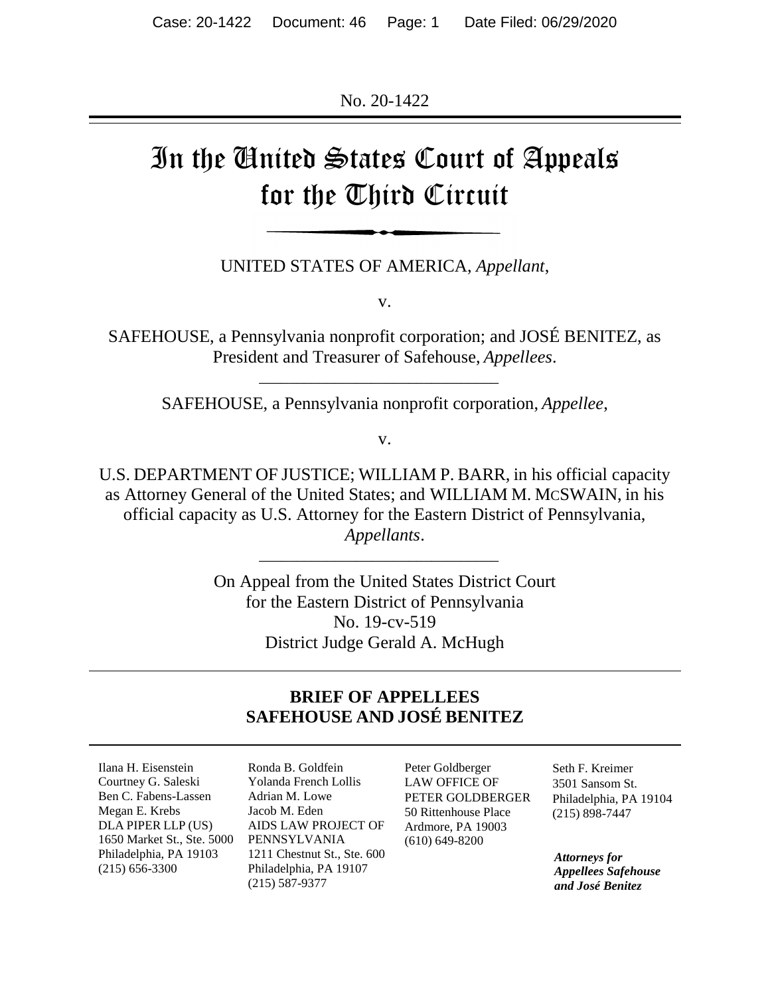No. 20-1422

# In the United States Court of Appeals for the Third Circuit

UNITED STATES OF AMERICA, *Appellant*,

v.

SAFEHOUSE, a Pennsylvania nonprofit corporation; and JOSÉ BENITEZ, as President and Treasurer of Safehouse, *Appellees*.

SAFEHOUSE, a Pennsylvania nonprofit corporation, *Appellee*,

*\_\_\_\_\_\_\_\_\_\_\_\_\_\_\_\_\_\_\_\_\_\_\_\_\_\_\_\_\_\_\_\_*

v.

U.S. DEPARTMENT OF JUSTICE; WILLIAM P. BARR, in his official capacity as Attorney General of the United States; and WILLIAM M. MCSWAIN, in his official capacity as U.S. Attorney for the Eastern District of Pennsylvania, *Appellants*.

*\_\_\_\_\_\_\_\_\_\_\_\_\_\_\_\_\_\_\_\_\_\_\_\_\_\_\_\_\_\_\_\_*

On Appeal from the United States District Court for the Eastern District of Pennsylvania No. 19-cv-519 District Judge Gerald A. McHugh

### **BRIEF OF APPELLEES SAFEHOUSE AND JOSÉ BENITEZ**

Ilana H. Eisenstein Courtney G. Saleski Ben C. Fabens-Lassen Megan E. Krebs DLA PIPER LLP (US) 1650 Market St., Ste. 5000 Philadelphia, PA 19103 (215) 656-3300

Ronda B. Goldfein Yolanda French Lollis Adrian M. Lowe Jacob M. Eden AIDS LAW PROJECT OF PENNSYLVANIA 1211 Chestnut St., Ste. 600 Philadelphia, PA 19107 (215) 587-9377

Peter Goldberger LAW OFFICE OF PETER GOLDBERGER 50 Rittenhouse Place Ardmore, PA 19003 (610) 649-8200

Seth F. Kreimer 3501 Sansom St. Philadelphia, PA 19104 (215) 898-7447

*Attorneys for Appellees Safehouse and José Benitez*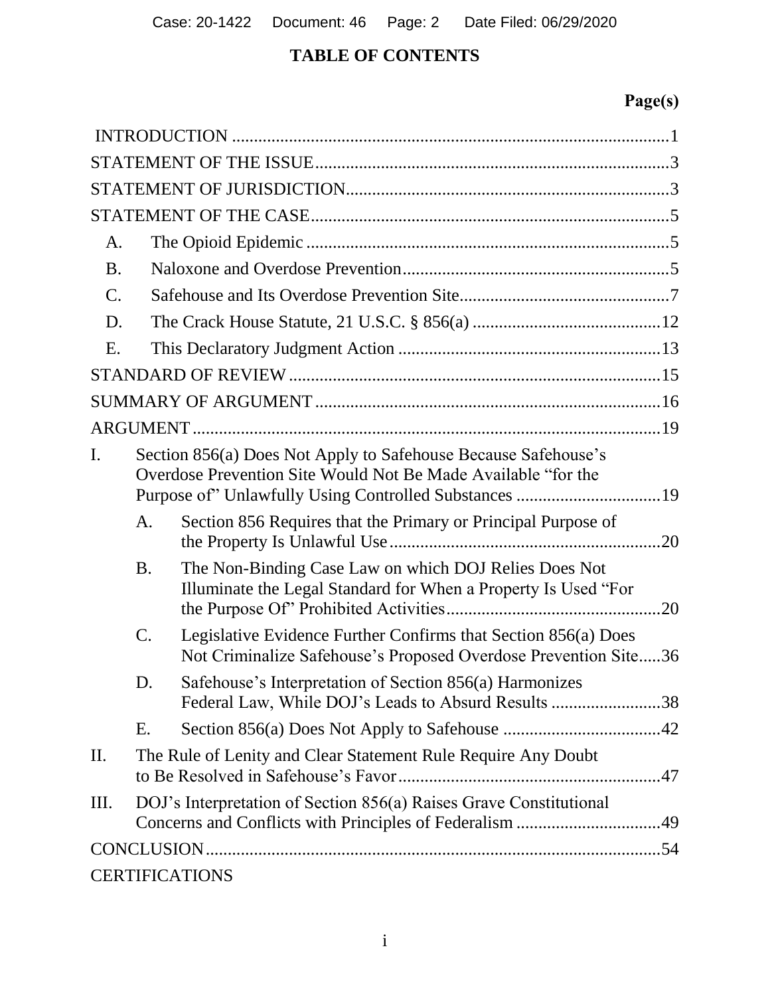# **TABLE OF CONTENTS**

# **Page(s)**

| A.              |                                                                                                                                             |  |  |  |  |
|-----------------|---------------------------------------------------------------------------------------------------------------------------------------------|--|--|--|--|
| <b>B.</b>       |                                                                                                                                             |  |  |  |  |
| C.              |                                                                                                                                             |  |  |  |  |
| D.              |                                                                                                                                             |  |  |  |  |
| Ε.              |                                                                                                                                             |  |  |  |  |
|                 |                                                                                                                                             |  |  |  |  |
|                 |                                                                                                                                             |  |  |  |  |
|                 |                                                                                                                                             |  |  |  |  |
| Ι.              | Section 856(a) Does Not Apply to Safehouse Because Safehouse's<br>Overdose Prevention Site Would Not Be Made Available "for the             |  |  |  |  |
|                 | A.<br>Section 856 Requires that the Primary or Principal Purpose of                                                                         |  |  |  |  |
|                 | <b>B.</b><br>The Non-Binding Case Law on which DOJ Relies Does Not<br>Illuminate the Legal Standard for When a Property Is Used "For<br>.20 |  |  |  |  |
|                 | Legislative Evidence Further Confirms that Section 856(a) Does<br>C.<br>Not Criminalize Safehouse's Proposed Overdose Prevention Site36     |  |  |  |  |
|                 | Safehouse's Interpretation of Section 856(a) Harmonizes<br>D.<br>Federal Law, While DOJ's Leads to Absurd Results 38                        |  |  |  |  |
|                 | Е.                                                                                                                                          |  |  |  |  |
| $\mathbf{II}$ . | The Rule of Lenity and Clear Statement Rule Require Any Doubt                                                                               |  |  |  |  |
| Ш.              | DOJ's Interpretation of Section 856(a) Raises Grave Constitutional                                                                          |  |  |  |  |
|                 |                                                                                                                                             |  |  |  |  |
|                 | <b>CERTIFICATIONS</b>                                                                                                                       |  |  |  |  |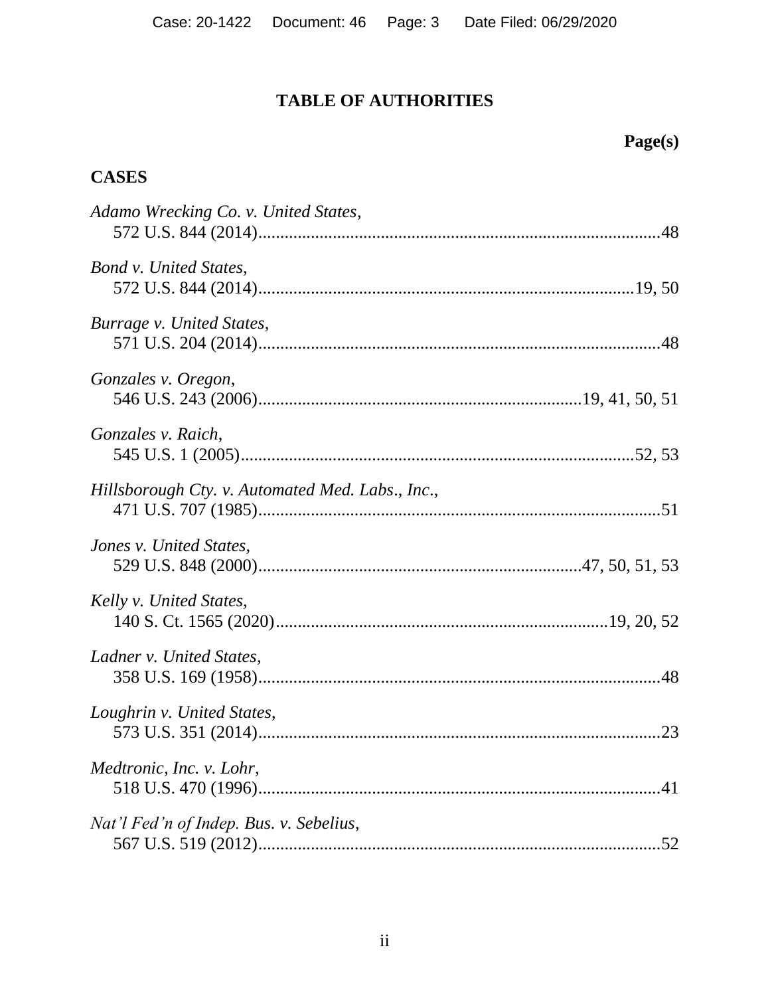# **TABLE OF AUTHORITIES**

<span id="page-2-0"></span>

|                                                  | Page(s) |
|--------------------------------------------------|---------|
| <b>CASES</b>                                     |         |
| Adamo Wrecking Co. v. United States,             |         |
| <b>Bond v. United States,</b>                    |         |
| Burrage v. United States,                        |         |
| Gonzales v. Oregon,                              |         |
| Gonzales v. Raich,                               |         |
| Hillsborough Cty. v. Automated Med. Labs., Inc., |         |
| Jones v. United States,                          |         |
| Kelly v. United States,                          |         |
| Ladner v. United States,                         |         |
| Loughrin v. United States,                       |         |
| Medtronic, Inc. v. Lohr,                         |         |
| Nat'l Fed'n of Indep. Bus. v. Sebelius,          |         |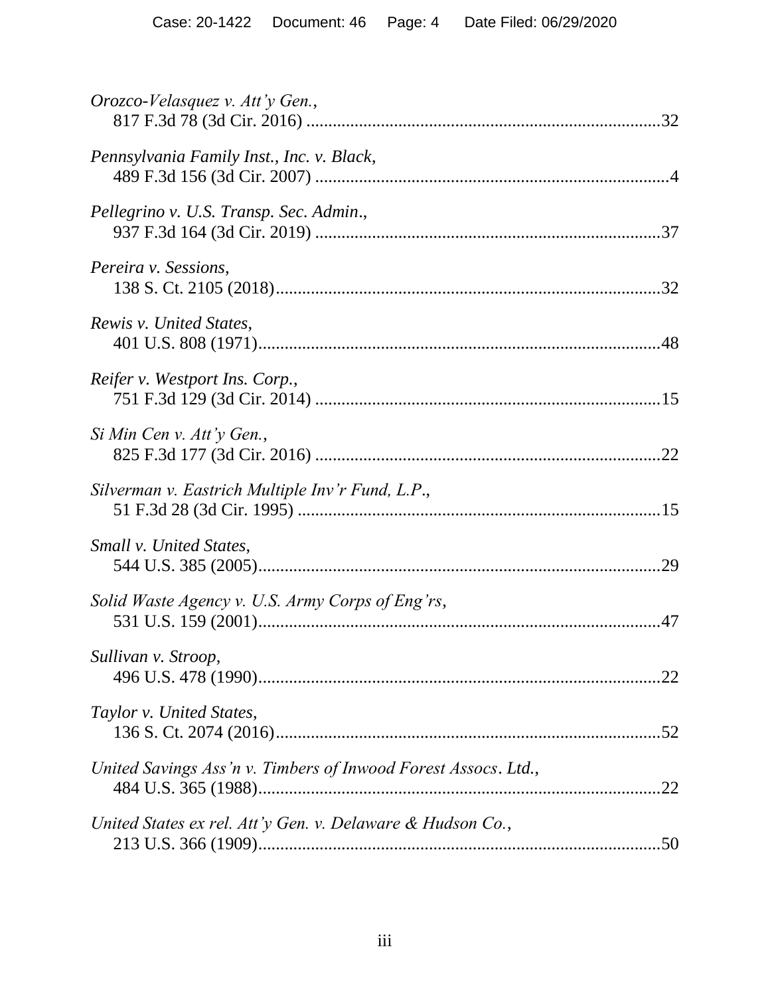| Orozco-Velasquez v. Att'y Gen.,                                |  |
|----------------------------------------------------------------|--|
| Pennsylvania Family Inst., Inc. v. Black,                      |  |
| Pellegrino v. U.S. Transp. Sec. Admin.,                        |  |
| Pereira v. Sessions,                                           |  |
| Rewis v. United States,                                        |  |
| Reifer v. Westport Ins. Corp.,                                 |  |
| Si Min Cen v. Att'y Gen.,                                      |  |
| Silverman v. Eastrich Multiple Inv'r Fund, L.P.,               |  |
| Small v. United States,                                        |  |
| Solid Waste Agency v. U.S. Army Corps of Eng'rs,               |  |
| Sullivan v. Stroop,                                            |  |
| Taylor v. United States,                                       |  |
| United Savings Ass'n v. Timbers of Inwood Forest Assocs. Ltd., |  |
| United States ex rel. Att'y Gen. v. Delaware & Hudson Co.,     |  |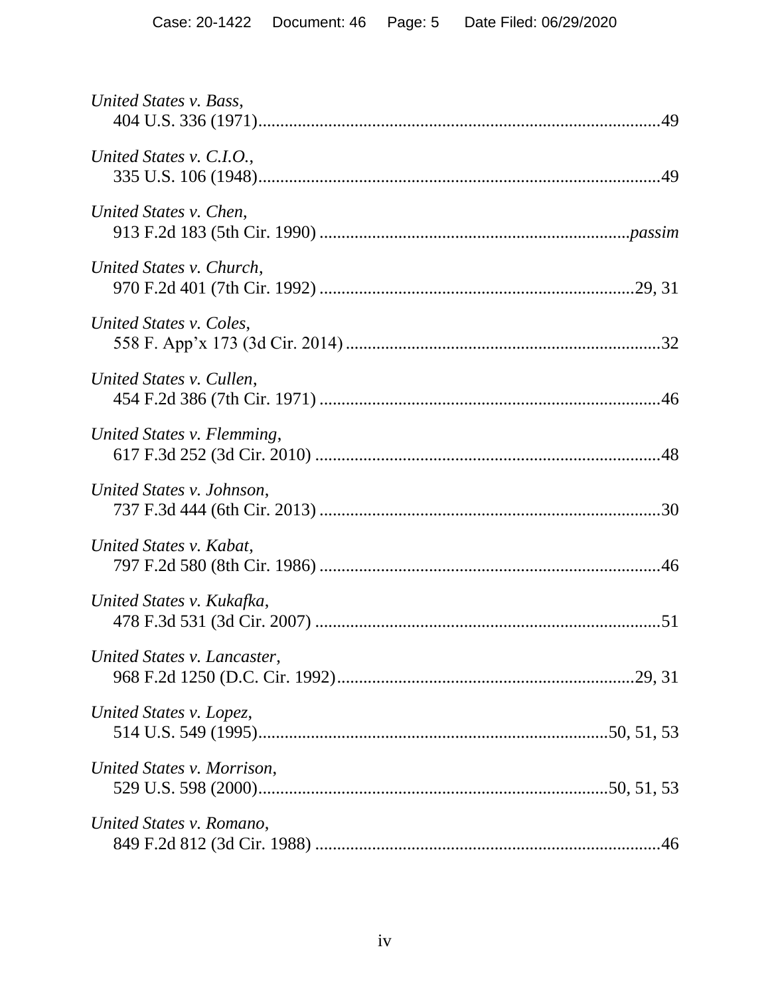| United States v. Bass,      |
|-----------------------------|
| United States v. C.I.O.,    |
| United States v. Chen,      |
| United States v. Church,    |
| United States v. Coles,     |
| United States v. Cullen,    |
| United States v. Flemming,  |
| United States v. Johnson,   |
| United States v. Kabat,     |
| United States v. Kukafka,   |
| United States v. Lancaster, |
| United States v. Lopez,     |
| United States v. Morrison,  |
| United States v. Romano,    |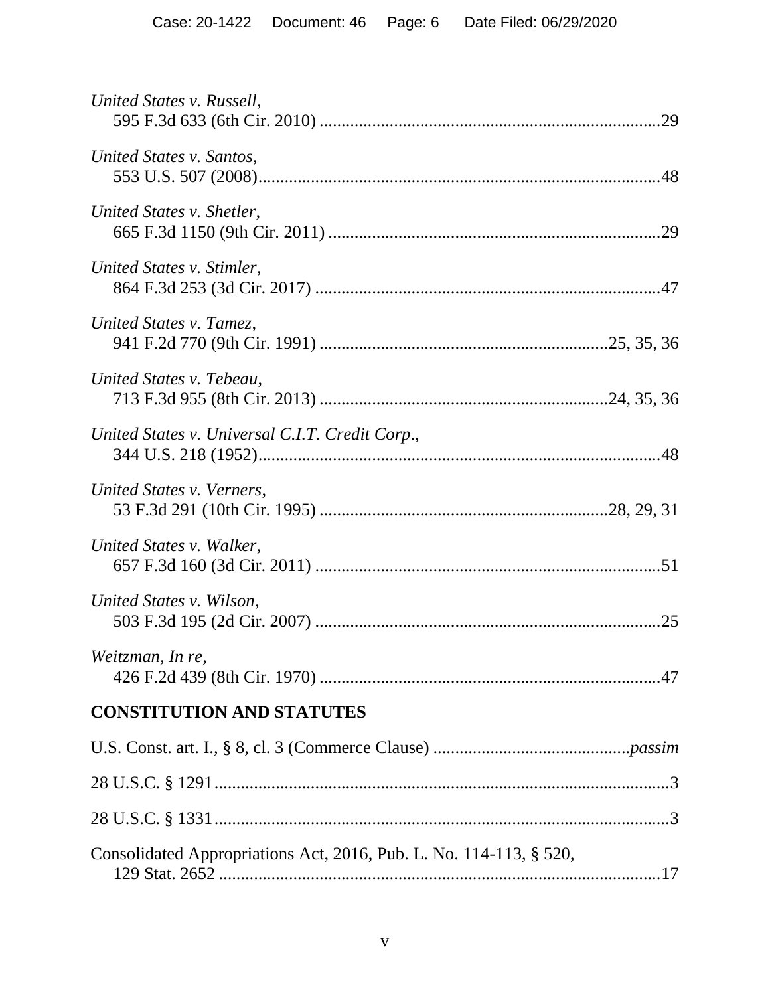| United States v. Russell,                                          |  |
|--------------------------------------------------------------------|--|
| United States v. Santos,                                           |  |
| United States v. Shetler,                                          |  |
| United States v. Stimler,                                          |  |
| United States v. Tamez,                                            |  |
| United States v. Tebeau,                                           |  |
| United States v. Universal C.I.T. Credit Corp.,                    |  |
| United States v. Verners,                                          |  |
| United States v. Walker,                                           |  |
| United States v. Wilson,                                           |  |
| Weitzman, In re,                                                   |  |
| <b>CONSTITUTION AND STATUTES</b>                                   |  |
|                                                                    |  |
|                                                                    |  |
|                                                                    |  |
| Consolidated Appropriations Act, 2016, Pub. L. No. 114-113, § 520, |  |
|                                                                    |  |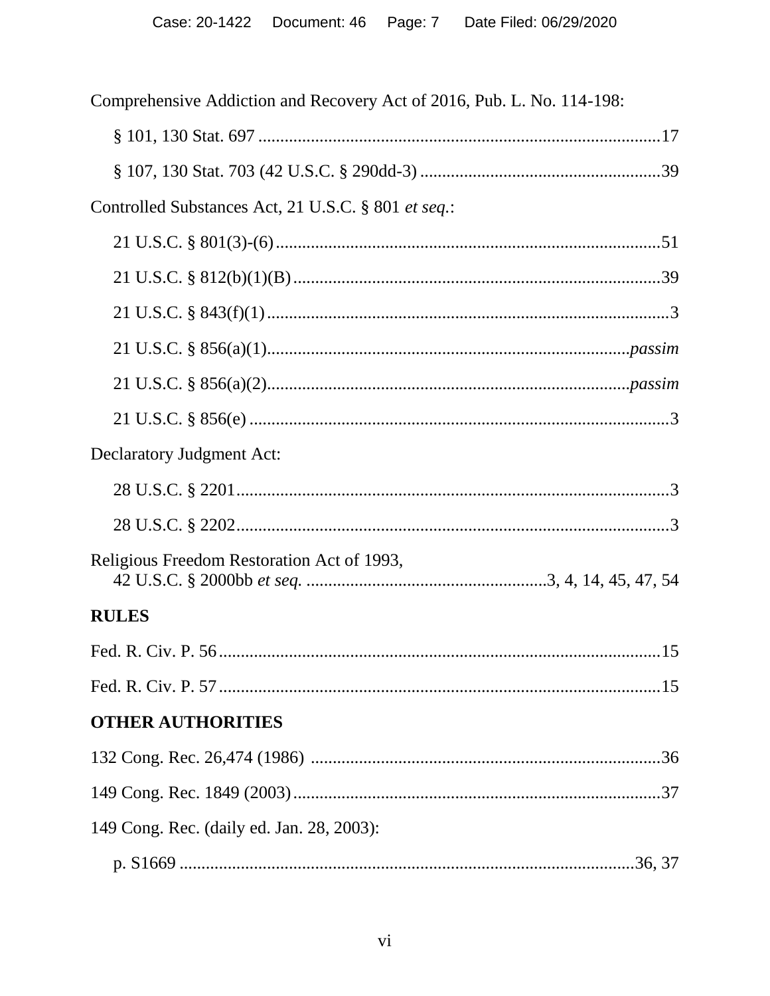| Comprehensive Addiction and Recovery Act of 2016, Pub. L. No. 114-198: |  |  |  |
|------------------------------------------------------------------------|--|--|--|
|                                                                        |  |  |  |
|                                                                        |  |  |  |
| Controlled Substances Act, 21 U.S.C. § 801 et seq.:                    |  |  |  |
|                                                                        |  |  |  |
| 21 U.S.C. $\frac{8812(b)(1)(B) \dots (1)(B)}{29}$                      |  |  |  |
|                                                                        |  |  |  |
|                                                                        |  |  |  |
|                                                                        |  |  |  |
|                                                                        |  |  |  |
| Declaratory Judgment Act:                                              |  |  |  |
|                                                                        |  |  |  |
|                                                                        |  |  |  |
| Religious Freedom Restoration Act of 1993,                             |  |  |  |
| <b>RULES</b>                                                           |  |  |  |
|                                                                        |  |  |  |
|                                                                        |  |  |  |
| <b>OTHER AUTHORITIES</b>                                               |  |  |  |
|                                                                        |  |  |  |
|                                                                        |  |  |  |
| 149 Cong. Rec. (daily ed. Jan. 28, 2003):                              |  |  |  |
|                                                                        |  |  |  |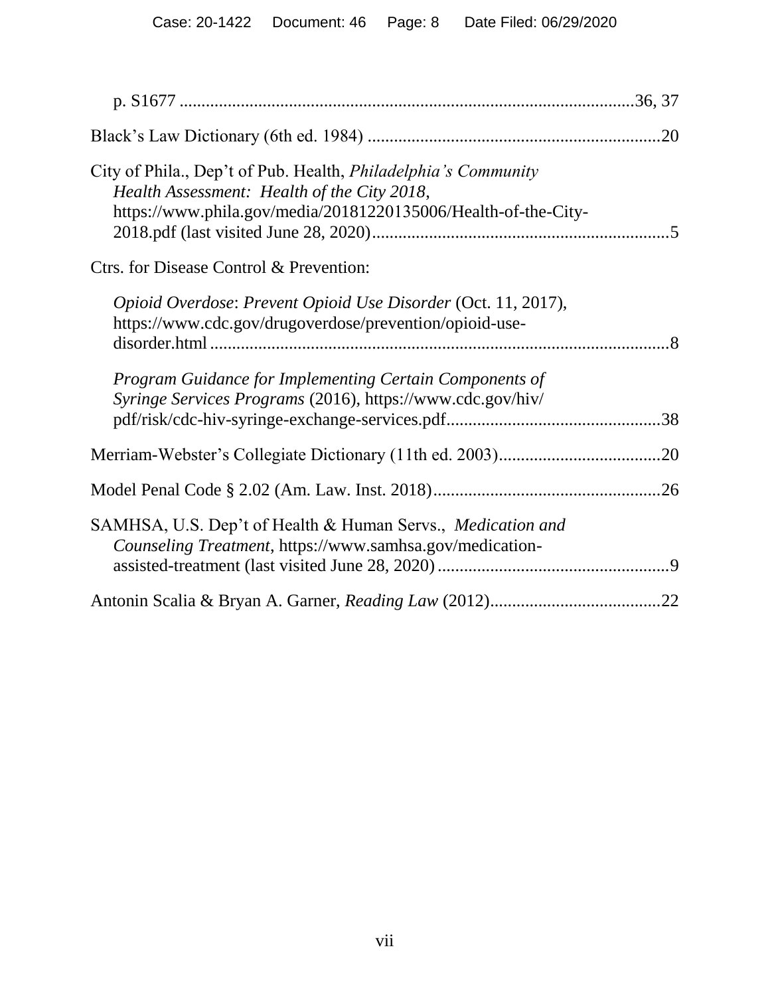| City of Phila., Dep't of Pub. Health, <i>Philadelphia's Community</i><br>Health Assessment: Health of the City 2018,<br>https://www.phila.gov/media/20181220135006/Health-of-the-City- |  |
|----------------------------------------------------------------------------------------------------------------------------------------------------------------------------------------|--|
| Ctrs. for Disease Control & Prevention:                                                                                                                                                |  |
| Opioid Overdose: Prevent Opioid Use Disorder (Oct. 11, 2017),<br>https://www.cdc.gov/drugoverdose/prevention/opioid-use-                                                               |  |
| Program Guidance for Implementing Certain Components of<br>Syringe Services Programs (2016), https://www.cdc.gov/hiv/                                                                  |  |
|                                                                                                                                                                                        |  |
|                                                                                                                                                                                        |  |
| SAMHSA, U.S. Dep't of Health & Human Servs., Medication and<br>Counseling Treatment, https://www.samhsa.gov/medication-                                                                |  |
|                                                                                                                                                                                        |  |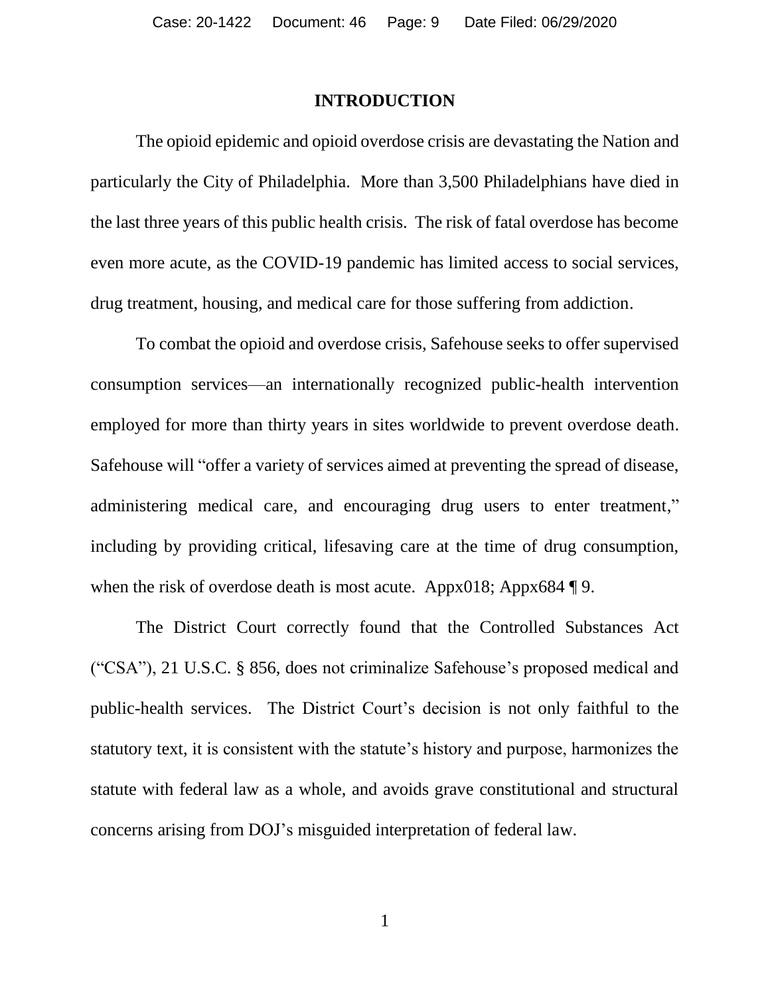# **INTRODUCTION**

The opioid epidemic and opioid overdose crisis are devastating the Nation and particularly the City of Philadelphia. More than 3,500 Philadelphians have died in the last three years of this public health crisis. The risk of fatal overdose has become even more acute, as the COVID-19 pandemic has limited access to social services, drug treatment, housing, and medical care for those suffering from addiction.

To combat the opioid and overdose crisis, Safehouse seeks to offer supervised consumption services—an internationally recognized public-health intervention employed for more than thirty years in sites worldwide to prevent overdose death. Safehouse will "offer a variety of services aimed at preventing the spread of disease, administering medical care, and encouraging drug users to enter treatment," including by providing critical, lifesaving care at the time of drug consumption, when the risk of overdose death is most acute. Appx018; Appx684 ¶ 9.

The District Court correctly found that the Controlled Substances Act ("CSA"), 21 U.S.C. § 856, does not criminalize Safehouse's proposed medical and public-health services. The District Court's decision is not only faithful to the statutory text, it is consistent with the statute's history and purpose, harmonizes the statute with federal law as a whole, and avoids grave constitutional and structural concerns arising from DOJ's misguided interpretation of federal law.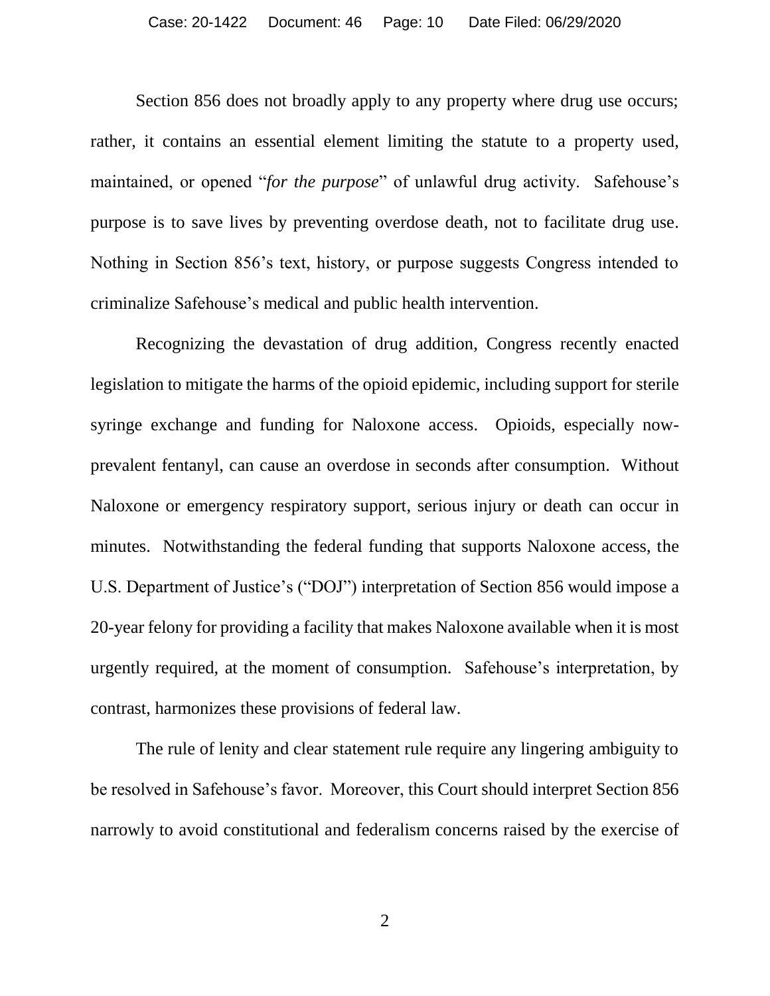Section 856 does not broadly apply to any property where drug use occurs; rather, it contains an essential element limiting the statute to a property used, maintained, or opened "*for the purpose*" of unlawful drug activity. Safehouse's purpose is to save lives by preventing overdose death, not to facilitate drug use. Nothing in Section 856's text, history, or purpose suggests Congress intended to criminalize Safehouse's medical and public health intervention.

Recognizing the devastation of drug addition, Congress recently enacted legislation to mitigate the harms of the opioid epidemic, including support for sterile syringe exchange and funding for Naloxone access. Opioids, especially nowprevalent fentanyl, can cause an overdose in seconds after consumption. Without Naloxone or emergency respiratory support, serious injury or death can occur in minutes. Notwithstanding the federal funding that supports Naloxone access, the U.S. Department of Justice's ("DOJ") interpretation of Section 856 would impose a 20-year felony for providing a facility that makes Naloxone available when it is most urgently required, at the moment of consumption. Safehouse's interpretation, by contrast, harmonizes these provisions of federal law.

The rule of lenity and clear statement rule require any lingering ambiguity to be resolved in Safehouse's favor. Moreover, this Court should interpret Section 856 narrowly to avoid constitutional and federalism concerns raised by the exercise of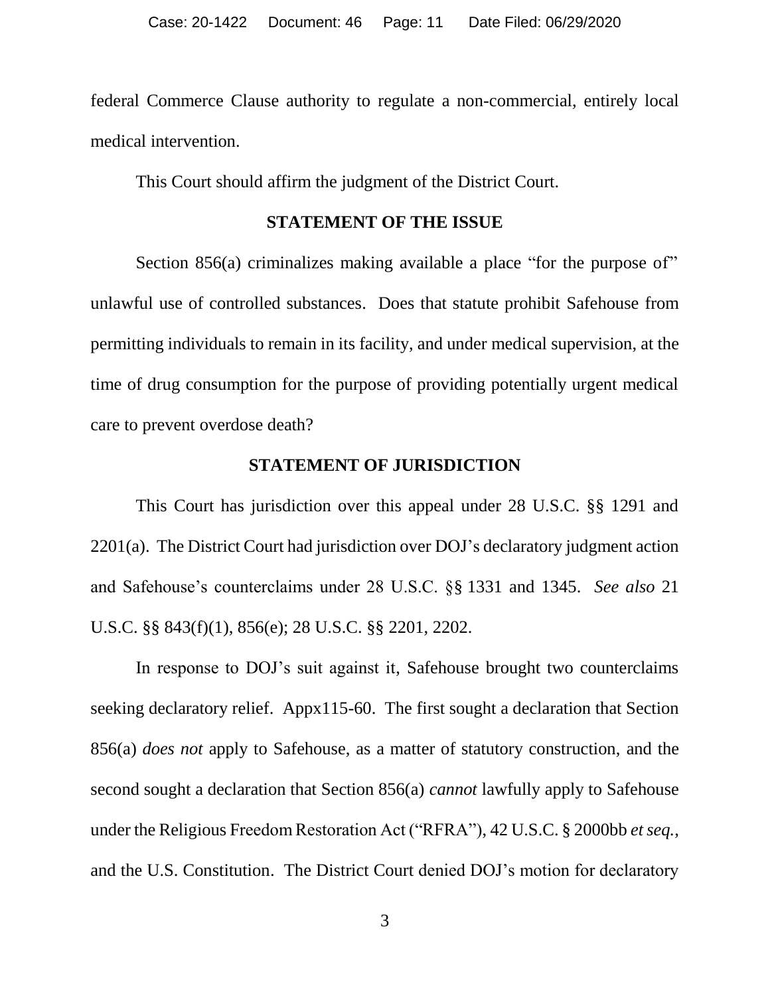federal Commerce Clause authority to regulate a non-commercial, entirely local medical intervention.

This Court should affirm the judgment of the District Court.

#### **STATEMENT OF THE ISSUE**

<span id="page-10-0"></span>Section 856(a) criminalizes making available a place "for the purpose of" unlawful use of controlled substances. Does that statute prohibit Safehouse from permitting individuals to remain in its facility, and under medical supervision, at the time of drug consumption for the purpose of providing potentially urgent medical care to prevent overdose death?

#### **STATEMENT OF JURISDICTION**

<span id="page-10-1"></span>This Court has jurisdiction over this appeal under 28 U.S.C. §§ 1291 and 2201(a). The District Court had jurisdiction over DOJ's declaratory judgment action and Safehouse's counterclaims under 28 U.S.C. §§ 1331 and 1345. *See also* 21 U.S.C. §§ 843(f)(1), 856(e); 28 U.S.C. §§ 2201, 2202.

In response to DOJ's suit against it, Safehouse brought two counterclaims seeking declaratory relief. Appx115-60. The first sought a declaration that Section 856(a) *does not* apply to Safehouse, as a matter of statutory construction, and the second sought a declaration that Section 856(a) *cannot* lawfully apply to Safehouse under the Religious Freedom Restoration Act ("RFRA"), 42 U.S.C. § 2000bb *et seq.*, and the U.S. Constitution. The District Court denied DOJ's motion for declaratory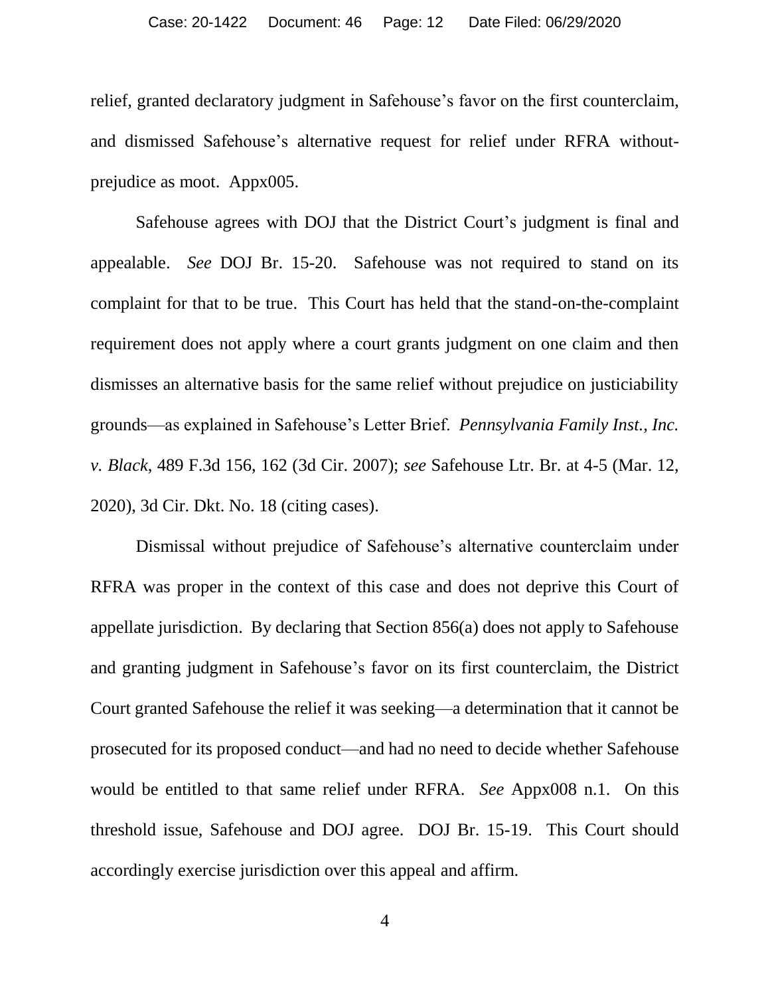relief, granted declaratory judgment in Safehouse's favor on the first counterclaim, and dismissed Safehouse's alternative request for relief under RFRA withoutprejudice as moot. Appx005.

Safehouse agrees with DOJ that the District Court's judgment is final and appealable. *See* DOJ Br. 15-20. Safehouse was not required to stand on its complaint for that to be true. This Court has held that the stand-on-the-complaint requirement does not apply where a court grants judgment on one claim and then dismisses an alternative basis for the same relief without prejudice on justiciability grounds—as explained in Safehouse's Letter Brief. *Pennsylvania Family Inst., Inc. v. Black*, 489 F.3d 156, 162 (3d Cir. 2007); *see* Safehouse Ltr. Br. at 4-5 (Mar. 12, 2020), 3d Cir. Dkt. No. 18 (citing cases).

Dismissal without prejudice of Safehouse's alternative counterclaim under RFRA was proper in the context of this case and does not deprive this Court of appellate jurisdiction. By declaring that Section 856(a) does not apply to Safehouse and granting judgment in Safehouse's favor on its first counterclaim, the District Court granted Safehouse the relief it was seeking—a determination that it cannot be prosecuted for its proposed conduct—and had no need to decide whether Safehouse would be entitled to that same relief under RFRA. *See* Appx008 n.1. On this threshold issue, Safehouse and DOJ agree. DOJ Br. 15-19. This Court should accordingly exercise jurisdiction over this appeal and affirm.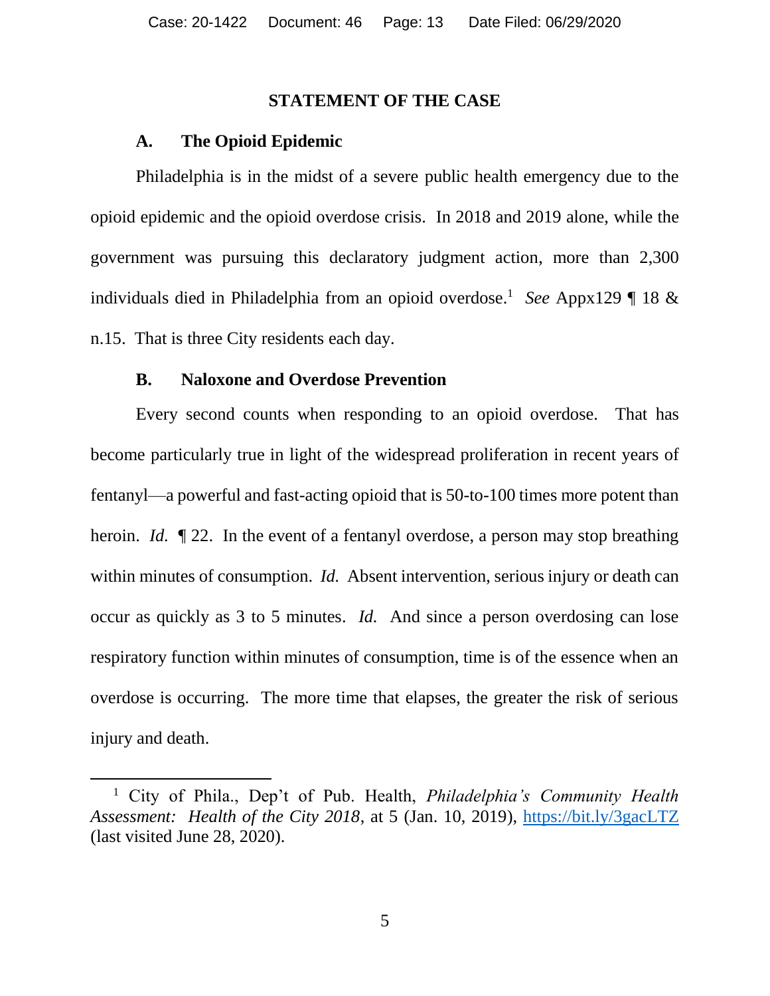#### **STATEMENT OF THE CASE**

#### <span id="page-12-0"></span>**A. The Opioid Epidemic**

 $\overline{a}$ 

<span id="page-12-1"></span>Philadelphia is in the midst of a severe public health emergency due to the opioid epidemic and the opioid overdose crisis. In 2018 and 2019 alone, while the government was pursuing this declaratory judgment action, more than 2,300 individuals died in Philadelphia from an opioid overdose.<sup>1</sup> *See* Appx129 ¶ 18 & n.15. That is three City residents each day.

#### **B. Naloxone and Overdose Prevention**

<span id="page-12-2"></span>Every second counts when responding to an opioid overdose. That has become particularly true in light of the widespread proliferation in recent years of fentanyl—a powerful and fast-acting opioid that is 50-to-100 times more potent than heroin. *Id.* ¶ 22. In the event of a fentanyl overdose, a person may stop breathing within minutes of consumption. *Id.* Absent intervention, serious injury or death can occur as quickly as 3 to 5 minutes. *Id.* And since a person overdosing can lose respiratory function within minutes of consumption, time is of the essence when an overdose is occurring. The more time that elapses, the greater the risk of serious injury and death.

<sup>1</sup> City of Phila., Dep't of Pub. Health, *Philadelphia's Community Health Assessment: Health of the City 2018*, at 5 (Jan. 10, 2019),<https://bit.ly/3gacLTZ> (last visited June 28, 2020).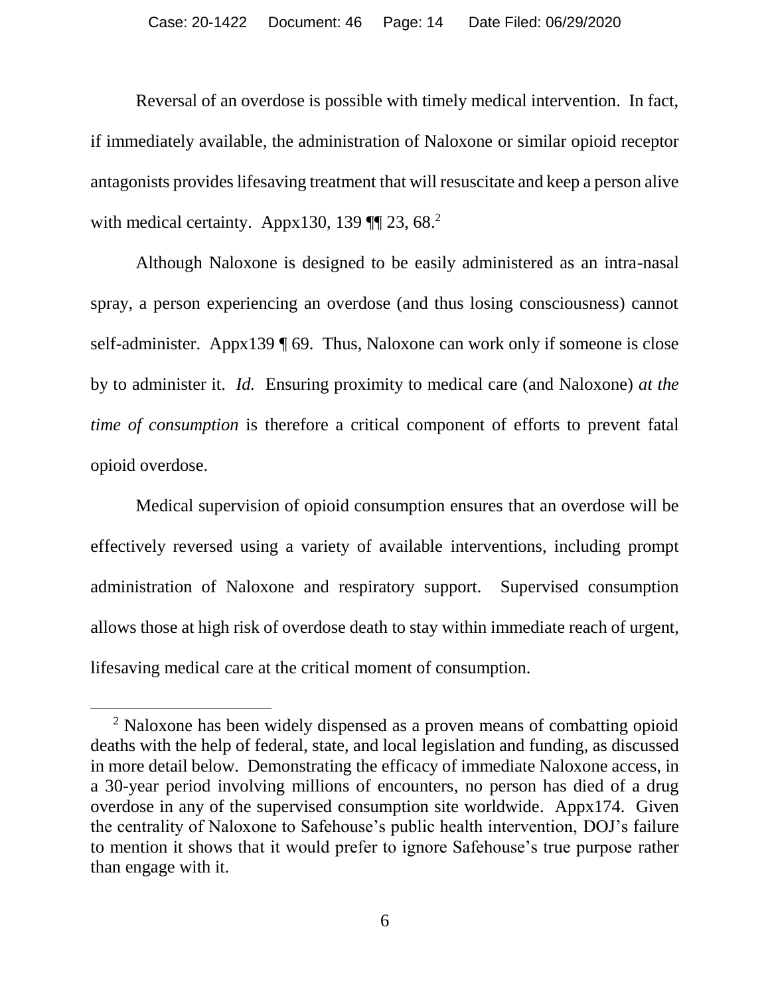Reversal of an overdose is possible with timely medical intervention. In fact, if immediately available, the administration of Naloxone or similar opioid receptor antagonists provides lifesaving treatment that will resuscitate and keep a person alive with medical certainty. Appx130, 139  $\P$  23, 68.<sup>2</sup>

Although Naloxone is designed to be easily administered as an intra-nasal spray, a person experiencing an overdose (and thus losing consciousness) cannot self-administer. Appx139 ¶ 69. Thus, Naloxone can work only if someone is close by to administer it. *Id.* Ensuring proximity to medical care (and Naloxone) *at the time of consumption* is therefore a critical component of efforts to prevent fatal opioid overdose.

Medical supervision of opioid consumption ensures that an overdose will be effectively reversed using a variety of available interventions, including prompt administration of Naloxone and respiratory support. Supervised consumption allows those at high risk of overdose death to stay within immediate reach of urgent, lifesaving medical care at the critical moment of consumption.

<sup>&</sup>lt;sup>2</sup> Naloxone has been widely dispensed as a proven means of combatting opioid deaths with the help of federal, state, and local legislation and funding, as discussed in more detail below. Demonstrating the efficacy of immediate Naloxone access, in a 30-year period involving millions of encounters, no person has died of a drug overdose in any of the supervised consumption site worldwide. Appx174. Given the centrality of Naloxone to Safehouse's public health intervention, DOJ's failure to mention it shows that it would prefer to ignore Safehouse's true purpose rather than engage with it.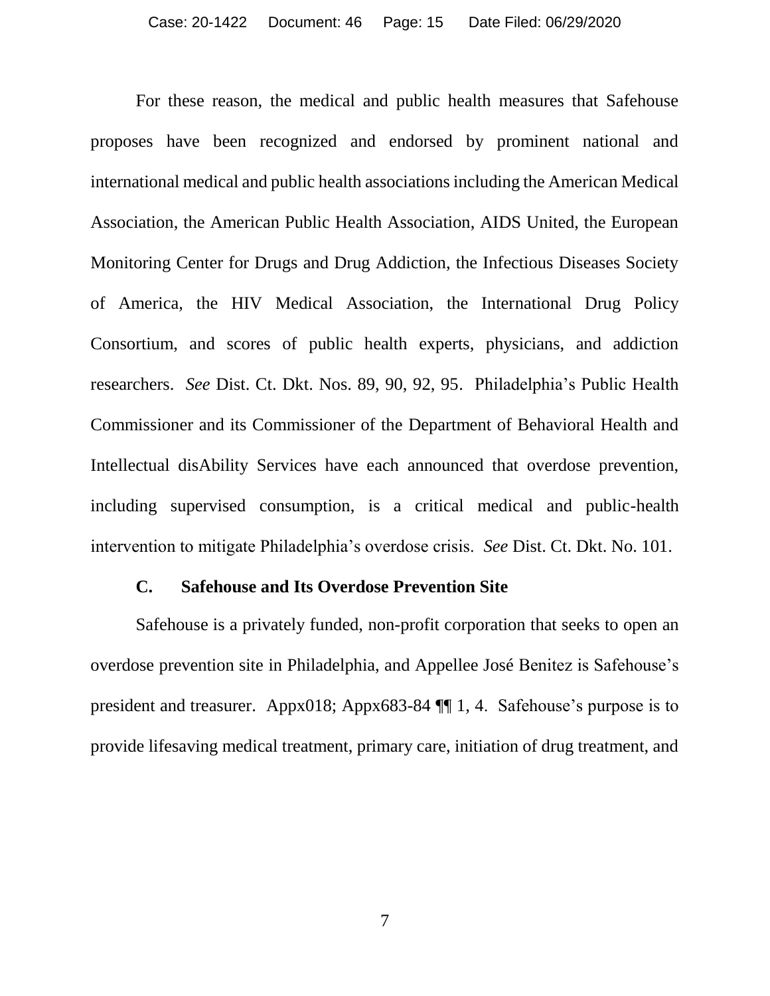For these reason, the medical and public health measures that Safehouse proposes have been recognized and endorsed by prominent national and international medical and public health associations including the American Medical Association, the American Public Health Association, AIDS United, the European Monitoring Center for Drugs and Drug Addiction, the Infectious Diseases Society of America, the HIV Medical Association, the International Drug Policy Consortium, and scores of public health experts, physicians, and addiction researchers. *See* Dist. Ct. Dkt. Nos. 89, 90, 92, 95. Philadelphia's Public Health Commissioner and its Commissioner of the Department of Behavioral Health and Intellectual disAbility Services have each announced that overdose prevention, including supervised consumption, is a critical medical and public-health intervention to mitigate Philadelphia's overdose crisis. *See* Dist. Ct. Dkt. No. 101.

#### **C. Safehouse and Its Overdose Prevention Site**

<span id="page-14-0"></span>Safehouse is a privately funded, non-profit corporation that seeks to open an overdose prevention site in Philadelphia, and Appellee José Benitez is Safehouse's president and treasurer. Appx018; Appx683-84 ¶¶ 1, 4. Safehouse's purpose is to provide lifesaving medical treatment, primary care, initiation of drug treatment, and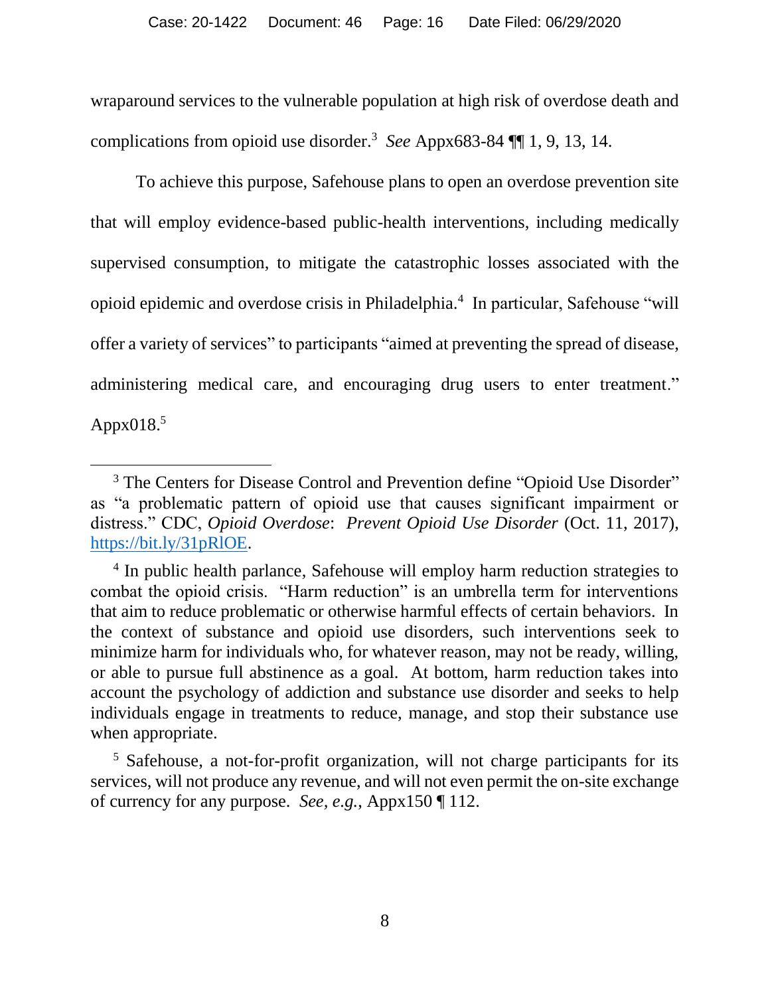wraparound services to the vulnerable population at high risk of overdose death and complications from opioid use disorder.<sup>3</sup> *See* Appx683-84 ¶¶ 1, 9, 13, 14.

To achieve this purpose, Safehouse plans to open an overdose prevention site that will employ evidence-based public-health interventions, including medically supervised consumption, to mitigate the catastrophic losses associated with the opioid epidemic and overdose crisis in Philadelphia*.* 4 In particular, Safehouse "will offer a variety of services" to participants "aimed at preventing the spread of disease, administering medical care, and encouraging drug users to enter treatment." Appx $018.<sup>5</sup>$ 

<sup>&</sup>lt;sup>3</sup> The Centers for Disease Control and Prevention define "Opioid Use Disorder" as "a problematic pattern of opioid use that causes significant impairment or distress." CDC, *Opioid Overdose*: *Prevent Opioid Use Disorder* (Oct. 11, 2017), [https://bit.ly/31pRlOE.](https://bit.ly/31pRlOE)

<sup>&</sup>lt;sup>4</sup> In public health parlance, Safehouse will employ harm reduction strategies to combat the opioid crisis. "Harm reduction" is an umbrella term for interventions that aim to reduce problematic or otherwise harmful effects of certain behaviors. In the context of substance and opioid use disorders, such interventions seek to minimize harm for individuals who, for whatever reason, may not be ready, willing, or able to pursue full abstinence as a goal. At bottom, harm reduction takes into account the psychology of addiction and substance use disorder and seeks to help individuals engage in treatments to reduce, manage, and stop their substance use when appropriate.

<sup>&</sup>lt;sup>5</sup> Safehouse, a not-for-profit organization, will not charge participants for its services, will not produce any revenue, and will not even permit the on-site exchange of currency for any purpose. *See, e.g.*, Appx150 ¶ 112.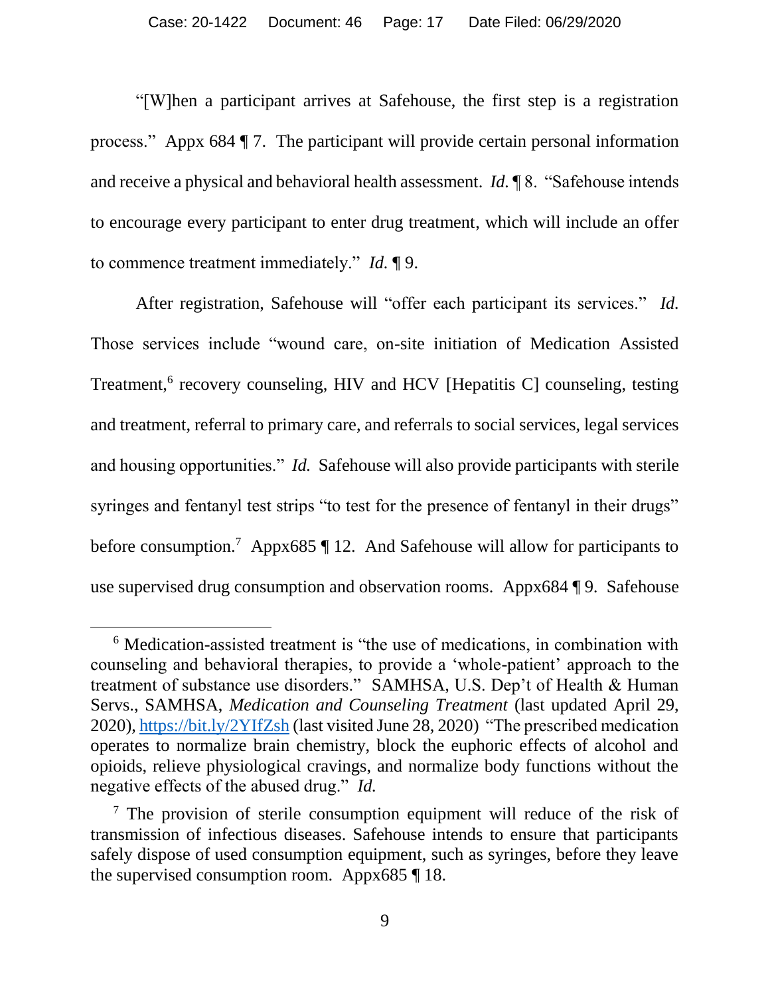"[W]hen a participant arrives at Safehouse, the first step is a registration process." Appx 684 ¶ 7. The participant will provide certain personal information and receive a physical and behavioral health assessment. *Id.* ¶ 8. "Safehouse intends to encourage every participant to enter drug treatment, which will include an offer to commence treatment immediately." *Id.* ¶ 9.

After registration, Safehouse will "offer each participant its services." *Id.*  Those services include "wound care, on-site initiation of Medication Assisted Treatment,<sup>6</sup> recovery counseling, HIV and HCV [Hepatitis C] counseling, testing and treatment, referral to primary care, and referrals to social services, legal services and housing opportunities." *Id.* Safehouse will also provide participants with sterile syringes and fentanyl test strips "to test for the presence of fentanyl in their drugs" before consumption.<sup>7</sup> Appx685  $\P$  12. And Safehouse will allow for participants to use supervised drug consumption and observation rooms. Appx684 ¶ 9*.* Safehouse

<sup>&</sup>lt;sup>6</sup> Medication-assisted treatment is "the use of medications, in combination with counseling and behavioral therapies, to provide a 'whole-patient' approach to the treatment of substance use disorders." SAMHSA, U.S. Dep't of Health & Human Servs., SAMHSA, *Medication and Counseling Treatment* (last updated April 29, 2020),<https://bit.ly/2YIfZsh> (last visited June 28, 2020) "The prescribed medication operates to normalize brain chemistry, block the euphoric effects of alcohol and opioids, relieve physiological cravings, and normalize body functions without the negative effects of the abused drug." *Id.*

<sup>&</sup>lt;sup>7</sup> The provision of sterile consumption equipment will reduce of the risk of transmission of infectious diseases. Safehouse intends to ensure that participants safely dispose of used consumption equipment, such as syringes, before they leave the supervised consumption room. Appx685 ¶ 18.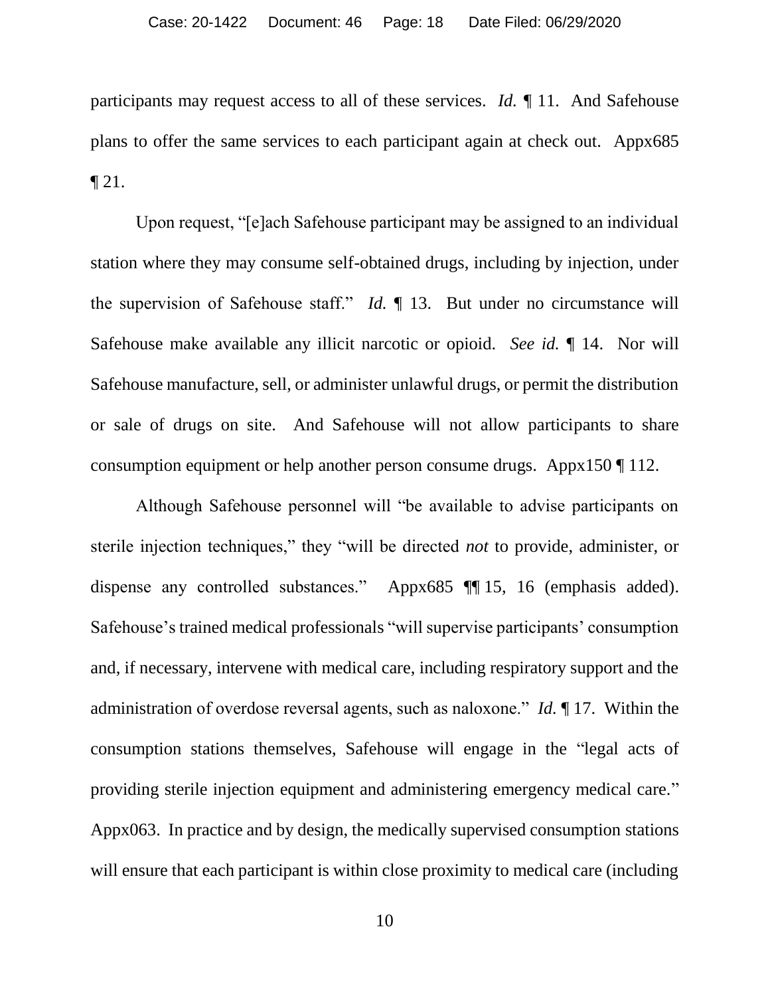participants may request access to all of these services. *Id. ¶* 11. And Safehouse plans to offer the same services to each participant again at check out. Appx685  $\P$  21.

Upon request, "[e]ach Safehouse participant may be assigned to an individual station where they may consume self-obtained drugs, including by injection, under the supervision of Safehouse staff." *Id.* ¶ 13. But under no circumstance will Safehouse make available any illicit narcotic or opioid. *See id.* ¶ 14. Nor will Safehouse manufacture, sell, or administer unlawful drugs, or permit the distribution or sale of drugs on site. And Safehouse will not allow participants to share consumption equipment or help another person consume drugs. Appx150 ¶ 112.

Although Safehouse personnel will "be available to advise participants on sterile injection techniques," they "will be directed *not* to provide, administer, or dispense any controlled substances." Appx685 ¶¶ 15, 16 (emphasis added). Safehouse's trained medical professionals "will supervise participants' consumption and, if necessary, intervene with medical care, including respiratory support and the administration of overdose reversal agents, such as naloxone." *Id.* ¶ 17. Within the consumption stations themselves, Safehouse will engage in the "legal acts of providing sterile injection equipment and administering emergency medical care." Appx063. In practice and by design, the medically supervised consumption stations will ensure that each participant is within close proximity to medical care (including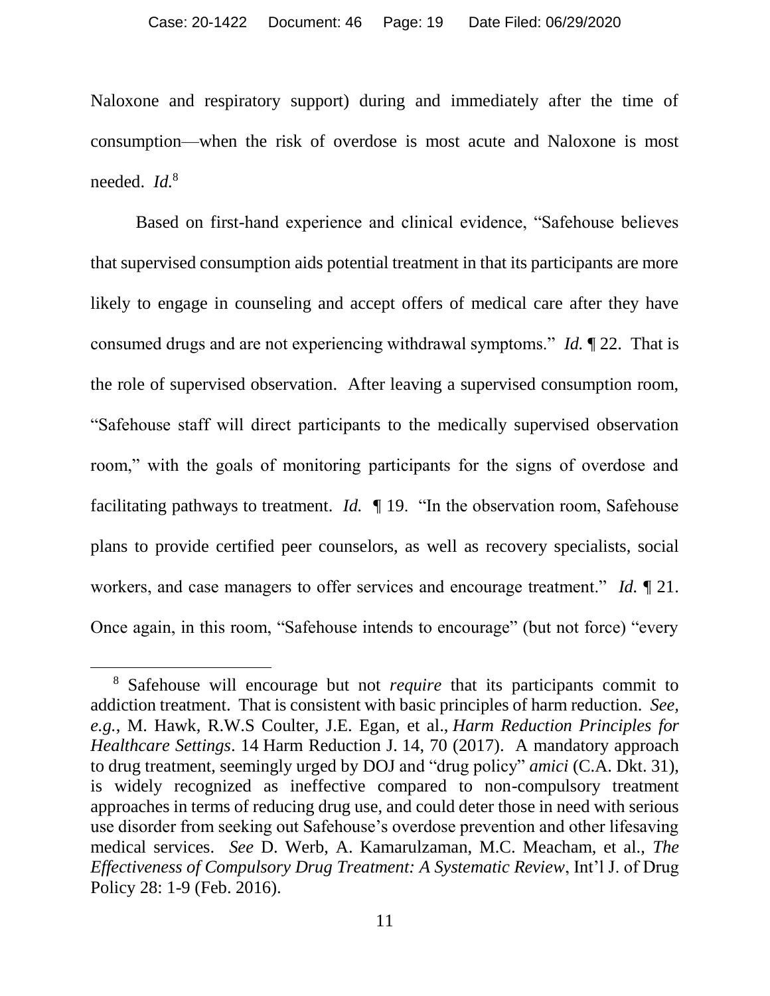Naloxone and respiratory support) during and immediately after the time of consumption—when the risk of overdose is most acute and Naloxone is most needed. *Id.*<sup>8</sup>

Based on first-hand experience and clinical evidence, "Safehouse believes that supervised consumption aids potential treatment in that its participants are more likely to engage in counseling and accept offers of medical care after they have consumed drugs and are not experiencing withdrawal symptoms." *Id.* ¶ 22. That is the role of supervised observation. After leaving a supervised consumption room, "Safehouse staff will direct participants to the medically supervised observation room," with the goals of monitoring participants for the signs of overdose and facilitating pathways to treatment. *Id. ¶* 19. "In the observation room, Safehouse plans to provide certified peer counselors, as well as recovery specialists, social workers, and case managers to offer services and encourage treatment." *Id.* ¶ 21. Once again, in this room, "Safehouse intends to encourage" (but not force) "every

<sup>8</sup> Safehouse will encourage but not *require* that its participants commit to addiction treatment. That is consistent with basic principles of harm reduction. *See, e.g.*, M. Hawk, R.W.S Coulter, J.E. Egan, et al., *Harm Reduction Principles for Healthcare Settings*. 14 Harm Reduction J. 14, 70 (2017). A mandatory approach to drug treatment, seemingly urged by DOJ and "drug policy" *amici* (C.A. Dkt. 31), is widely recognized as ineffective compared to non-compulsory treatment approaches in terms of reducing drug use, and could deter those in need with serious use disorder from seeking out Safehouse's overdose prevention and other lifesaving medical services. *See* D. Werb, A. Kamarulzaman, M.C. Meacham, et al., *The Effectiveness of Compulsory Drug Treatment: A Systematic Review*, Int'l J. of Drug Policy 28: 1-9 (Feb. 2016).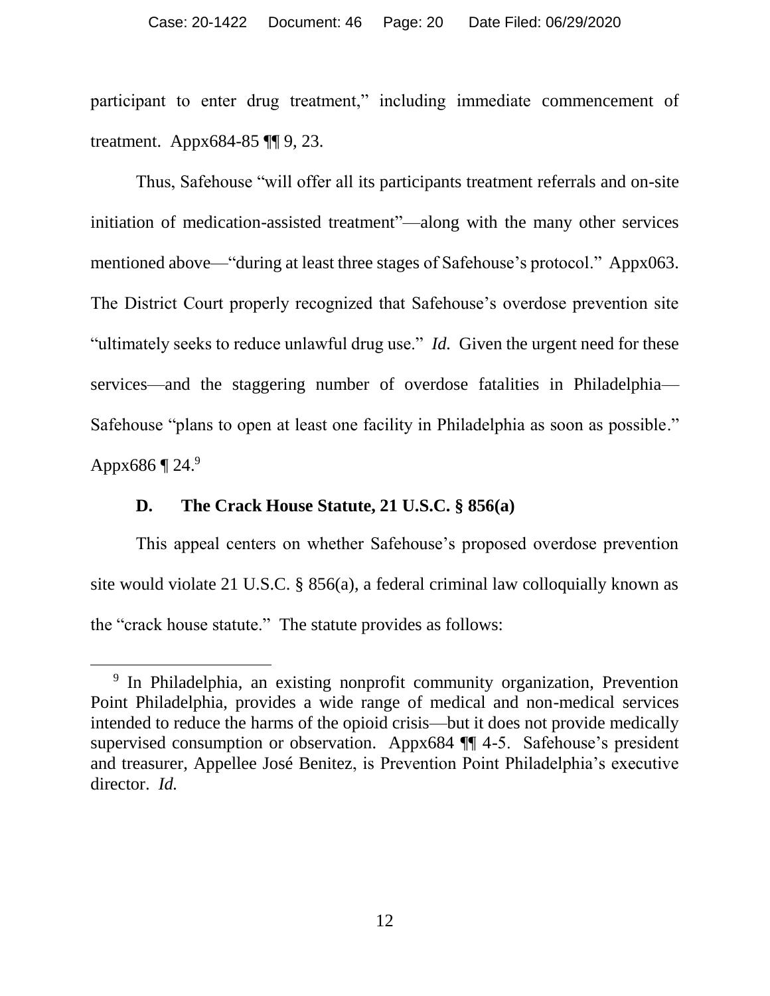participant to enter drug treatment," including immediate commencement of treatment. Appx684-85 ¶¶ 9, 23.

Thus, Safehouse "will offer all its participants treatment referrals and on-site initiation of medication-assisted treatment"—along with the many other services mentioned above—"during at least three stages of Safehouse's protocol." Appx063. The District Court properly recognized that Safehouse's overdose prevention site "ultimately seeks to reduce unlawful drug use." *Id.* Given the urgent need for these services—and the staggering number of overdose fatalities in Philadelphia— Safehouse "plans to open at least one facility in Philadelphia as soon as possible." Appx686  $\P$  24.9

#### **D. The Crack House Statute, 21 U.S.C. § 856(a)**

 $\overline{a}$ 

<span id="page-19-0"></span>This appeal centers on whether Safehouse's proposed overdose prevention site would violate 21 U.S.C. § 856(a), a federal criminal law colloquially known as the "crack house statute." The statute provides as follows:

<sup>&</sup>lt;sup>9</sup> In Philadelphia, an existing nonprofit community organization, Prevention Point Philadelphia, provides a wide range of medical and non-medical services intended to reduce the harms of the opioid crisis—but it does not provide medically supervised consumption or observation. Appx684 ¶¶ 4-5. Safehouse's president and treasurer, Appellee José Benitez, is Prevention Point Philadelphia's executive director. *Id.*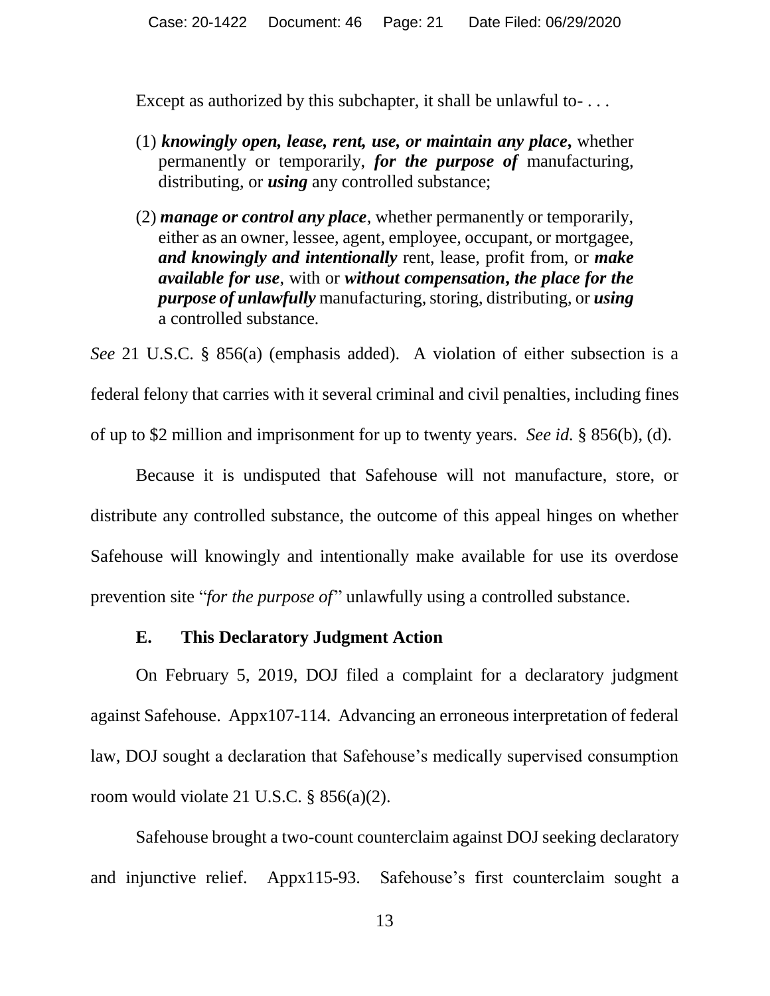Except as authorized by this subchapter, it shall be unlawful to-...

- (1) *knowingly open, lease, rent, use, or maintain any place***,** whether permanently or temporarily, *for the purpose of* manufacturing, distributing, or *using* any controlled substance;
- (2) *manage or control any place*, whether permanently or temporarily, either as an owner, lessee, agent, employee, occupant, or mortgagee, *and knowingly and intentionally* rent, lease, profit from, or *make available for use*, with or *without compensation***,** *the place for the purpose of unlawfully* manufacturing, storing, distributing, or *using* a controlled substance*.*

*See* 21 U.S.C. § 856(a) (emphasis added). A violation of either subsection is a federal felony that carries with it several criminal and civil penalties, including fines of up to \$2 million and imprisonment for up to twenty years. *See id.* § 856(b), (d).

Because it is undisputed that Safehouse will not manufacture, store, or distribute any controlled substance, the outcome of this appeal hinges on whether Safehouse will knowingly and intentionally make available for use its overdose prevention site "*for the purpose of*" unlawfully using a controlled substance.

### **E. This Declaratory Judgment Action**

<span id="page-20-0"></span>On February 5, 2019, DOJ filed a complaint for a declaratory judgment against Safehouse. Appx107-114. Advancing an erroneous interpretation of federal law, DOJ sought a declaration that Safehouse's medically supervised consumption room would violate 21 U.S.C. § 856(a)(2).

Safehouse brought a two-count counterclaim against DOJ seeking declaratory and injunctive relief. Appx115-93. Safehouse's first counterclaim sought a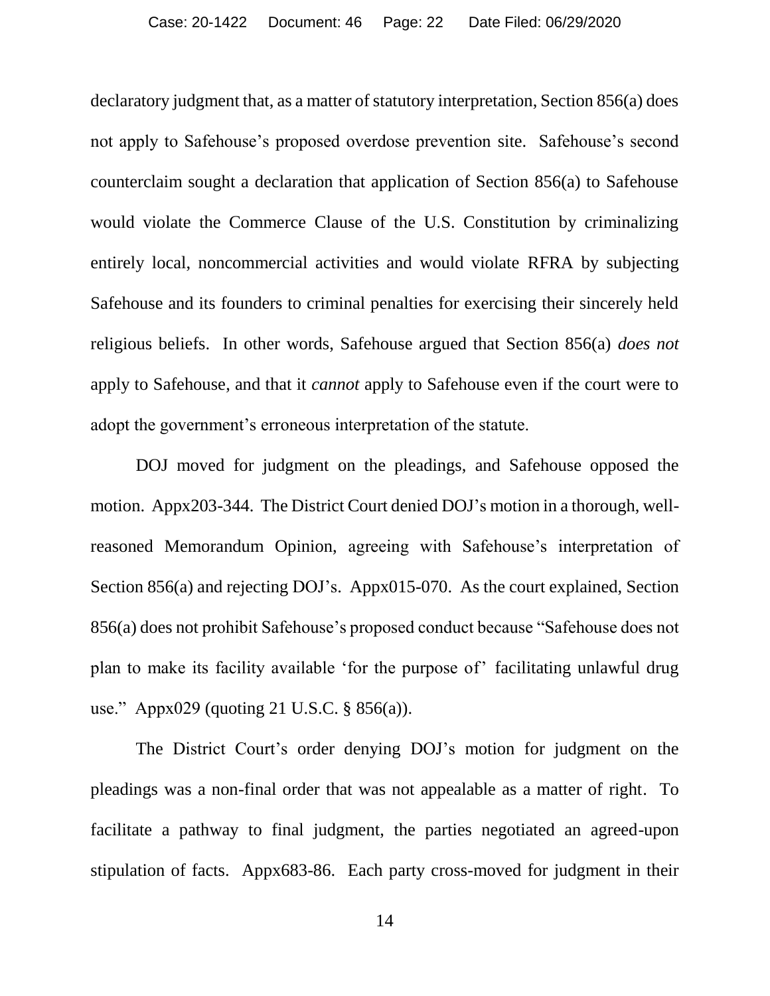declaratory judgment that, as a matter of statutory interpretation, Section 856(a) does not apply to Safehouse's proposed overdose prevention site. Safehouse's second counterclaim sought a declaration that application of Section 856(a) to Safehouse would violate the Commerce Clause of the U.S. Constitution by criminalizing entirely local, noncommercial activities and would violate RFRA by subjecting Safehouse and its founders to criminal penalties for exercising their sincerely held religious beliefs. In other words, Safehouse argued that Section 856(a) *does not*  apply to Safehouse, and that it *cannot* apply to Safehouse even if the court were to adopt the government's erroneous interpretation of the statute.

DOJ moved for judgment on the pleadings, and Safehouse opposed the motion. Appx203-344. The District Court denied DOJ's motion in a thorough, wellreasoned Memorandum Opinion, agreeing with Safehouse's interpretation of Section 856(a) and rejecting DOJ's. Appx015-070. As the court explained, Section 856(a) does not prohibit Safehouse's proposed conduct because "Safehouse does not plan to make its facility available 'for the purpose of' facilitating unlawful drug use." Appx029 (quoting 21 U.S.C. § 856(a)).

The District Court's order denying DOJ's motion for judgment on the pleadings was a non-final order that was not appealable as a matter of right. To facilitate a pathway to final judgment, the parties negotiated an agreed-upon stipulation of facts. Appx683-86. Each party cross-moved for judgment in their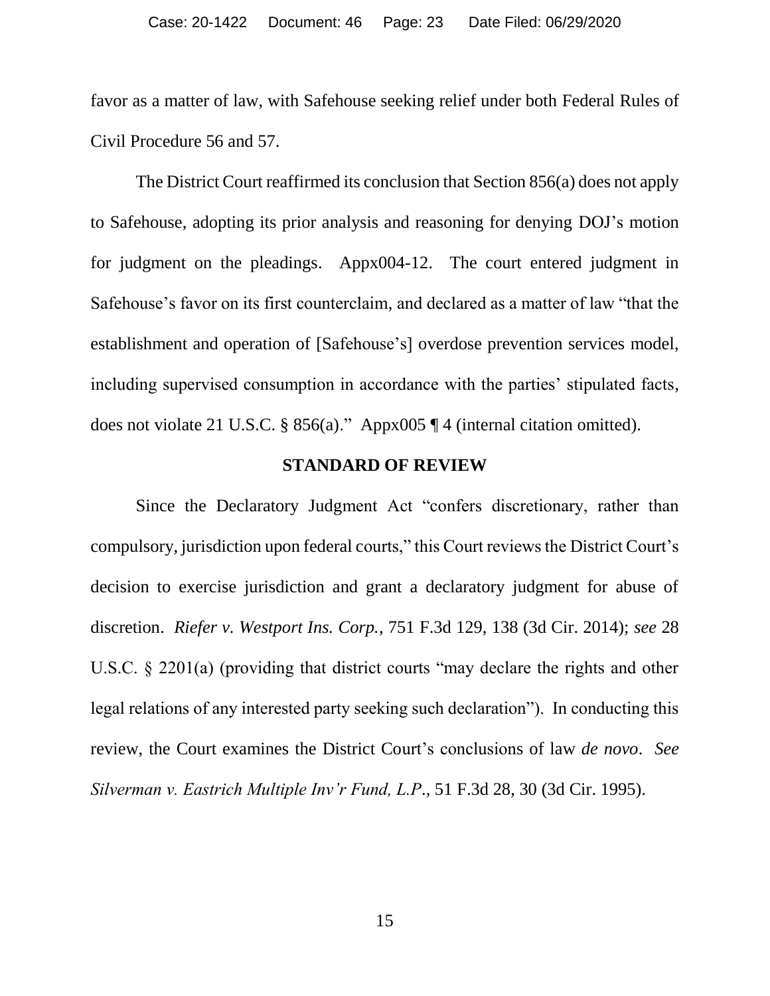favor as a matter of law, with Safehouse seeking relief under both Federal Rules of Civil Procedure 56 and 57.

The District Court reaffirmed its conclusion that Section 856(a) does not apply to Safehouse, adopting its prior analysis and reasoning for denying DOJ's motion for judgment on the pleadings. Appx004-12. The court entered judgment in Safehouse's favor on its first counterclaim, and declared as a matter of law "that the establishment and operation of [Safehouse's] overdose prevention services model, including supervised consumption in accordance with the parties' stipulated facts, does not violate 21 U.S.C. § 856(a)." Appx005 ¶ 4 (internal citation omitted).

# **STANDARD OF REVIEW**

<span id="page-22-0"></span>Since the Declaratory Judgment Act "confers discretionary, rather than compulsory, jurisdiction upon federal courts," this Court reviews the District Court's decision to exercise jurisdiction and grant a declaratory judgment for abuse of discretion. *Riefer v. Westport Ins. Corp.*, 751 F.3d 129, 138 (3d Cir. 2014); *see* 28 U.S.C. § 2201(a) (providing that district courts "may declare the rights and other legal relations of any interested party seeking such declaration"). In conducting this review, the Court examines the District Court's conclusions of law *de novo*. *See Silverman v. Eastrich Multiple Inv'r Fund, L.P*., 51 F.3d 28, 30 (3d Cir. 1995).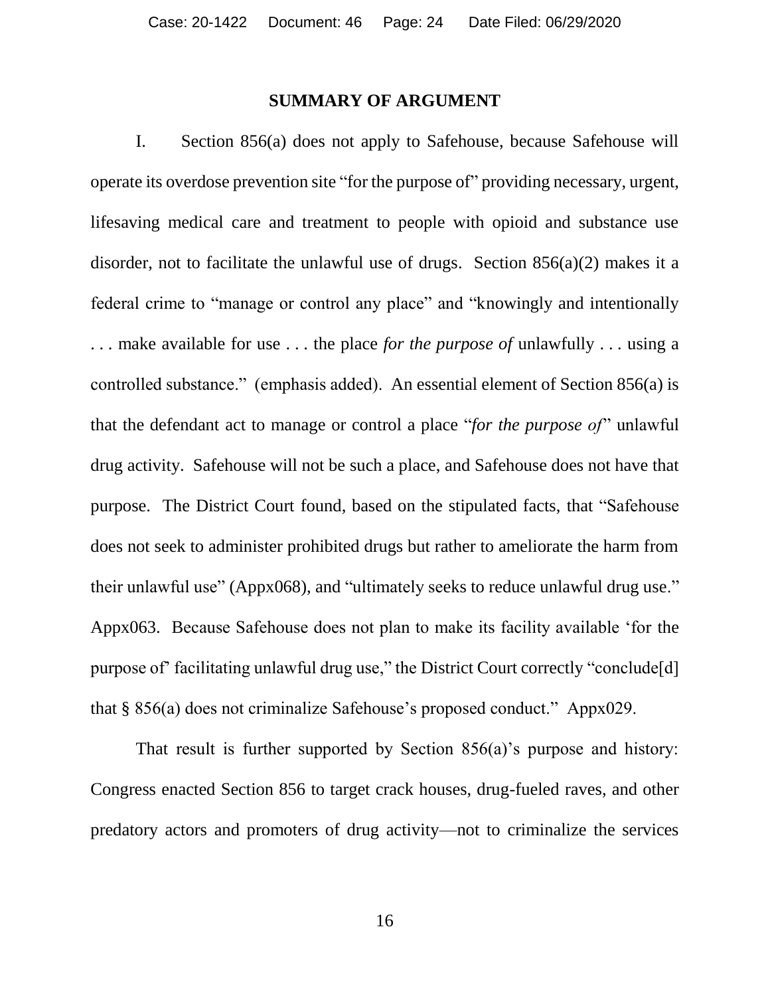#### **SUMMARY OF ARGUMENT**

<span id="page-23-0"></span>I. Section 856(a) does not apply to Safehouse, because Safehouse will operate its overdose prevention site "for the purpose of" providing necessary, urgent, lifesaving medical care and treatment to people with opioid and substance use disorder, not to facilitate the unlawful use of drugs. Section 856(a)(2) makes it a federal crime to "manage or control any place" and "knowingly and intentionally . . . make available for use . . . the place *for the purpose of* unlawfully . . . using a controlled substance." (emphasis added). An essential element of Section 856(a) is that the defendant act to manage or control a place "*for the purpose of*" unlawful drug activity. Safehouse will not be such a place, and Safehouse does not have that purpose. The District Court found, based on the stipulated facts, that "Safehouse does not seek to administer prohibited drugs but rather to ameliorate the harm from their unlawful use" (Appx068), and "ultimately seeks to reduce unlawful drug use." Appx063.Because Safehouse does not plan to make its facility available 'for the purpose of' facilitating unlawful drug use," the District Court correctly "conclude[d] that § 856(a) does not criminalize Safehouse's proposed conduct." Appx029.

That result is further supported by Section 856(a)'s purpose and history: Congress enacted Section 856 to target crack houses, drug-fueled raves, and other predatory actors and promoters of drug activity—not to criminalize the services

16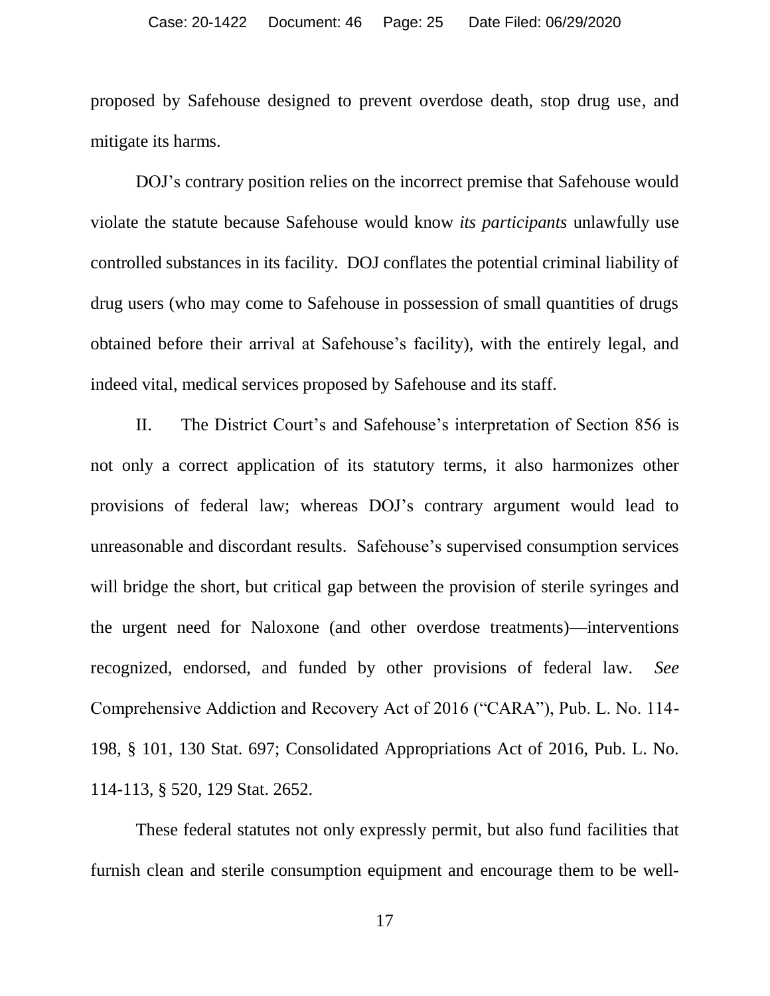proposed by Safehouse designed to prevent overdose death, stop drug use, and mitigate its harms.

DOJ's contrary position relies on the incorrect premise that Safehouse would violate the statute because Safehouse would know *its participants* unlawfully use controlled substances in its facility. DOJ conflates the potential criminal liability of drug users (who may come to Safehouse in possession of small quantities of drugs obtained before their arrival at Safehouse's facility), with the entirely legal, and indeed vital, medical services proposed by Safehouse and its staff.

II. The District Court's and Safehouse's interpretation of Section 856 is not only a correct application of its statutory terms, it also harmonizes other provisions of federal law; whereas DOJ's contrary argument would lead to unreasonable and discordant results. Safehouse's supervised consumption services will bridge the short, but critical gap between the provision of sterile syringes and the urgent need for Naloxone (and other overdose treatments)—interventions recognized, endorsed, and funded by other provisions of federal law. *See*  Comprehensive Addiction and Recovery Act of 2016 ("CARA"), Pub. L. No. 114- 198, § 101, 130 Stat. 697; Consolidated Appropriations Act of 2016, Pub. L. No. 114-113, § 520, 129 Stat. 2652.

These federal statutes not only expressly permit, but also fund facilities that furnish clean and sterile consumption equipment and encourage them to be well-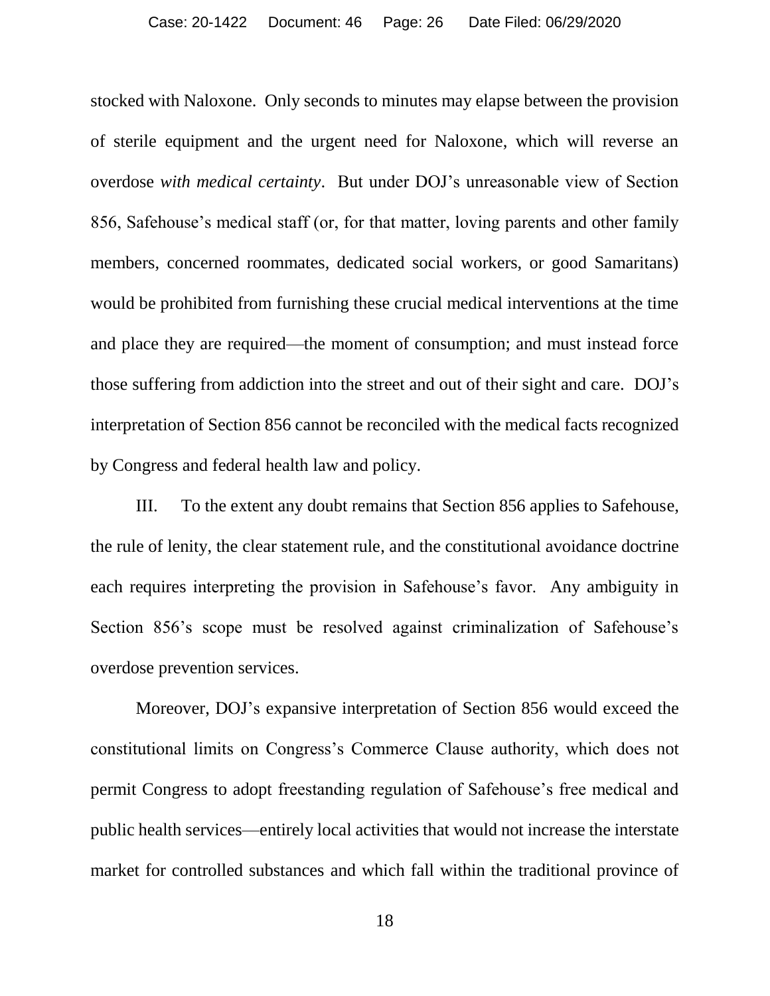stocked with Naloxone. Only seconds to minutes may elapse between the provision of sterile equipment and the urgent need for Naloxone, which will reverse an overdose *with medical certainty*. But under DOJ's unreasonable view of Section 856, Safehouse's medical staff (or, for that matter, loving parents and other family members, concerned roommates, dedicated social workers, or good Samaritans) would be prohibited from furnishing these crucial medical interventions at the time and place they are required—the moment of consumption; and must instead force those suffering from addiction into the street and out of their sight and care. DOJ's interpretation of Section 856 cannot be reconciled with the medical facts recognized by Congress and federal health law and policy.

III. To the extent any doubt remains that Section 856 applies to Safehouse, the rule of lenity, the clear statement rule, and the constitutional avoidance doctrine each requires interpreting the provision in Safehouse's favor. Any ambiguity in Section 856's scope must be resolved against criminalization of Safehouse's overdose prevention services.

Moreover, DOJ's expansive interpretation of Section 856 would exceed the constitutional limits on Congress's Commerce Clause authority, which does not permit Congress to adopt freestanding regulation of Safehouse's free medical and public health services—entirely local activities that would not increase the interstate market for controlled substances and which fall within the traditional province of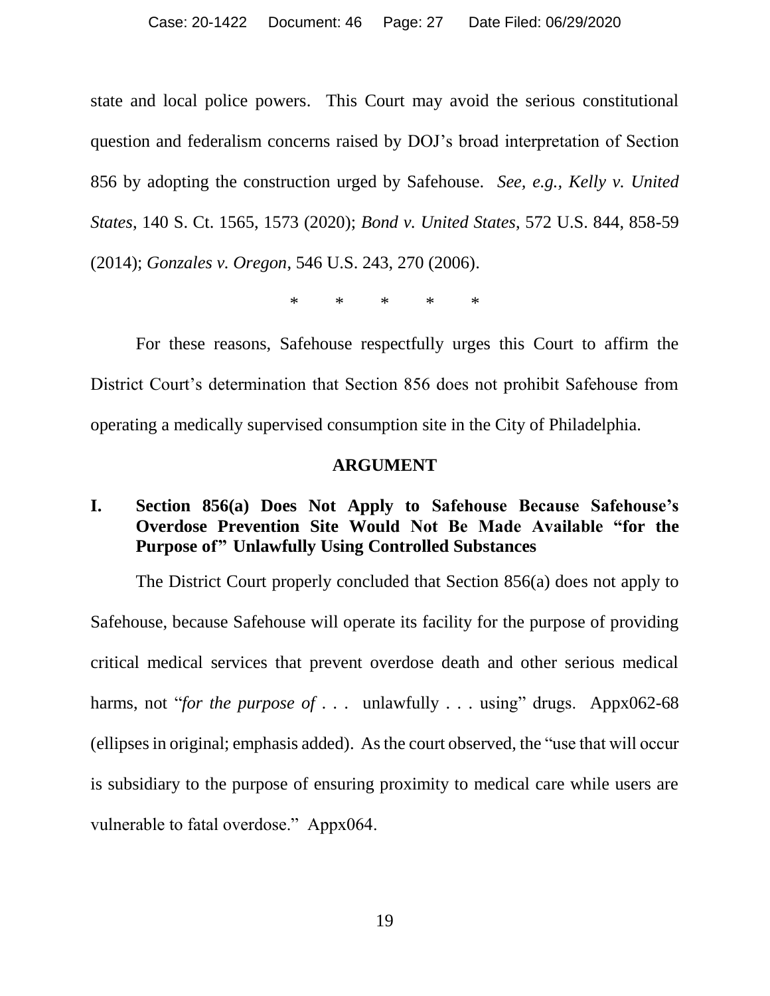state and local police powers. This Court may avoid the serious constitutional question and federalism concerns raised by DOJ's broad interpretation of Section 856 by adopting the construction urged by Safehouse. *See, e.g., Kelly v. United States*, 140 S. Ct. 1565, 1573 (2020); *Bond v. United States*, 572 U.S. 844, 858-59 (2014); *Gonzales v. Oregon*, 546 U.S. 243, 270 (2006).

\* \* \* \* \*

For these reasons, Safehouse respectfully urges this Court to affirm the District Court's determination that Section 856 does not prohibit Safehouse from operating a medically supervised consumption site in the City of Philadelphia.

#### **ARGUMENT**

# <span id="page-26-1"></span><span id="page-26-0"></span>**I. Section 856(a) Does Not Apply to Safehouse Because Safehouse's Overdose Prevention Site Would Not Be Made Available "for the Purpose of" Unlawfully Using Controlled Substances**

The District Court properly concluded that Section 856(a) does not apply to Safehouse, because Safehouse will operate its facility for the purpose of providing critical medical services that prevent overdose death and other serious medical harms, not "*for the purpose of* . . . unlawfully . . . using" drugs. Appx062-68 (ellipses in original; emphasis added). As the court observed, the "use that will occur is subsidiary to the purpose of ensuring proximity to medical care while users are vulnerable to fatal overdose." Appx064.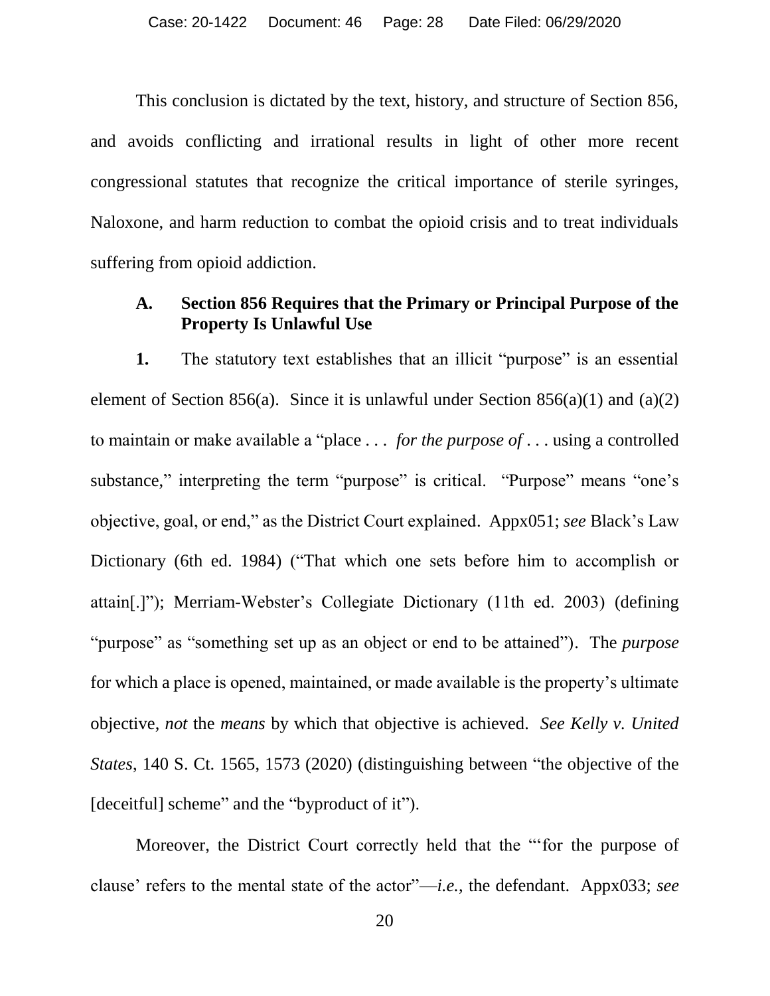This conclusion is dictated by the text, history, and structure of Section 856, and avoids conflicting and irrational results in light of other more recent congressional statutes that recognize the critical importance of sterile syringes, Naloxone, and harm reduction to combat the opioid crisis and to treat individuals suffering from opioid addiction.

### <span id="page-27-0"></span>**A. Section 856 Requires that the Primary or Principal Purpose of the Property Is Unlawful Use**

**1.** The statutory text establishes that an illicit "purpose" is an essential element of Section 856(a). Since it is unlawful under Section 856(a)(1) and (a)(2) to maintain or make available a "place *. . . for the purpose of* . . . using a controlled substance," interpreting the term "purpose" is critical. "Purpose" means "one's objective, goal, or end," as the District Court explained. Appx051; *see* Black's Law Dictionary (6th ed. 1984) ("That which one sets before him to accomplish or attain[.]"); Merriam-Webster's Collegiate Dictionary (11th ed. 2003) (defining "purpose" as "something set up as an object or end to be attained"). The *purpose* for which a place is opened, maintained, or made available is the property's ultimate objective, *not* the *means* by which that objective is achieved. *See Kelly v. United States*, 140 S. Ct. 1565, 1573 (2020) (distinguishing between "the objective of the [deceitful] scheme" and the "byproduct of it").

Moreover, the District Court correctly held that the "'for the purpose of clause' refers to the mental state of the actor"—*i.e.*, the defendant. Appx033; *see*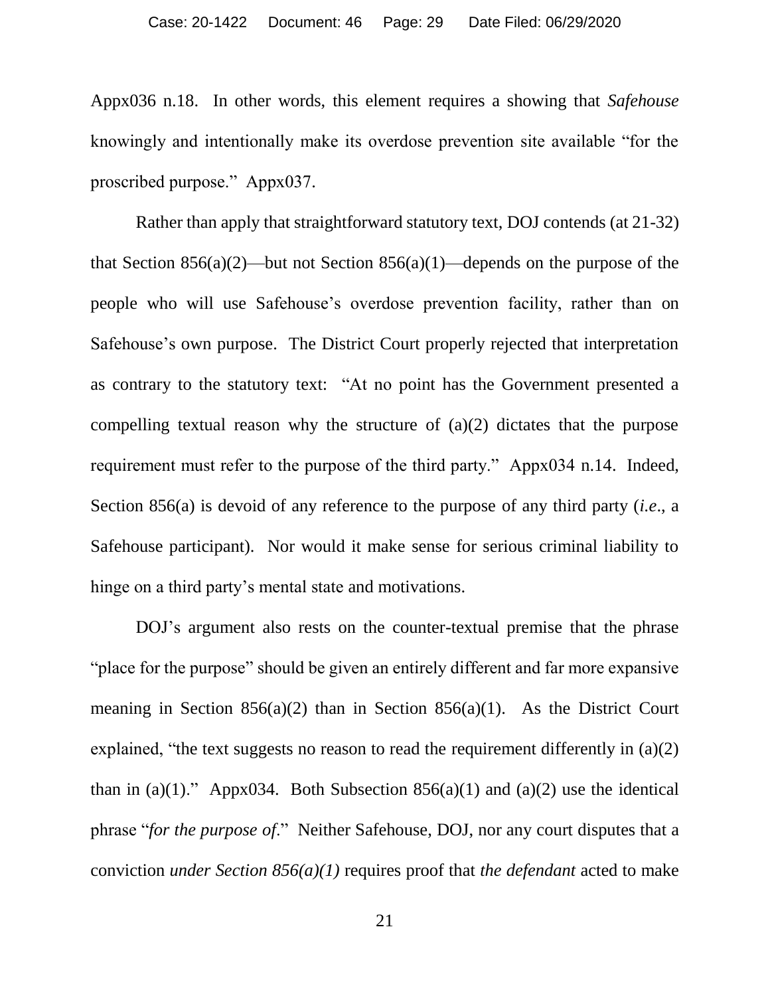Appx036 n.18. In other words, this element requires a showing that *Safehouse*  knowingly and intentionally make its overdose prevention site available "for the proscribed purpose." Appx037.

Rather than apply that straightforward statutory text, DOJ contends (at 21-32) that Section  $856(a)(2)$ —but not Section  $856(a)(1)$ —depends on the purpose of the people who will use Safehouse's overdose prevention facility, rather than on Safehouse's own purpose. The District Court properly rejected that interpretation as contrary to the statutory text: "At no point has the Government presented a compelling textual reason why the structure of (a)(2) dictates that the purpose requirement must refer to the purpose of the third party." Appx034 n.14. Indeed, Section 856(a) is devoid of any reference to the purpose of any third party (*i.e*., a Safehouse participant). Nor would it make sense for serious criminal liability to hinge on a third party's mental state and motivations.

DOJ's argument also rests on the counter-textual premise that the phrase "place for the purpose" should be given an entirely different and far more expansive meaning in Section 856(a)(2) than in Section 856(a)(1). As the District Court explained, "the text suggests no reason to read the requirement differently in (a)(2) than in (a)(1)." Appx034. Both Subsection  $856(a)(1)$  and (a)(2) use the identical phrase "*for the purpose of*." Neither Safehouse, DOJ, nor any court disputes that a conviction *under Section 856(a)(1)* requires proof that *the defendant* acted to make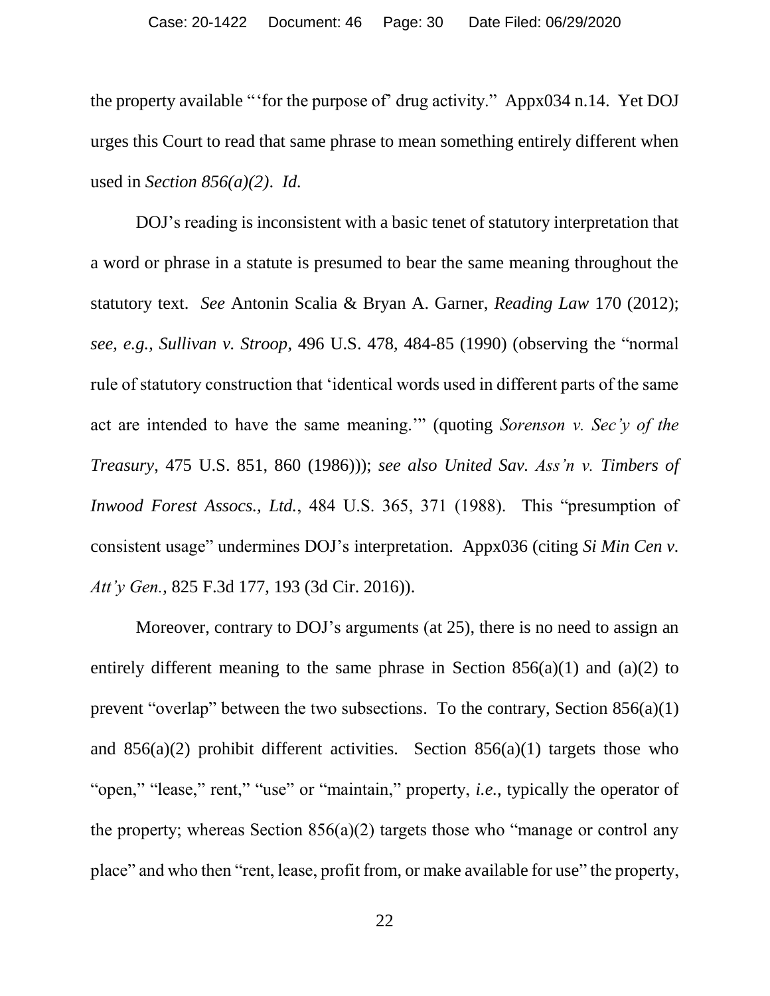the property available "'for the purpose of' drug activity." Appx034 n.14. Yet DOJ urges this Court to read that same phrase to mean something entirely different when used in *Section 856(a)(2)*. *Id.* 

DOJ's reading is inconsistent with a basic tenet of statutory interpretation that a word or phrase in a statute is presumed to bear the same meaning throughout the statutory text. *See* Antonin Scalia & Bryan A. Garner, *Reading Law* 170 (2012); *see, e.g.*, *Sullivan v. Stroop*, 496 U.S. 478, 484-85 (1990) (observing the "normal rule of statutory construction that 'identical words used in different parts of the same act are intended to have the same meaning.'" (quoting *Sorenson v. Sec'y of the Treasury*, 475 U.S. 851, 860 (1986))); *see also United Sav. Ass'n v. Timbers of Inwood Forest Assocs., Ltd.*, 484 U.S. 365, 371 (1988). This "presumption of consistent usage" undermines DOJ's interpretation. Appx036 (citing *Si Min Cen v. Att'y Gen.*, 825 F.3d 177, 193 (3d Cir. 2016)).

Moreover, contrary to DOJ's arguments (at 25), there is no need to assign an entirely different meaning to the same phrase in Section  $856(a)(1)$  and  $(a)(2)$  to prevent "overlap" between the two subsections. To the contrary, Section 856(a)(1) and  $856(a)(2)$  prohibit different activities. Section  $856(a)(1)$  targets those who "open," "lease," rent," "use" or "maintain," property, *i.e.*, typically the operator of the property; whereas Section  $856(a)(2)$  targets those who "manage or control any place" and who then "rent, lease, profit from, or make available for use" the property,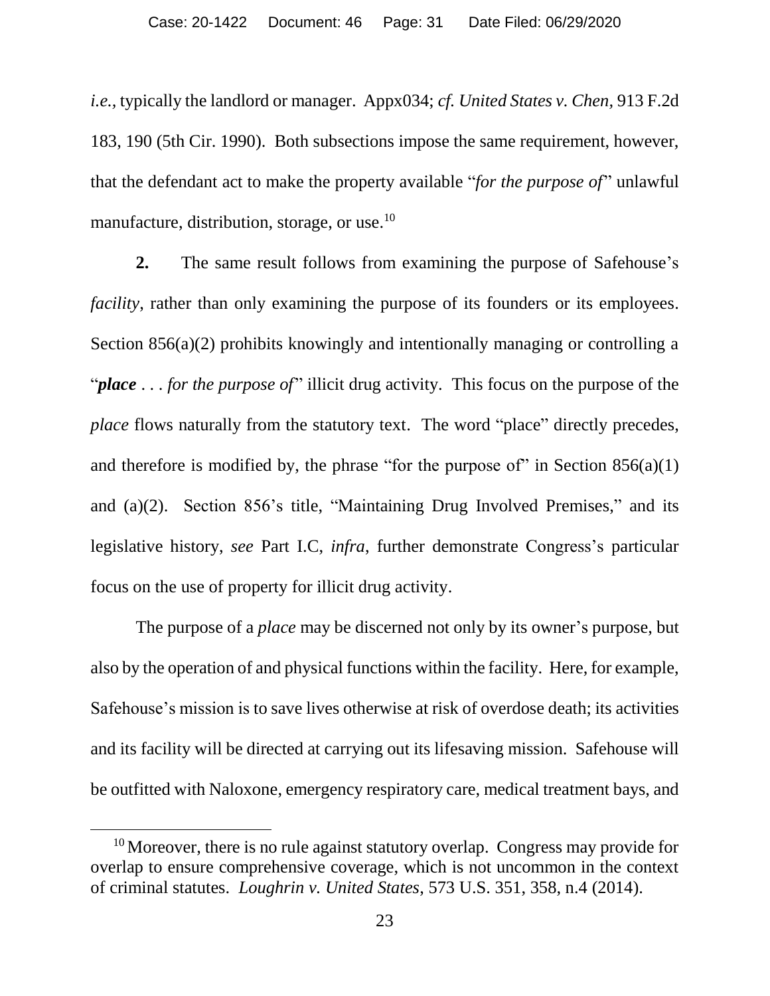*i.e.,* typically the landlord or manager. Appx034; *cf. United States v. Chen,* 913 F.2d 183, 190 (5th Cir. 1990). Both subsections impose the same requirement, however, that the defendant act to make the property available "*for the purpose of*" unlawful manufacture, distribution, storage, or use.<sup>10</sup>

**2.** The same result follows from examining the purpose of Safehouse's *facility*, rather than only examining the purpose of its founders or its employees. Section 856(a)(2) prohibits knowingly and intentionally managing or controlling a "*place* . . . *for the purpose of*" illicit drug activity. This focus on the purpose of the *place* flows naturally from the statutory text. The word "place" directly precedes, and therefore is modified by, the phrase "for the purpose of" in Section  $856(a)(1)$ and (a)(2). Section 856's title, "Maintaining Drug Involved Premises," and its legislative history, *see* Part I.C, *infra*, further demonstrate Congress's particular focus on the use of property for illicit drug activity.

The purpose of a *place* may be discerned not only by its owner's purpose, but also by the operation of and physical functions within the facility. Here, for example, Safehouse's mission is to save lives otherwise at risk of overdose death; its activities and its facility will be directed at carrying out its lifesaving mission. Safehouse will be outfitted with Naloxone, emergency respiratory care, medical treatment bays, and

 $10$  Moreover, there is no rule against statutory overlap. Congress may provide for overlap to ensure comprehensive coverage, which is not uncommon in the context of criminal statutes. *Loughrin v. United States*, 573 U.S. 351, 358, n.4 (2014).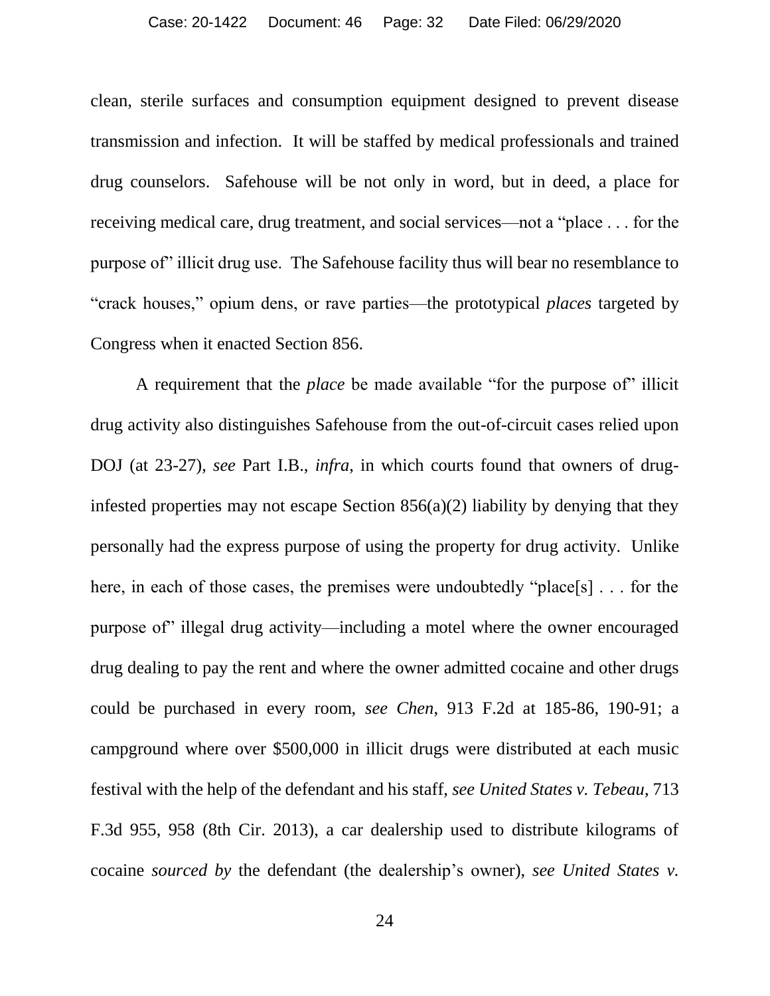clean, sterile surfaces and consumption equipment designed to prevent disease transmission and infection. It will be staffed by medical professionals and trained drug counselors. Safehouse will be not only in word, but in deed, a place for receiving medical care, drug treatment, and social services—not a "place . . . for the purpose of" illicit drug use. The Safehouse facility thus will bear no resemblance to "crack houses," opium dens, or rave parties—the prototypical *places* targeted by Congress when it enacted Section 856.

A requirement that the *place* be made available "for the purpose of" illicit drug activity also distinguishes Safehouse from the out-of-circuit cases relied upon DOJ (at 23-27), *see* Part I.B., *infra*, in which courts found that owners of druginfested properties may not escape Section  $856(a)(2)$  liability by denying that they personally had the express purpose of using the property for drug activity. Unlike here, in each of those cases, the premises were undoubtedly "place[s] . . . for the purpose of" illegal drug activity—including a motel where the owner encouraged drug dealing to pay the rent and where the owner admitted cocaine and other drugs could be purchased in every room, *see Chen*, 913 F.2d at 185-86, 190-91; a campground where over \$500,000 in illicit drugs were distributed at each music festival with the help of the defendant and his staff, *see United States v. Tebeau*, 713 F.3d 955, 958 (8th Cir. 2013), a car dealership used to distribute kilograms of cocaine *sourced by* the defendant (the dealership's owner), *see United States v.*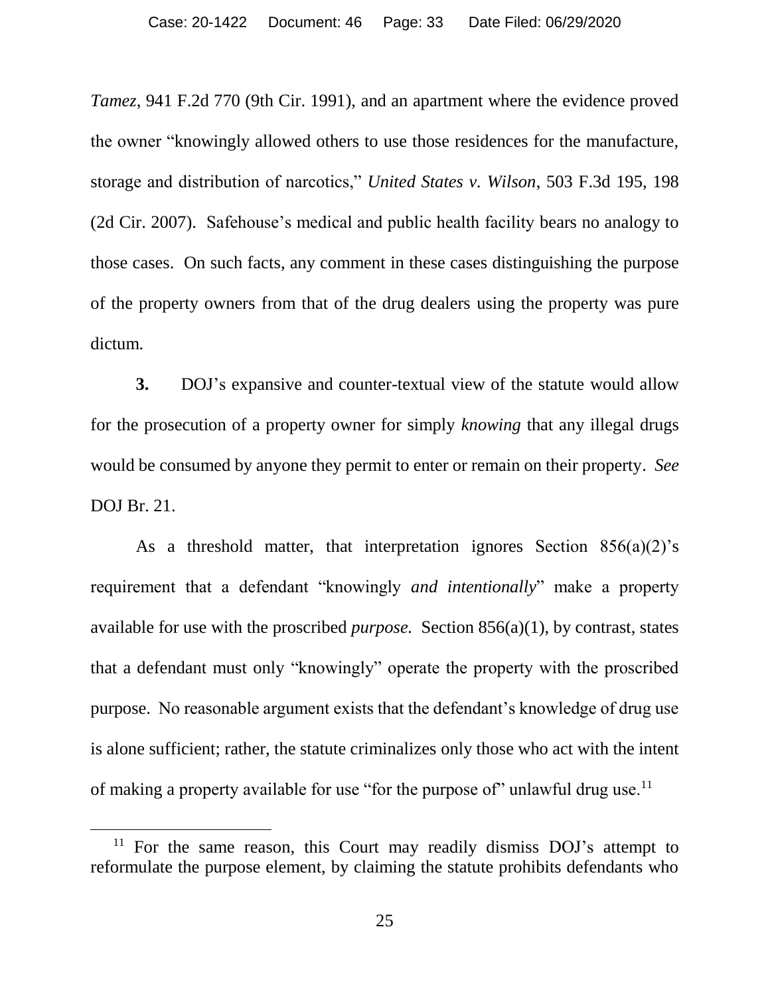*Tamez*, 941 F.2d 770 (9th Cir. 1991), and an apartment where the evidence proved the owner "knowingly allowed others to use those residences for the manufacture, storage and distribution of narcotics," *United States v. Wilson*, 503 F.3d 195, 198 (2d Cir. 2007). Safehouse's medical and public health facility bears no analogy to those cases. On such facts, any comment in these cases distinguishing the purpose of the property owners from that of the drug dealers using the property was pure dictum.

**3.** DOJ's expansive and counter-textual view of the statute would allow for the prosecution of a property owner for simply *knowing* that any illegal drugs would be consumed by anyone they permit to enter or remain on their property. *See* DOJ Br. 21.

As a threshold matter, that interpretation ignores Section 856(a)(2)'s requirement that a defendant "knowingly *and intentionally*" make a property available for use with the proscribed *purpose.* Section 856(a)(1), by contrast, states that a defendant must only "knowingly" operate the property with the proscribed purpose. No reasonable argument exists that the defendant's knowledge of drug use is alone sufficient; rather, the statute criminalizes only those who act with the intent of making a property available for use "for the purpose of" unlawful drug use.<sup>11</sup>

<sup>&</sup>lt;sup>11</sup> For the same reason, this Court may readily dismiss DOJ's attempt to reformulate the purpose element, by claiming the statute prohibits defendants who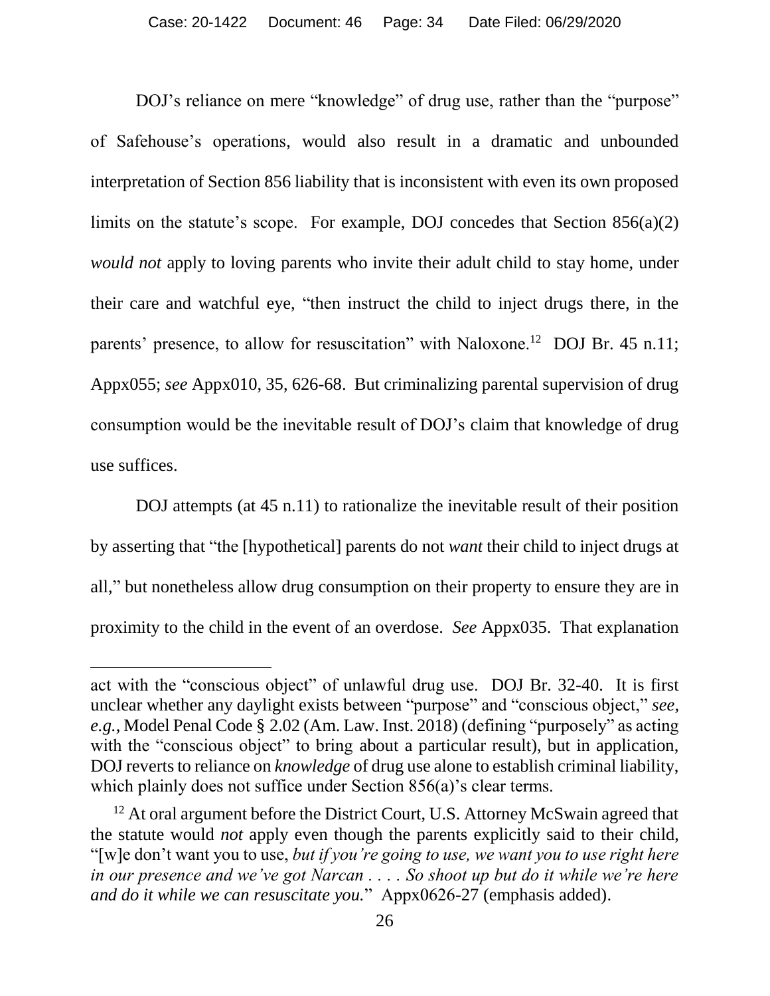DOJ's reliance on mere "knowledge" of drug use, rather than the "purpose" of Safehouse's operations, would also result in a dramatic and unbounded interpretation of Section 856 liability that is inconsistent with even its own proposed limits on the statute's scope. For example, DOJ concedes that Section  $856(a)(2)$ *would not* apply to loving parents who invite their adult child to stay home, under their care and watchful eye, "then instruct the child to inject drugs there, in the parents' presence, to allow for resuscitation" with Naloxone.<sup>12</sup> DOJ Br. 45 n.11; Appx055; *see* Appx010, 35, 626-68. But criminalizing parental supervision of drug consumption would be the inevitable result of DOJ's claim that knowledge of drug use suffices.

DOJ attempts (at 45 n.11) to rationalize the inevitable result of their position by asserting that "the [hypothetical] parents do not *want* their child to inject drugs at all," but nonetheless allow drug consumption on their property to ensure they are in proximity to the child in the event of an overdose. *See* Appx035. That explanation

act with the "conscious object" of unlawful drug use. DOJ Br. 32-40. It is first unclear whether any daylight exists between "purpose" and "conscious object," *see, e.g.*, Model Penal Code § 2.02 (Am. Law. Inst. 2018) (defining "purposely" as acting with the "conscious object" to bring about a particular result), but in application, DOJ reverts to reliance on *knowledge* of drug use alone to establish criminal liability, which plainly does not suffice under Section 856(a)'s clear terms.

<sup>&</sup>lt;sup>12</sup> At oral argument before the District Court, U.S. Attorney McSwain agreed that the statute would *not* apply even though the parents explicitly said to their child, "[w]e don't want you to use, *but if you're going to use, we want you to use right here in our presence and we've got Narcan . . . . So shoot up but do it while we're here and do it while we can resuscitate you.*" Appx0626-27 (emphasis added).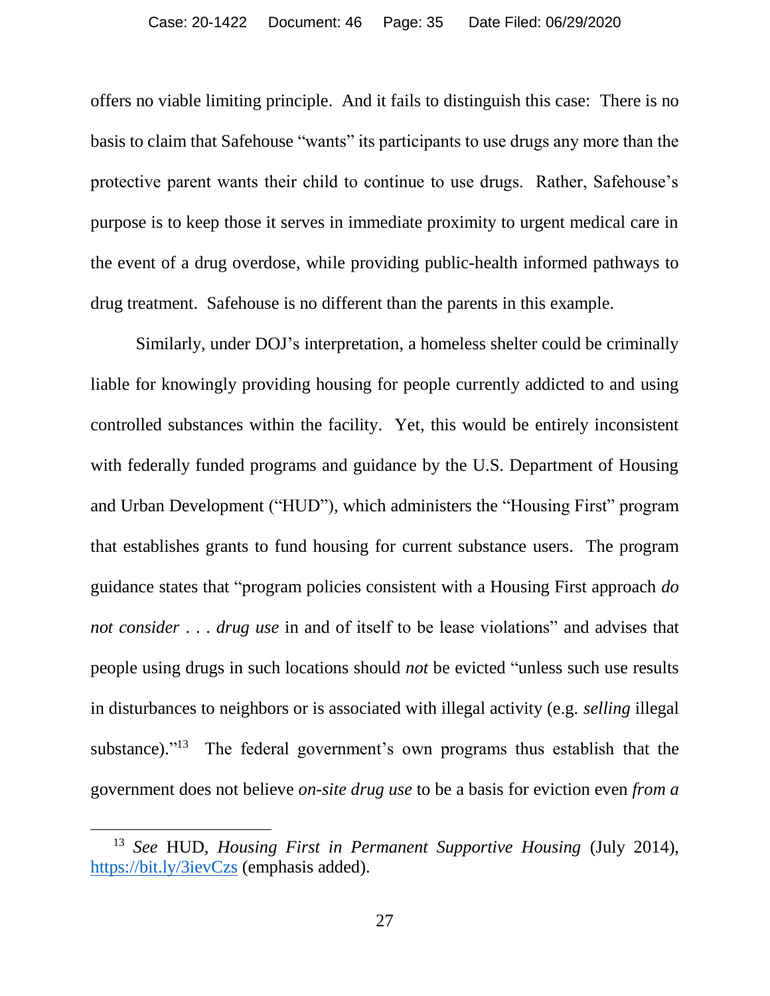offers no viable limiting principle. And it fails to distinguish this case: There is no basis to claim that Safehouse "wants" its participants to use drugs any more than the protective parent wants their child to continue to use drugs. Rather, Safehouse's purpose is to keep those it serves in immediate proximity to urgent medical care in the event of a drug overdose, while providing public-health informed pathways to drug treatment. Safehouse is no different than the parents in this example.

Similarly, under DOJ's interpretation, a homeless shelter could be criminally liable for knowingly providing housing for people currently addicted to and using controlled substances within the facility. Yet, this would be entirely inconsistent with federally funded programs and guidance by the U.S. Department of Housing and Urban Development ("HUD"), which administers the "Housing First" program that establishes grants to fund housing for current substance users. The program guidance states that "program policies consistent with a Housing First approach *do not consider* . . . *drug use* in and of itself to be lease violations" and advises that people using drugs in such locations should *not* be evicted "unless such use results in disturbances to neighbors or is associated with illegal activity (e.g. *selling* illegal substance). $13$  The federal government's own programs thus establish that the government does not believe *on-site drug use* to be a basis for eviction even *from a* 

<sup>13</sup> *See* HUD, *Housing First in Permanent Supportive Housing* (July 2014), <https://bit.ly/3ievCzs> (emphasis added).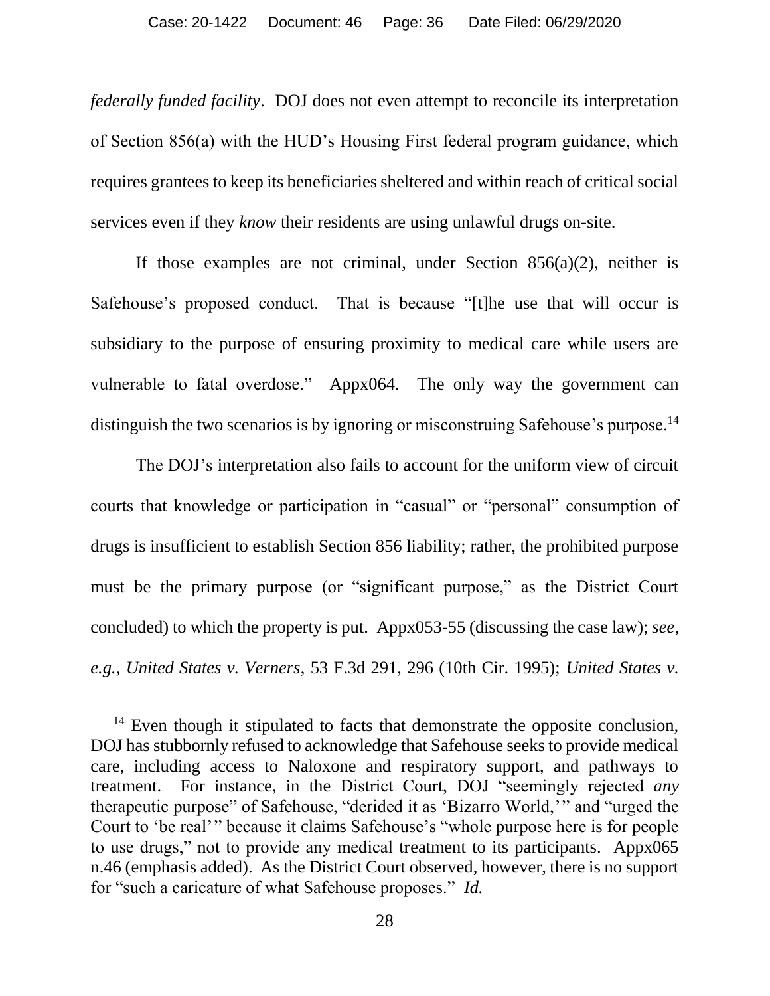*federally funded facility*. DOJ does not even attempt to reconcile its interpretation of Section 856(a) with the HUD's Housing First federal program guidance, which requires grantees to keep its beneficiaries sheltered and within reach of critical social services even if they *know* their residents are using unlawful drugs on-site.

If those examples are not criminal, under Section  $856(a)(2)$ , neither is Safehouse's proposed conduct. That is because "[t]he use that will occur is subsidiary to the purpose of ensuring proximity to medical care while users are vulnerable to fatal overdose." Appx064. The only way the government can distinguish the two scenarios is by ignoring or misconstruing Safehouse's purpose.<sup>14</sup>

The DOJ's interpretation also fails to account for the uniform view of circuit courts that knowledge or participation in "casual" or "personal" consumption of drugs is insufficient to establish Section 856 liability; rather, the prohibited purpose must be the primary purpose (or "significant purpose," as the District Court concluded) to which the property is put. Appx053-55 (discussing the case law); *see, e.g.*, *United States v. Verners*, 53 F.3d 291, 296 (10th Cir. 1995); *United States v.* 

<sup>&</sup>lt;sup>14</sup> Even though it stipulated to facts that demonstrate the opposite conclusion, DOJ has stubbornly refused to acknowledge that Safehouse seeks to provide medical care, including access to Naloxone and respiratory support, and pathways to treatment. For instance, in the District Court, DOJ "seemingly rejected *any* therapeutic purpose" of Safehouse, "derided it as 'Bizarro World,'" and "urged the Court to 'be real'" because it claims Safehouse's "whole purpose here is for people to use drugs," not to provide any medical treatment to its participants. Appx065 n.46 (emphasis added). As the District Court observed, however, there is no support for "such a caricature of what Safehouse proposes." *Id.*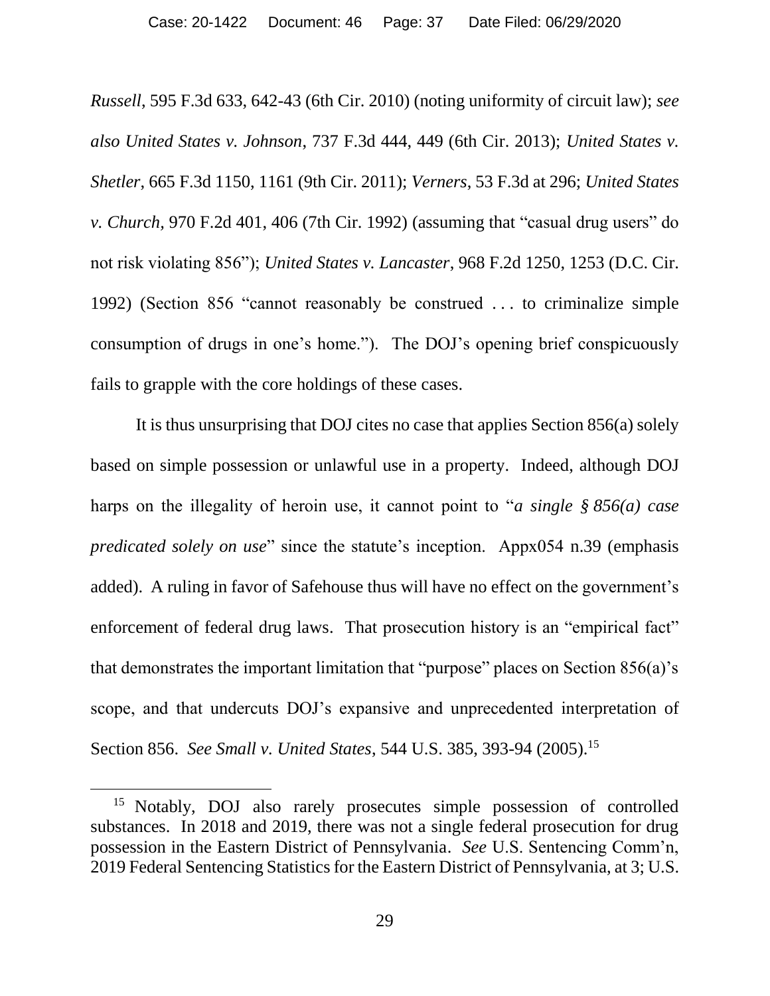*Russell*, 595 F.3d 633, 642-43 (6th Cir. 2010) (noting uniformity of circuit law); *see also United States v. Johnson*, 737 F.3d 444, 449 (6th Cir. 2013); *United States v. Shetler*, 665 F.3d 1150, 1161 (9th Cir. 2011); *Verners*, 53 F.3d at 296; *United States v. Church,* 970 F.2d 401, 406 (7th Cir. 1992) (assuming that "casual drug users" do not risk violating 856"); *United States v. Lancaster*, 968 F.2d 1250, 1253 (D.C. Cir. 1992) (Section 856 "cannot reasonably be construed . . . to criminalize simple consumption of drugs in one's home."). The DOJ's opening brief conspicuously fails to grapple with the core holdings of these cases.

It is thus unsurprising that DOJ cites no case that applies Section 856(a) solely based on simple possession or unlawful use in a property. Indeed, although DOJ harps on the illegality of heroin use, it cannot point to "*a single § 856(a) case predicated solely on use*" since the statute's inception. Appx054 n.39 (emphasis added). A ruling in favor of Safehouse thus will have no effect on the government's enforcement of federal drug laws. That prosecution history is an "empirical fact" that demonstrates the important limitation that "purpose" places on Section 856(a)'s scope, and that undercuts DOJ's expansive and unprecedented interpretation of Section 856. *See Small v. United States*, 544 U.S. 385, 393-94 (2005).<sup>15</sup>

<sup>&</sup>lt;sup>15</sup> Notably, DOJ also rarely prosecutes simple possession of controlled substances. In 2018 and 2019, there was not a single federal prosecution for drug possession in the Eastern District of Pennsylvania. *See* U.S. Sentencing Comm'n, 2019 Federal Sentencing Statistics for the Eastern District of Pennsylvania, at 3; U.S.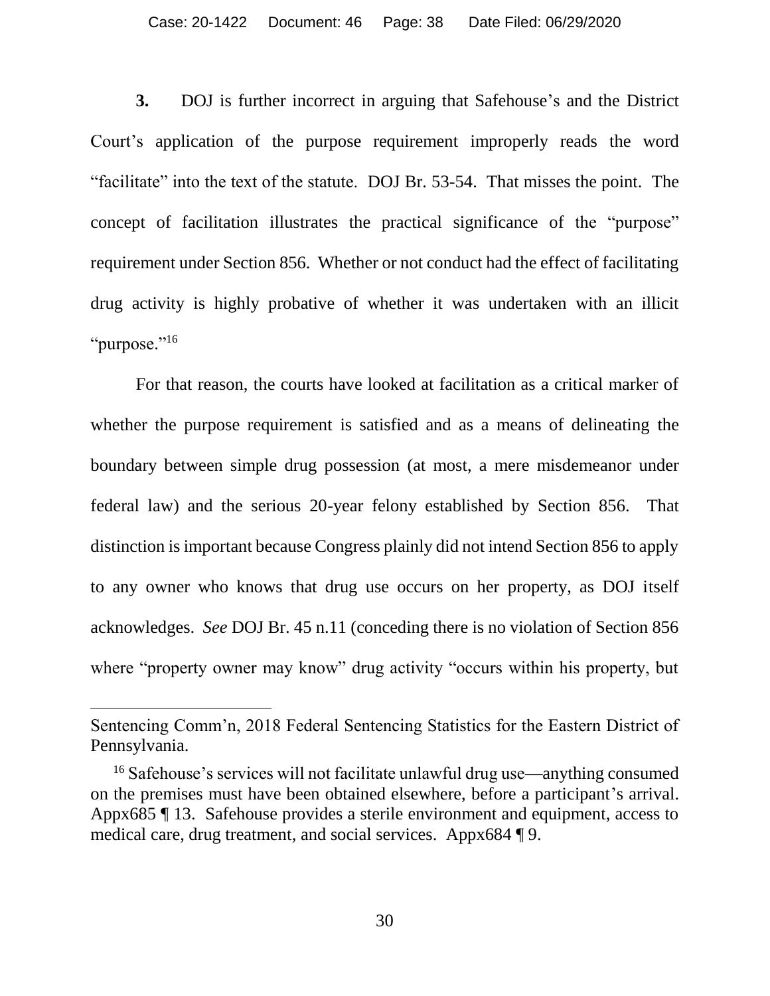**3.** DOJ is further incorrect in arguing that Safehouse's and the District Court's application of the purpose requirement improperly reads the word "facilitate" into the text of the statute. DOJ Br. 53-54. That misses the point. The concept of facilitation illustrates the practical significance of the "purpose" requirement under Section 856. Whether or not conduct had the effect of facilitating drug activity is highly probative of whether it was undertaken with an illicit "purpose."<sup>16</sup>

For that reason, the courts have looked at facilitation as a critical marker of whether the purpose requirement is satisfied and as a means of delineating the boundary between simple drug possession (at most, a mere misdemeanor under federal law) and the serious 20-year felony established by Section 856. That distinction is important because Congress plainly did not intend Section 856 to apply to any owner who knows that drug use occurs on her property, as DOJ itself acknowledges. *See* DOJ Br. 45 n.11 (conceding there is no violation of Section 856 where "property owner may know" drug activity "occurs within his property, but

Sentencing Comm'n, 2018 Federal Sentencing Statistics for the Eastern District of Pennsylvania.

<sup>&</sup>lt;sup>16</sup> Safehouse's services will not facilitate unlawful drug use—anything consumed on the premises must have been obtained elsewhere, before a participant's arrival. Appx685 ¶ 13. Safehouse provides a sterile environment and equipment, access to medical care, drug treatment, and social services. Appx684 ¶ 9.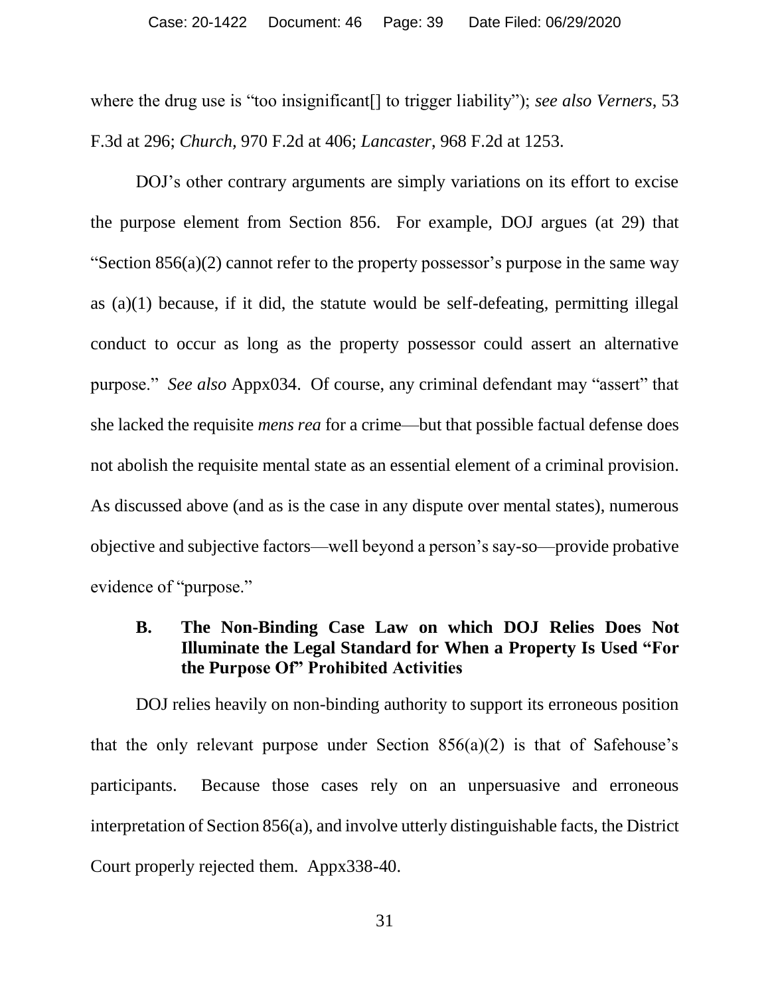where the drug use is "too insignificant[] to trigger liability"); *see also Verners*, 53 F.3d at 296; *Church,* 970 F.2d at 406; *Lancaster*, 968 F.2d at 1253.

DOJ's other contrary arguments are simply variations on its effort to excise the purpose element from Section 856. For example, DOJ argues (at 29) that "Section  $856(a)(2)$  cannot refer to the property possessor's purpose in the same way as (a)(1) because, if it did, the statute would be self-defeating, permitting illegal conduct to occur as long as the property possessor could assert an alternative purpose." *See also* Appx034. Of course, any criminal defendant may "assert" that she lacked the requisite *mens rea* for a crime—but that possible factual defense does not abolish the requisite mental state as an essential element of a criminal provision. As discussed above (and as is the case in any dispute over mental states), numerous objective and subjective factors—well beyond a person's say-so—provide probative evidence of "purpose."

# **B. The Non-Binding Case Law on which DOJ Relies Does Not Illuminate the Legal Standard for When a Property Is Used "For the Purpose Of" Prohibited Activities**

DOJ relies heavily on non-binding authority to support its erroneous position that the only relevant purpose under Section  $856(a)(2)$  is that of Safehouse's participants. Because those cases rely on an unpersuasive and erroneous interpretation of Section 856(a), and involve utterly distinguishable facts, the District Court properly rejected them. Appx338-40.

31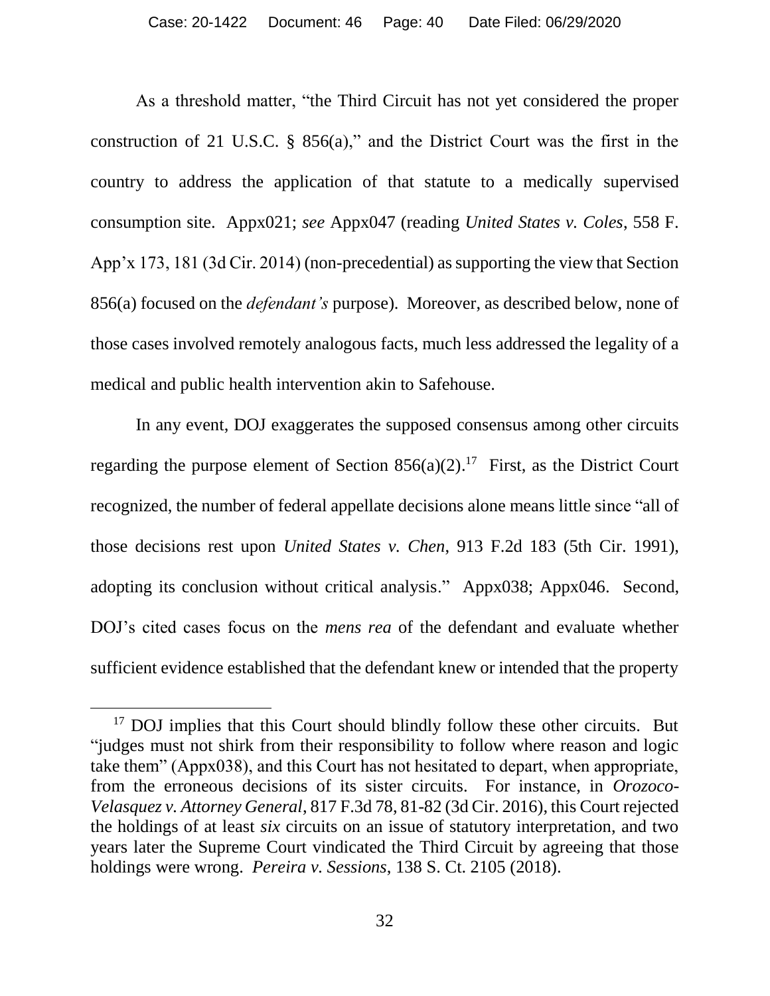As a threshold matter, "the Third Circuit has not yet considered the proper construction of 21 U.S.C. § 856(a)," and the District Court was the first in the country to address the application of that statute to a medically supervised consumption site. Appx021; *see* Appx047 (reading *United States v. Coles*, 558 F. App'x 173, 181 (3d Cir. 2014) (non-precedential) as supporting the view that Section 856(a) focused on the *defendant's* purpose). Moreover, as described below, none of those cases involved remotely analogous facts, much less addressed the legality of a medical and public health intervention akin to Safehouse.

In any event, DOJ exaggerates the supposed consensus among other circuits regarding the purpose element of Section  $856(a)(2)$ .<sup>17</sup> First, as the District Court recognized, the number of federal appellate decisions alone means little since "all of those decisions rest upon *United States v. Chen*, 913 F.2d 183 (5th Cir. 1991), adopting its conclusion without critical analysis." Appx038; Appx046. Second, DOJ's cited cases focus on the *mens rea* of the defendant and evaluate whether sufficient evidence established that the defendant knew or intended that the property

<sup>&</sup>lt;sup>17</sup> DOJ implies that this Court should blindly follow these other circuits. But "judges must not shirk from their responsibility to follow where reason and logic take them" (Appx038), and this Court has not hesitated to depart, when appropriate, from the erroneous decisions of its sister circuits. For instance, in *Orozoco-Velasquez v. Attorney General*, 817 F.3d 78, 81-82 (3d Cir. 2016), this Court rejected the holdings of at least *six* circuits on an issue of statutory interpretation, and two years later the Supreme Court vindicated the Third Circuit by agreeing that those holdings were wrong. *Pereira v. Sessions*, 138 S. Ct. 2105 (2018).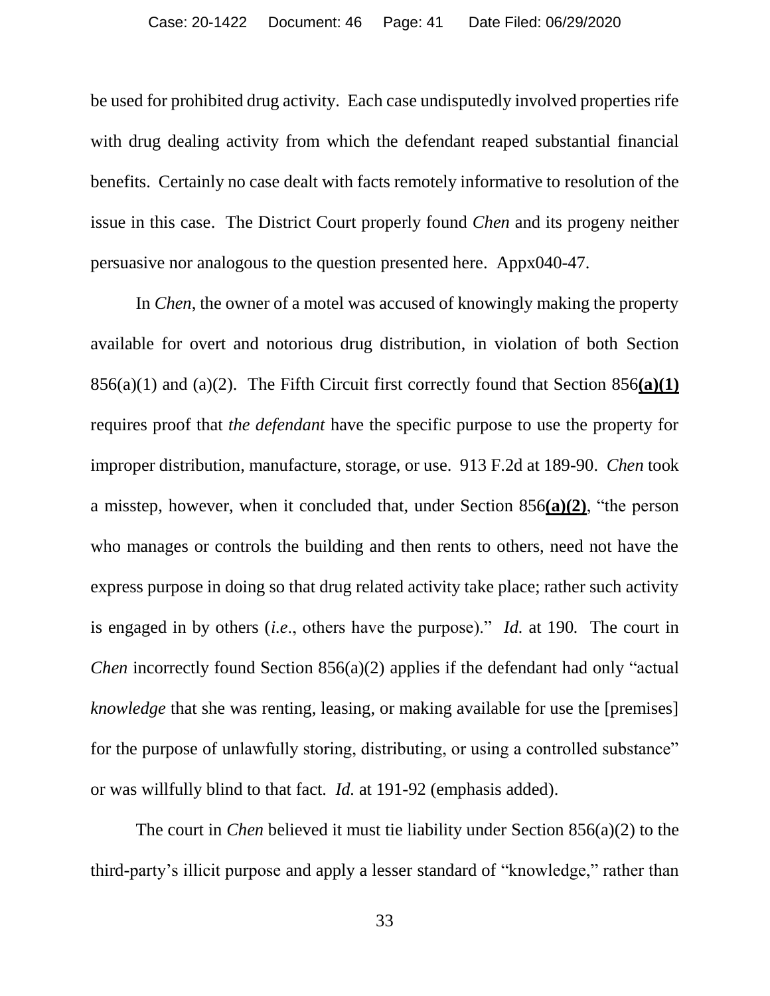be used for prohibited drug activity. Each case undisputedly involved properties rife with drug dealing activity from which the defendant reaped substantial financial benefits. Certainly no case dealt with facts remotely informative to resolution of the issue in this case. The District Court properly found *Chen* and its progeny neither persuasive nor analogous to the question presented here. Appx040-47.

In *Chen*, the owner of a motel was accused of knowingly making the property available for overt and notorious drug distribution, in violation of both Section 856(a)(1) and (a)(2). The Fifth Circuit first correctly found that Section 856**(a)(1)** requires proof that *the defendant* have the specific purpose to use the property for improper distribution, manufacture, storage, or use. 913 F.2d at 189-90. *Chen* took a misstep, however, when it concluded that, under Section 856**(a)(2)**, "the person who manages or controls the building and then rents to others, need not have the express purpose in doing so that drug related activity take place; rather such activity is engaged in by others (*i.e*., others have the purpose)." *Id.* at 190*.* The court in *Chen* incorrectly found Section 856(a)(2) applies if the defendant had only "actual *knowledge* that she was renting, leasing, or making available for use the [premises] for the purpose of unlawfully storing, distributing, or using a controlled substance" or was willfully blind to that fact. *Id.* at 191-92 (emphasis added).

The court in *Chen* believed it must tie liability under Section 856(a)(2) to the third-party's illicit purpose and apply a lesser standard of "knowledge," rather than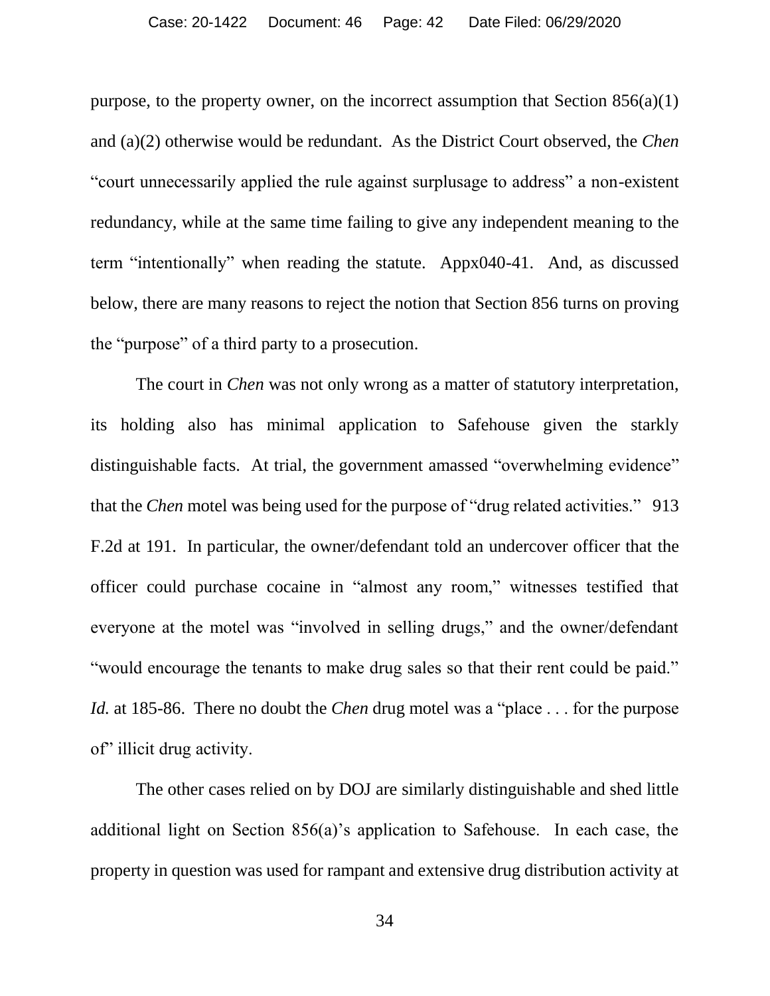purpose, to the property owner, on the incorrect assumption that Section  $856(a)(1)$ and (a)(2) otherwise would be redundant. As the District Court observed, the *Chen*  "court unnecessarily applied the rule against surplusage to address" a non-existent redundancy, while at the same time failing to give any independent meaning to the term "intentionally" when reading the statute. Appx040-41. And, as discussed below, there are many reasons to reject the notion that Section 856 turns on proving the "purpose" of a third party to a prosecution.

The court in *Chen* was not only wrong as a matter of statutory interpretation, its holding also has minimal application to Safehouse given the starkly distinguishable facts. At trial, the government amassed "overwhelming evidence" that the *Chen* motel was being used for the purpose of "drug related activities." 913 F.2d at 191. In particular, the owner/defendant told an undercover officer that the officer could purchase cocaine in "almost any room," witnesses testified that everyone at the motel was "involved in selling drugs," and the owner/defendant "would encourage the tenants to make drug sales so that their rent could be paid." *Id.* at 185-86. There no doubt the *Chen* drug motel was a "place . . . for the purpose of" illicit drug activity.

The other cases relied on by DOJ are similarly distinguishable and shed little additional light on Section 856(a)'s application to Safehouse. In each case, the property in question was used for rampant and extensive drug distribution activity at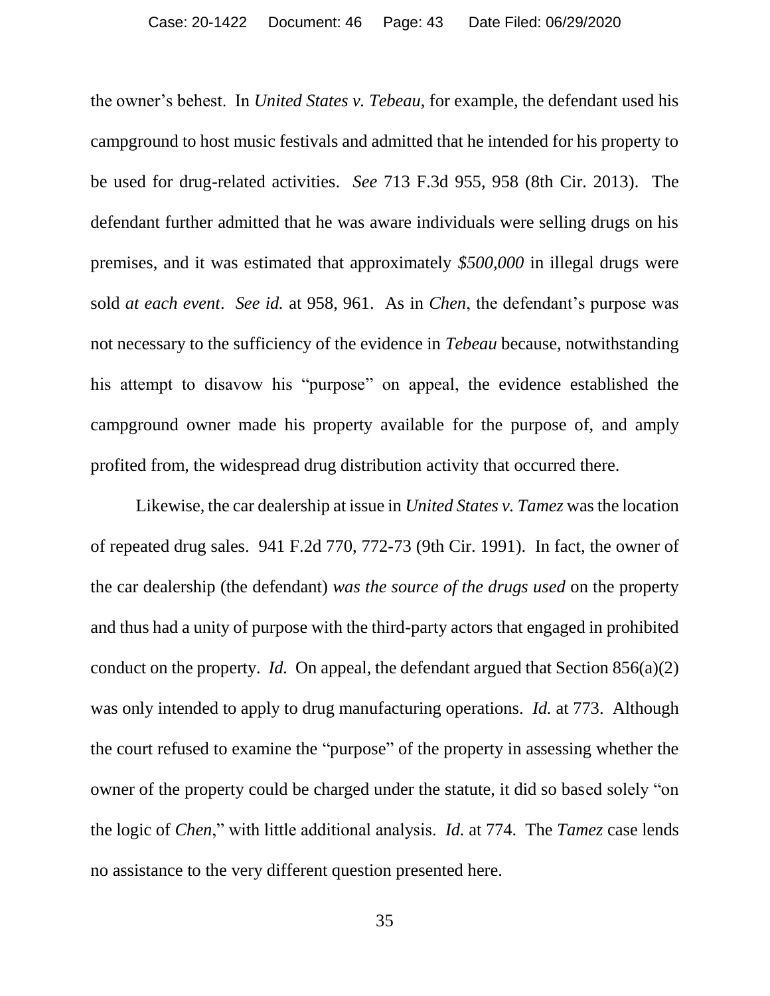the owner's behest. In *United States v. Tebeau*, for example, the defendant used his campground to host music festivals and admitted that he intended for his property to be used for drug-related activities. *See* 713 F.3d 955, 958 (8th Cir. 2013). The defendant further admitted that he was aware individuals were selling drugs on his premises, and it was estimated that approximately *\$500,000* in illegal drugs were sold *at each event*. *See id.* at 958, 961. As in *Chen*, the defendant's purpose was not necessary to the sufficiency of the evidence in *Tebeau* because, notwithstanding his attempt to disavow his "purpose" on appeal, the evidence established the campground owner made his property available for the purpose of, and amply profited from, the widespread drug distribution activity that occurred there.

Likewise, the car dealership at issue in *United States v. Tamez* was the location of repeated drug sales. 941 F.2d 770, 772-73 (9th Cir. 1991). In fact, the owner of the car dealership (the defendant) *was the source of the drugs used* on the property and thus had a unity of purpose with the third-party actors that engaged in prohibited conduct on the property. *Id.* On appeal, the defendant argued that Section 856(a)(2) was only intended to apply to drug manufacturing operations. *Id.* at 773. Although the court refused to examine the "purpose" of the property in assessing whether the owner of the property could be charged under the statute, it did so based solely "on the logic of *Chen*," with little additional analysis. *Id.* at 774. The *Tamez* case lends no assistance to the very different question presented here.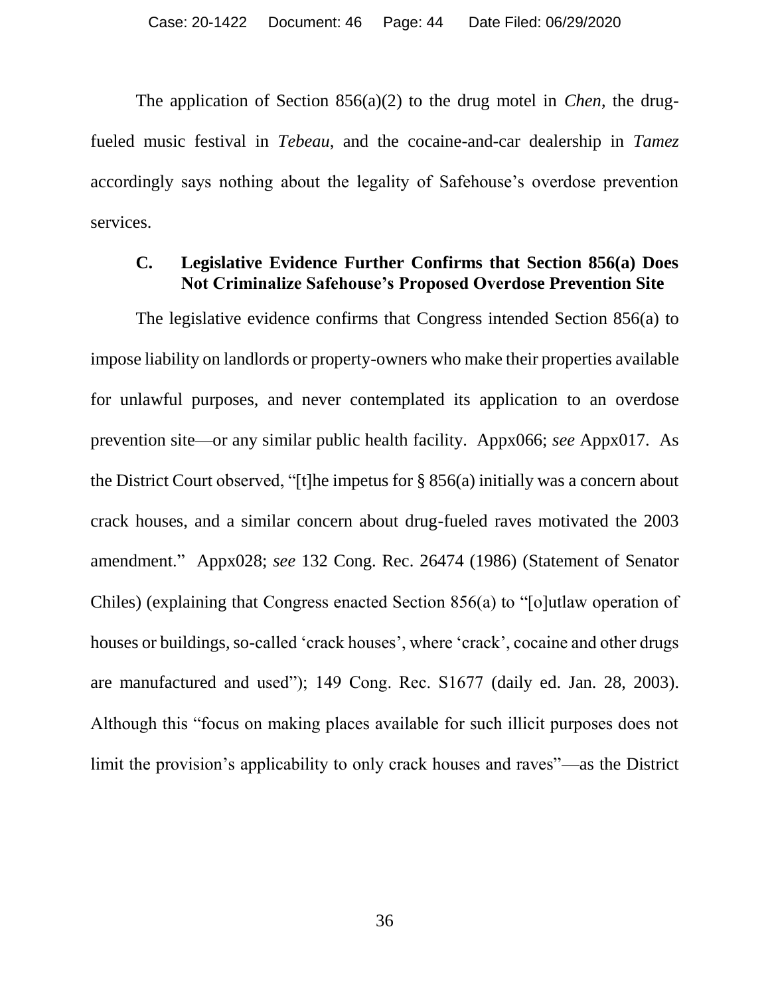The application of Section 856(a)(2) to the drug motel in *Chen*, the drugfueled music festival in *Tebeau*, and the cocaine-and-car dealership in *Tamez* accordingly says nothing about the legality of Safehouse's overdose prevention services.

### <span id="page-43-0"></span>**C. Legislative Evidence Further Confirms that Section 856(a) Does Not Criminalize Safehouse's Proposed Overdose Prevention Site**

The legislative evidence confirms that Congress intended Section 856(a) to impose liability on landlords or property-owners who make their properties available for unlawful purposes, and never contemplated its application to an overdose prevention site—or any similar public health facility. Appx066; *see* Appx017. As the District Court observed, "[t]he impetus for § 856(a) initially was a concern about crack houses, and a similar concern about drug-fueled raves motivated the 2003 amendment." Appx028; *see* 132 Cong. Rec. 26474 (1986) (Statement of Senator Chiles) (explaining that Congress enacted Section 856(a) to "[o]utlaw operation of houses or buildings, so-called 'crack houses', where 'crack', cocaine and other drugs are manufactured and used"); 149 Cong. Rec. S1677 (daily ed. Jan. 28, 2003). Although this "focus on making places available for such illicit purposes does not limit the provision's applicability to only crack houses and raves"—as the District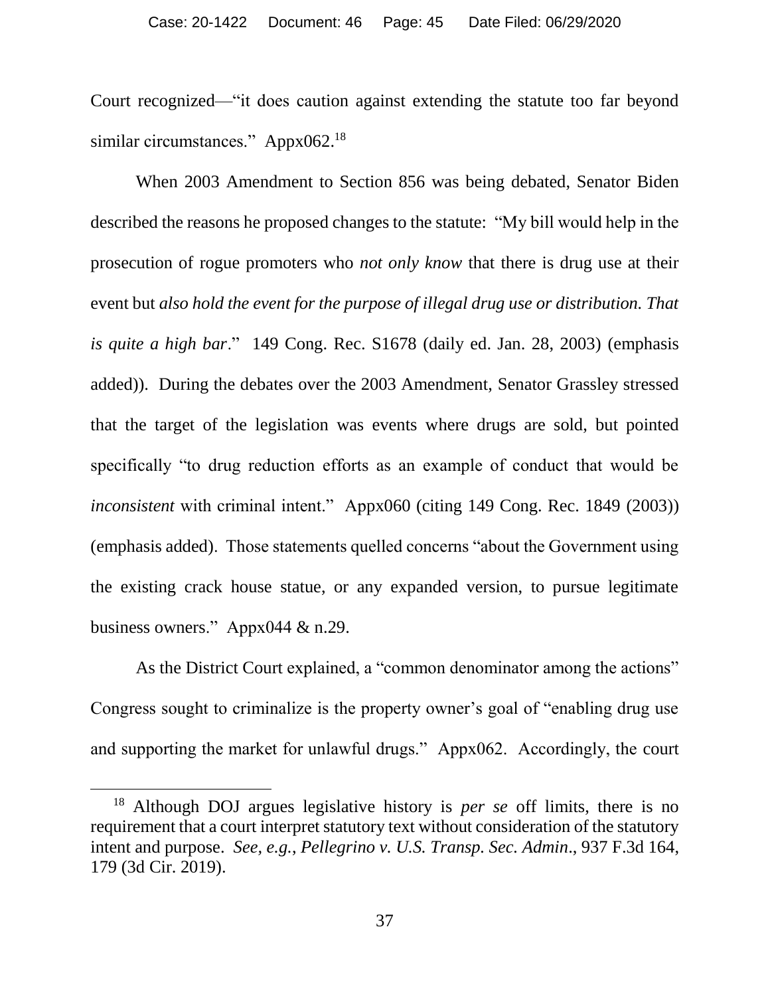Court recognized—"it does caution against extending the statute too far beyond similar circumstances." Appx062.<sup>18</sup>

When 2003 Amendment to Section 856 was being debated, Senator Biden described the reasons he proposed changes to the statute: "My bill would help in the prosecution of rogue promoters who *not only know* that there is drug use at their event but *also hold the event for the purpose of illegal drug use or distribution. That is quite a high bar*." 149 Cong. Rec. S1678 (daily ed. Jan. 28, 2003) (emphasis added)). During the debates over the 2003 Amendment, Senator Grassley stressed that the target of the legislation was events where drugs are sold, but pointed specifically "to drug reduction efforts as an example of conduct that would be *inconsistent* with criminal intent." Appx060 (citing 149 Cong. Rec. 1849 (2003)) (emphasis added). Those statements quelled concerns "about the Government using the existing crack house statue, or any expanded version, to pursue legitimate business owners." Appx044 & n.29.

As the District Court explained, a "common denominator among the actions" Congress sought to criminalize is the property owner's goal of "enabling drug use and supporting the market for unlawful drugs." Appx062. Accordingly, the court

<sup>18</sup> Although DOJ argues legislative history is *per se* off limits, there is no requirement that a court interpret statutory text without consideration of the statutory intent and purpose. *See, e.g.*, *Pellegrino v. U.S. Transp. Sec. Admin*., 937 F.3d 164, 179 (3d Cir. 2019).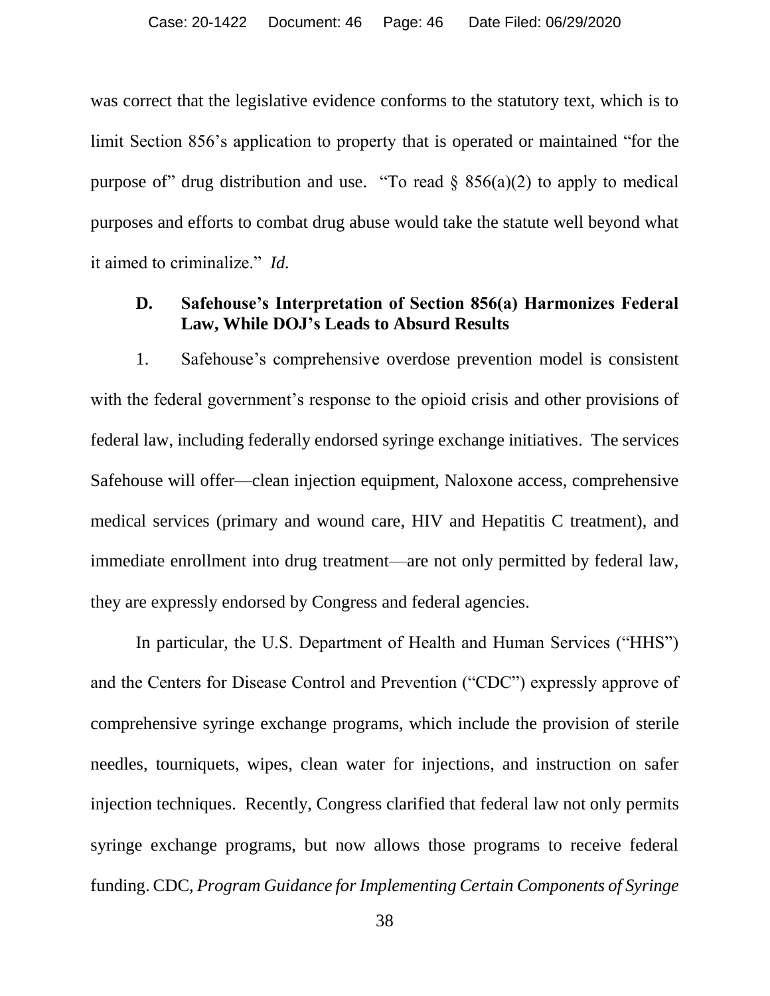was correct that the legislative evidence conforms to the statutory text, which is to limit Section 856's application to property that is operated or maintained "for the purpose of" drug distribution and use. "To read  $\S$  856(a)(2) to apply to medical purposes and efforts to combat drug abuse would take the statute well beyond what it aimed to criminalize." *Id.*

# <span id="page-45-0"></span>**D. Safehouse's Interpretation of Section 856(a) Harmonizes Federal Law, While DOJ's Leads to Absurd Results**

1. Safehouse's comprehensive overdose prevention model is consistent with the federal government's response to the opioid crisis and other provisions of federal law, including federally endorsed syringe exchange initiatives. The services Safehouse will offer—clean injection equipment, Naloxone access, comprehensive medical services (primary and wound care, HIV and Hepatitis C treatment), and immediate enrollment into drug treatment—are not only permitted by federal law, they are expressly endorsed by Congress and federal agencies.

In particular, the U.S. Department of Health and Human Services ("HHS") and the Centers for Disease Control and Prevention ("CDC") expressly approve of comprehensive syringe exchange programs, which include the provision of sterile needles, tourniquets, wipes, clean water for injections, and instruction on safer injection techniques. Recently, Congress clarified that federal law not only permits syringe exchange programs, but now allows those programs to receive federal funding. CDC, *Program Guidance for Implementing Certain Components of Syringe*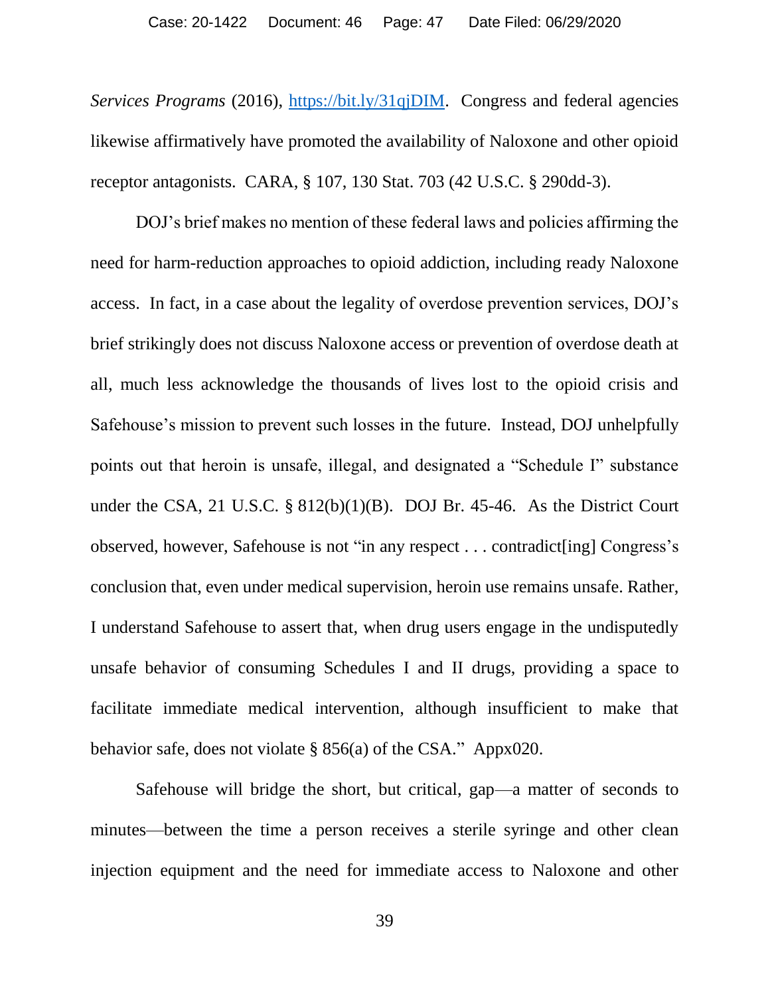*Services Programs* (2016), [https://bit.ly/31qjDIM.](https://bit.ly/31qjDIM) Congress and federal agencies likewise affirmatively have promoted the availability of Naloxone and other opioid receptor antagonists. CARA, § 107, 130 Stat. 703 (42 U.S.C. § 290dd-3).

DOJ's brief makes no mention of these federal laws and policies affirming the need for harm-reduction approaches to opioid addiction, including ready Naloxone access. In fact, in a case about the legality of overdose prevention services, DOJ's brief strikingly does not discuss Naloxone access or prevention of overdose death at all, much less acknowledge the thousands of lives lost to the opioid crisis and Safehouse's mission to prevent such losses in the future. Instead, DOJ unhelpfully points out that heroin is unsafe, illegal, and designated a "Schedule I" substance under the CSA, 21 U.S.C. § 812(b)(1)(B). DOJ Br. 45-46. As the District Court observed, however, Safehouse is not "in any respect . . . contradict[ing] Congress's conclusion that, even under medical supervision, heroin use remains unsafe. Rather, I understand Safehouse to assert that, when drug users engage in the undisputedly unsafe behavior of consuming Schedules I and II drugs, providing a space to facilitate immediate medical intervention, although insufficient to make that behavior safe, does not violate § 856(a) of the CSA." Appx020.

Safehouse will bridge the short, but critical, gap—a matter of seconds to minutes—between the time a person receives a sterile syringe and other clean injection equipment and the need for immediate access to Naloxone and other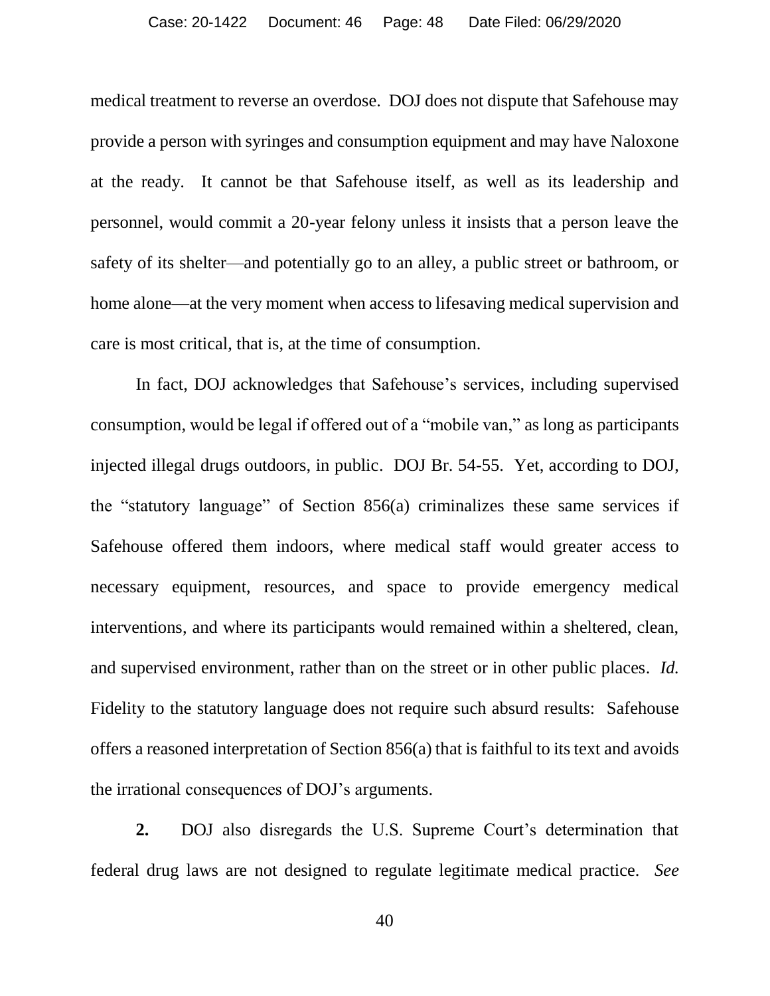medical treatment to reverse an overdose. DOJ does not dispute that Safehouse may provide a person with syringes and consumption equipment and may have Naloxone at the ready. It cannot be that Safehouse itself, as well as its leadership and personnel, would commit a 20-year felony unless it insists that a person leave the safety of its shelter—and potentially go to an alley, a public street or bathroom, or home alone—at the very moment when access to lifesaving medical supervision and care is most critical, that is, at the time of consumption.

In fact, DOJ acknowledges that Safehouse's services, including supervised consumption, would be legal if offered out of a "mobile van," as long as participants injected illegal drugs outdoors, in public. DOJ Br. 54-55. Yet, according to DOJ, the "statutory language" of Section 856(a) criminalizes these same services if Safehouse offered them indoors, where medical staff would greater access to necessary equipment, resources, and space to provide emergency medical interventions, and where its participants would remained within a sheltered, clean, and supervised environment, rather than on the street or in other public places. *Id.*  Fidelity to the statutory language does not require such absurd results: Safehouse offers a reasoned interpretation of Section 856(a) that is faithful to its text and avoids the irrational consequences of DOJ's arguments.

**2.** DOJ also disregards the U.S. Supreme Court's determination that federal drug laws are not designed to regulate legitimate medical practice. *See* 

40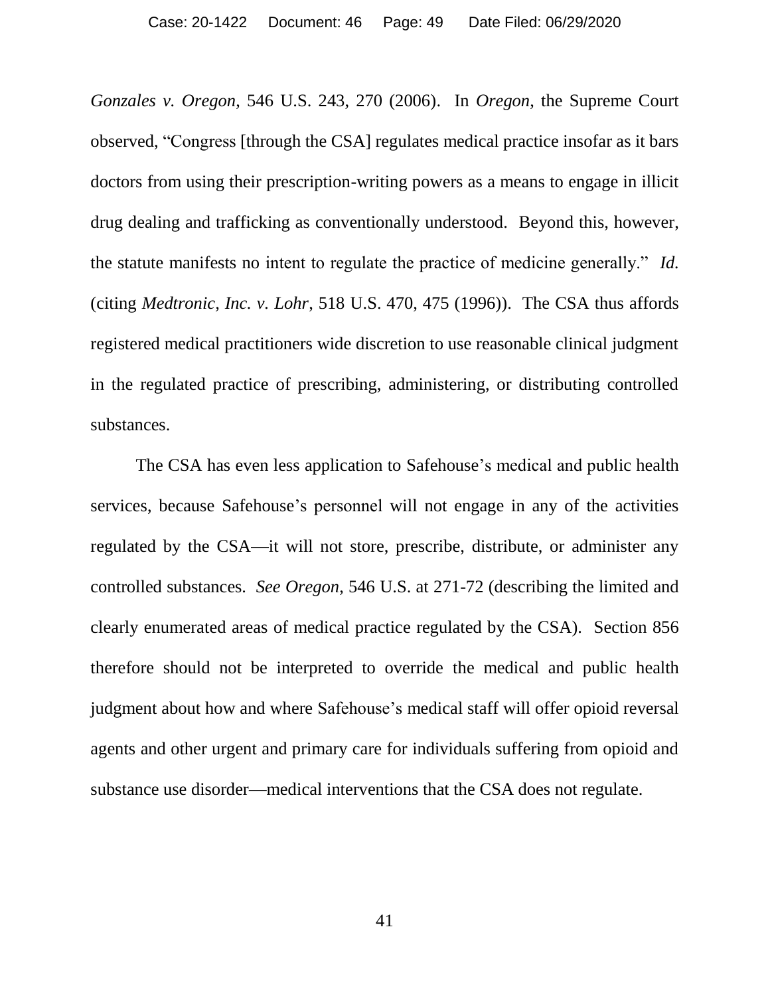*Gonzales v. Oregon*, 546 U.S. 243, 270 (2006). In *Oregon*, the Supreme Court observed, "Congress [through the CSA] regulates medical practice insofar as it bars doctors from using their prescription-writing powers as a means to engage in illicit drug dealing and trafficking as conventionally understood. Beyond this, however, the statute manifests no intent to regulate the practice of medicine generally." *Id.*  (citing *Medtronic, Inc. v. Lohr*, 518 U.S. 470, 475 (1996)). The CSA thus affords registered medical practitioners wide discretion to use reasonable clinical judgment in the regulated practice of prescribing, administering, or distributing controlled substances.

The CSA has even less application to Safehouse's medical and public health services, because Safehouse's personnel will not engage in any of the activities regulated by the CSA—it will not store, prescribe, distribute, or administer any controlled substances. *See Oregon*, 546 U.S. at 271-72 (describing the limited and clearly enumerated areas of medical practice regulated by the CSA). Section 856 therefore should not be interpreted to override the medical and public health judgment about how and where Safehouse's medical staff will offer opioid reversal agents and other urgent and primary care for individuals suffering from opioid and substance use disorder—medical interventions that the CSA does not regulate.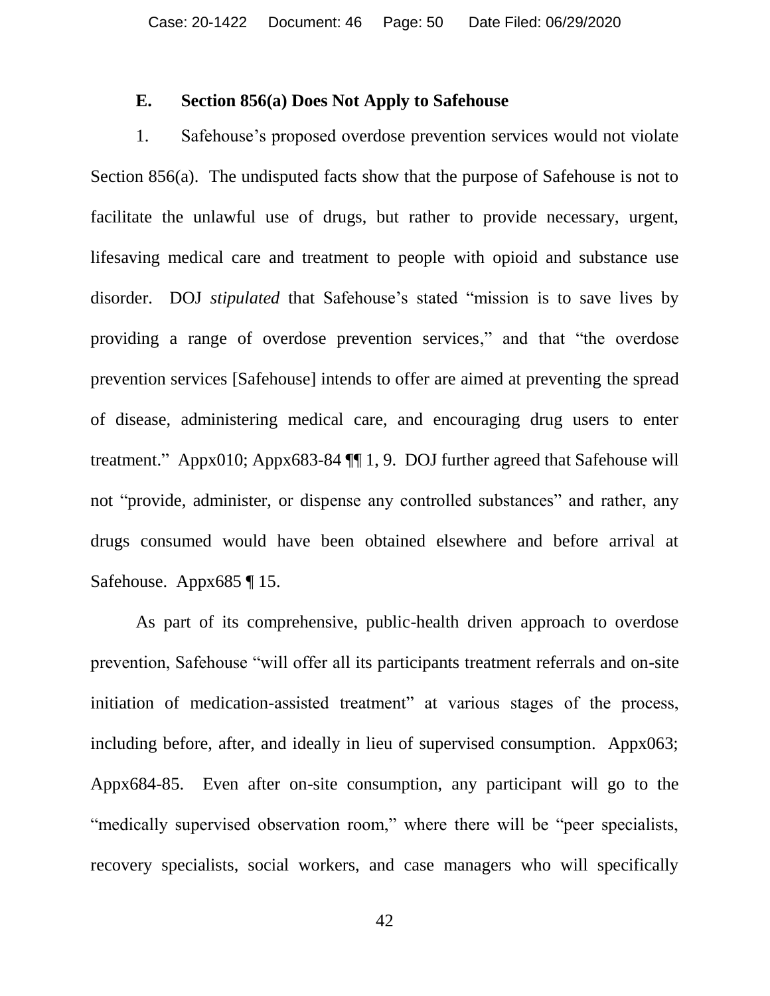#### **E. Section 856(a) Does Not Apply to Safehouse**

<span id="page-49-0"></span>1. Safehouse's proposed overdose prevention services would not violate Section 856(a). The undisputed facts show that the purpose of Safehouse is not to facilitate the unlawful use of drugs, but rather to provide necessary, urgent, lifesaving medical care and treatment to people with opioid and substance use disorder. DOJ *stipulated* that Safehouse's stated "mission is to save lives by providing a range of overdose prevention services," and that "the overdose prevention services [Safehouse] intends to offer are aimed at preventing the spread of disease, administering medical care, and encouraging drug users to enter treatment." Appx010; Appx683-84 ¶¶ 1, 9. DOJ further agreed that Safehouse will not "provide, administer, or dispense any controlled substances" and rather, any drugs consumed would have been obtained elsewhere and before arrival at Safehouse. Appx685 | 15.

As part of its comprehensive, public-health driven approach to overdose prevention, Safehouse "will offer all its participants treatment referrals and on-site initiation of medication-assisted treatment" at various stages of the process, including before, after, and ideally in lieu of supervised consumption. Appx063; Appx684-85. Even after on-site consumption, any participant will go to the "medically supervised observation room," where there will be "peer specialists, recovery specialists, social workers, and case managers who will specifically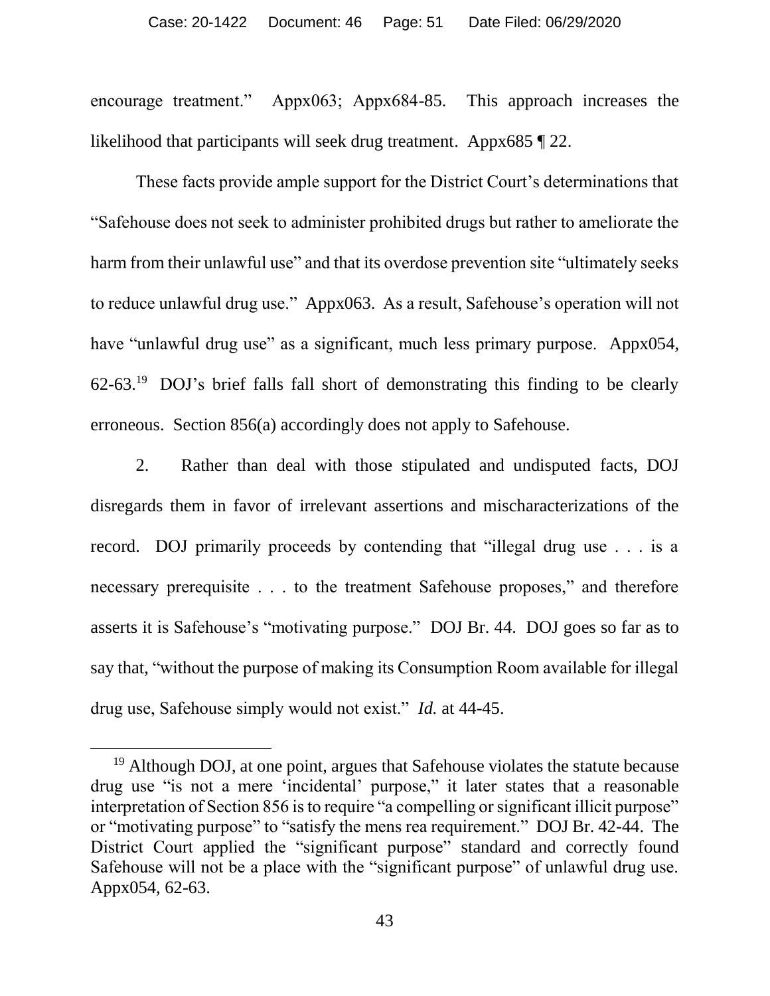encourage treatment." Appx063; Appx684-85. This approach increases the likelihood that participants will seek drug treatment. Appx685 ¶ 22.

These facts provide ample support for the District Court's determinations that "Safehouse does not seek to administer prohibited drugs but rather to ameliorate the harm from their unlawful use" and that its overdose prevention site "ultimately seeks" to reduce unlawful drug use." Appx063. As a result, Safehouse's operation will not have "unlawful drug use" as a significant, much less primary purpose. Appx054, 62-63. <sup>19</sup> DOJ's brief falls fall short of demonstrating this finding to be clearly erroneous. Section 856(a) accordingly does not apply to Safehouse.

2. Rather than deal with those stipulated and undisputed facts, DOJ disregards them in favor of irrelevant assertions and mischaracterizations of the record. DOJ primarily proceeds by contending that "illegal drug use . . . is a necessary prerequisite . . . to the treatment Safehouse proposes," and therefore asserts it is Safehouse's "motivating purpose." DOJ Br. 44. DOJ goes so far as to say that, "without the purpose of making its Consumption Room available for illegal drug use, Safehouse simply would not exist." *Id.* at 44-45.

<sup>&</sup>lt;sup>19</sup> Although DOJ, at one point, argues that Safehouse violates the statute because drug use "is not a mere 'incidental' purpose," it later states that a reasonable interpretation of Section 856 is to require "a compelling or significant illicit purpose" or "motivating purpose" to "satisfy the mens rea requirement." DOJ Br. 42-44. The District Court applied the "significant purpose" standard and correctly found Safehouse will not be a place with the "significant purpose" of unlawful drug use. Appx054, 62-63.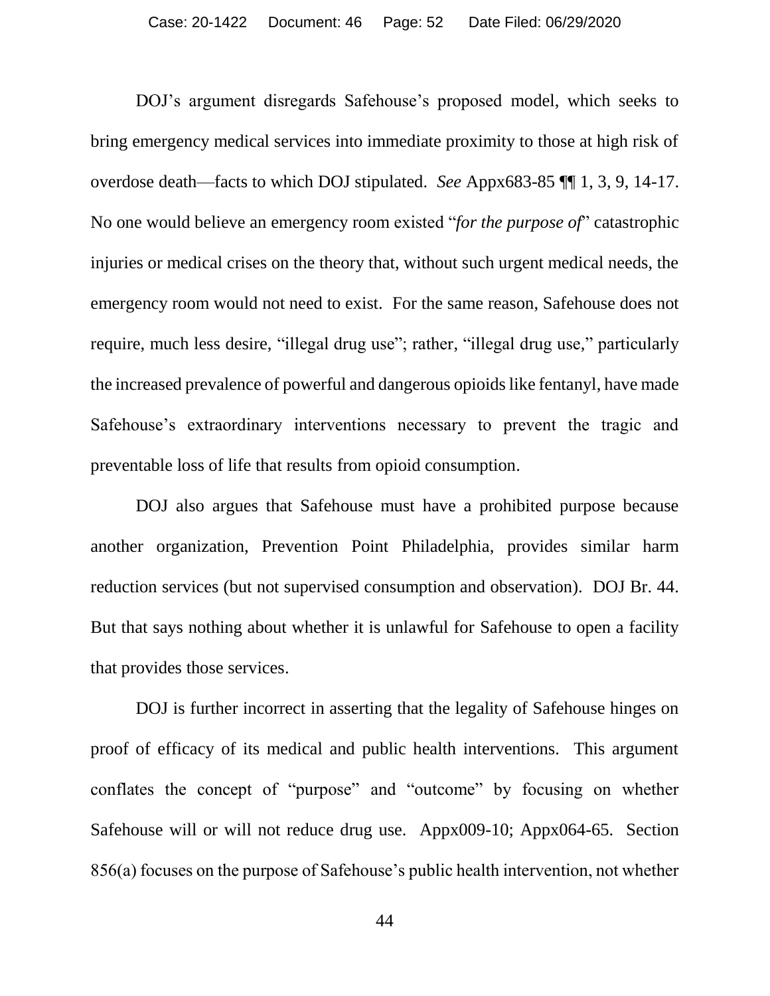DOJ's argument disregards Safehouse's proposed model, which seeks to bring emergency medical services into immediate proximity to those at high risk of overdose death—facts to which DOJ stipulated. *See* Appx683-85 ¶¶ 1, 3, 9, 14-17. No one would believe an emergency room existed "*for the purpose of*" catastrophic injuries or medical crises on the theory that, without such urgent medical needs, the emergency room would not need to exist. For the same reason, Safehouse does not require, much less desire, "illegal drug use"; rather, "illegal drug use," particularly the increased prevalence of powerful and dangerous opioids like fentanyl, have made Safehouse's extraordinary interventions necessary to prevent the tragic and preventable loss of life that results from opioid consumption.

DOJ also argues that Safehouse must have a prohibited purpose because another organization, Prevention Point Philadelphia, provides similar harm reduction services (but not supervised consumption and observation). DOJ Br. 44. But that says nothing about whether it is unlawful for Safehouse to open a facility that provides those services.

DOJ is further incorrect in asserting that the legality of Safehouse hinges on proof of efficacy of its medical and public health interventions. This argument conflates the concept of "purpose" and "outcome" by focusing on whether Safehouse will or will not reduce drug use. Appx009-10; Appx064-65. Section 856(a) focuses on the purpose of Safehouse's public health intervention, not whether

44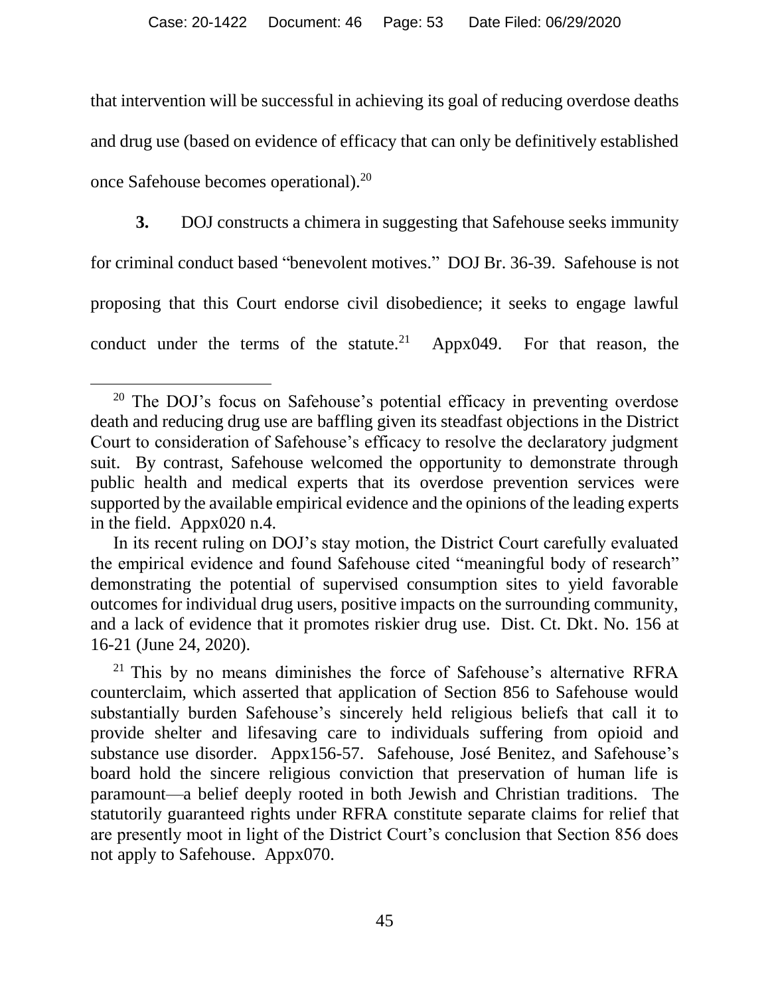that intervention will be successful in achieving its goal of reducing overdose deaths and drug use (based on evidence of efficacy that can only be definitively established once Safehouse becomes operational).<sup>20</sup>

**3.** DOJ constructs a chimera in suggesting that Safehouse seeks immunity for criminal conduct based "benevolent motives." DOJ Br. 36-39. Safehouse is not proposing that this Court endorse civil disobedience; it seeks to engage lawful conduct under the terms of the statute. $21$ Appx049. For that reason, the

<sup>&</sup>lt;sup>20</sup> The DOJ's focus on Safehouse's potential efficacy in preventing overdose death and reducing drug use are baffling given its steadfast objections in the District Court to consideration of Safehouse's efficacy to resolve the declaratory judgment suit. By contrast, Safehouse welcomed the opportunity to demonstrate through public health and medical experts that its overdose prevention services were supported by the available empirical evidence and the opinions of the leading experts in the field. Appx020 n.4.

In its recent ruling on DOJ's stay motion, the District Court carefully evaluated the empirical evidence and found Safehouse cited "meaningful body of research" demonstrating the potential of supervised consumption sites to yield favorable outcomes for individual drug users, positive impacts on the surrounding community, and a lack of evidence that it promotes riskier drug use. Dist. Ct. Dkt. No. 156 at 16-21 (June 24, 2020).

<sup>&</sup>lt;sup>21</sup> This by no means diminishes the force of Safehouse's alternative RFRA counterclaim, which asserted that application of Section 856 to Safehouse would substantially burden Safehouse's sincerely held religious beliefs that call it to provide shelter and lifesaving care to individuals suffering from opioid and substance use disorder. Appx156-57.Safehouse, José Benitez, and Safehouse's board hold the sincere religious conviction that preservation of human life is paramount—a belief deeply rooted in both Jewish and Christian traditions. The statutorily guaranteed rights under RFRA constitute separate claims for relief that are presently moot in light of the District Court's conclusion that Section 856 does not apply to Safehouse. Appx070.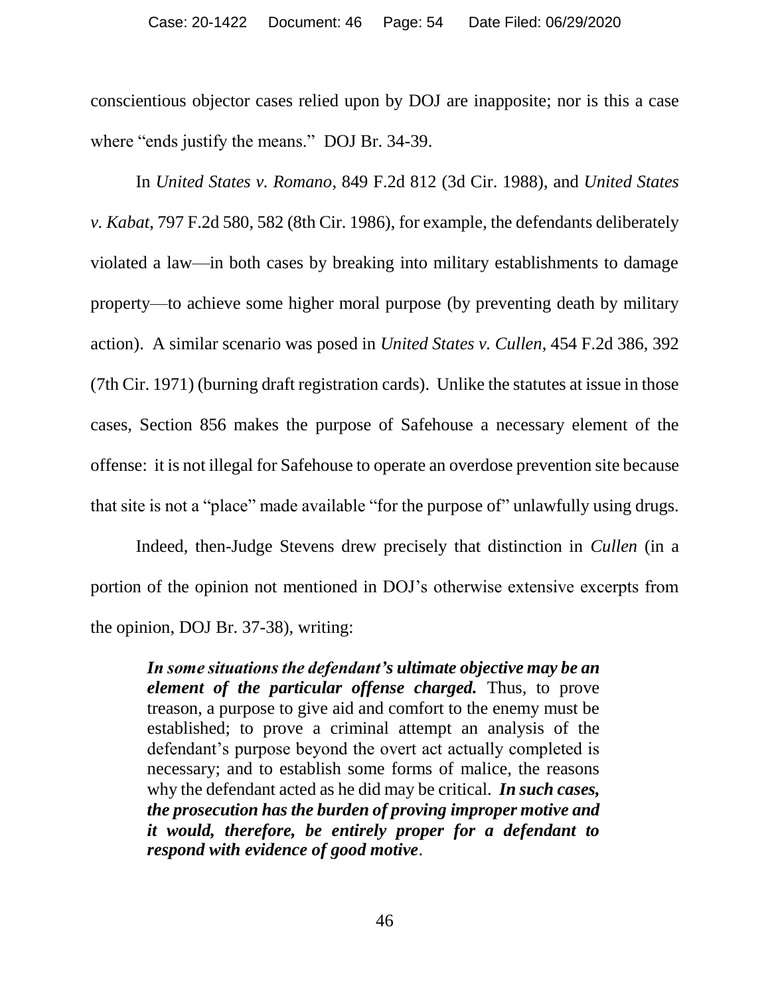conscientious objector cases relied upon by DOJ are inapposite; nor is this a case where "ends justify the means." DOJ Br. 34-39.

In *United States v. Romano*, 849 F.2d 812 (3d Cir. 1988), and *United States v. Kabat*, 797 F.2d 580, 582 (8th Cir. 1986), for example, the defendants deliberately violated a law—in both cases by breaking into military establishments to damage property—to achieve some higher moral purpose (by preventing death by military action). A similar scenario was posed in *United States v. Cullen*, 454 F.2d 386, 392 (7th Cir. 1971) (burning draft registration cards). Unlike the statutes at issue in those cases, Section 856 makes the purpose of Safehouse a necessary element of the offense: it is not illegal for Safehouse to operate an overdose prevention site because that site is not a "place" made available "for the purpose of" unlawfully using drugs.

Indeed, then-Judge Stevens drew precisely that distinction in *Cullen* (in a portion of the opinion not mentioned in DOJ's otherwise extensive excerpts from the opinion, DOJ Br. 37-38), writing:

*In some situations the defendant's ultimate objective may be an element of the particular offense charged.* Thus, to prove treason, a purpose to give aid and comfort to the enemy must be established; to prove a criminal attempt an analysis of the defendant's purpose beyond the overt act actually completed is necessary; and to establish some forms of malice, the reasons why the defendant acted as he did may be critical. *In such cases, the prosecution has the burden of proving improper motive and it would, therefore, be entirely proper for a defendant to respond with evidence of good motive*.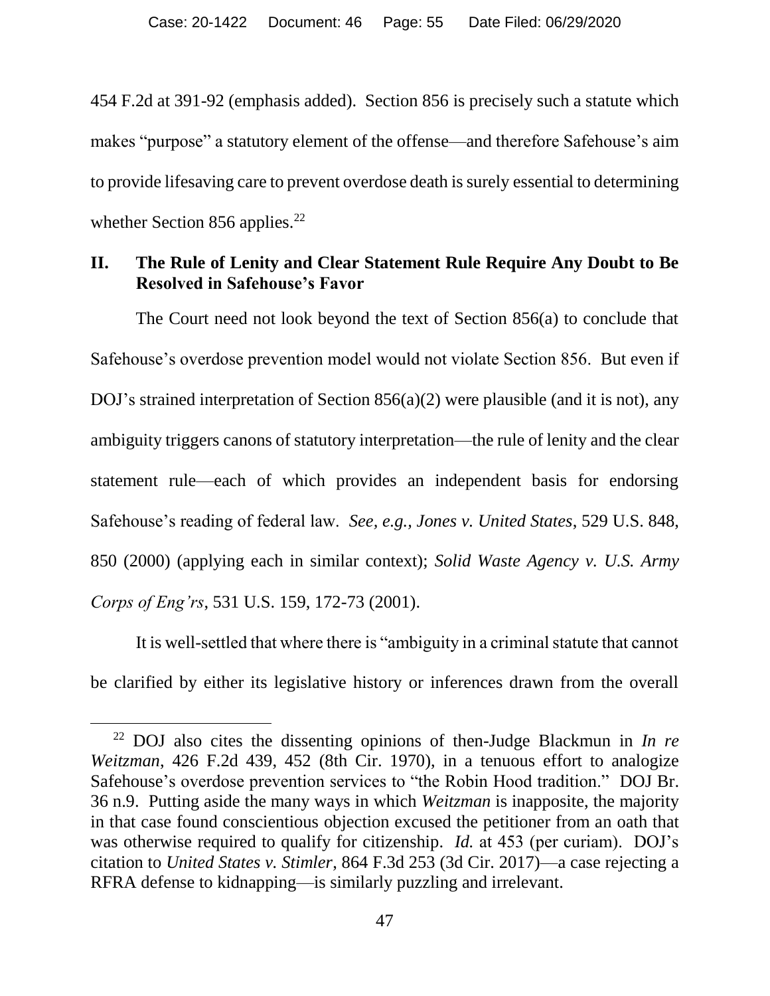454 F.2d at 391-92 (emphasis added). Section 856 is precisely such a statute which makes "purpose" a statutory element of the offense—and therefore Safehouse's aim to provide lifesaving care to prevent overdose death is surely essential to determining whether Section 856 applies. $^{22}$ 

# <span id="page-54-0"></span>**II. The Rule of Lenity and Clear Statement Rule Require Any Doubt to Be Resolved in Safehouse's Favor**

The Court need not look beyond the text of Section 856(a) to conclude that Safehouse's overdose prevention model would not violate Section 856. But even if DOJ's strained interpretation of Section 856(a)(2) were plausible (and it is not), any ambiguity triggers canons of statutory interpretation—the rule of lenity and the clear statement rule—each of which provides an independent basis for endorsing Safehouse's reading of federal law. *See, e.g., Jones v. United States*, 529 U.S. 848, 850 (2000) (applying each in similar context); *Solid Waste Agency v. U.S. Army Corps of Eng'rs*, 531 U.S. 159, 172-73 (2001).

It is well-settled that where there is "ambiguity in a criminal statute that cannot be clarified by either its legislative history or inferences drawn from the overall

<sup>22</sup> DOJ also cites the dissenting opinions of then-Judge Blackmun in *In re Weitzman*, 426 F.2d 439, 452 (8th Cir. 1970), in a tenuous effort to analogize Safehouse's overdose prevention services to "the Robin Hood tradition." DOJ Br. 36 n.9. Putting aside the many ways in which *Weitzman* is inapposite, the majority in that case found conscientious objection excused the petitioner from an oath that was otherwise required to qualify for citizenship. *Id.* at 453 (per curiam). DOJ's citation to *United States v. Stimler*, 864 F.3d 253 (3d Cir. 2017)—a case rejecting a RFRA defense to kidnapping—is similarly puzzling and irrelevant.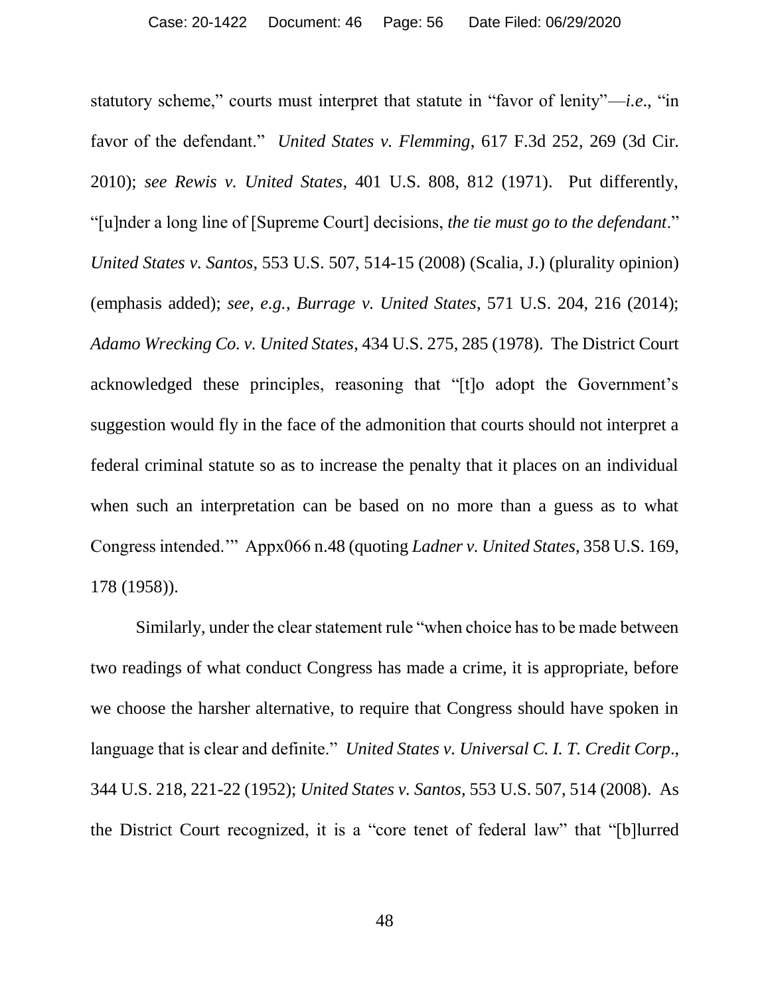statutory scheme," courts must interpret that statute in "favor of lenity"—*i.e*., "in favor of the defendant." *United States v. Flemming*, 617 F.3d 252, 269 (3d Cir. 2010); *see Rewis v. United States*, 401 U.S. 808, 812 (1971). Put differently, "[u]nder a long line of [Supreme Court] decisions, *the tie must go to the defendant*." *United States v. Santos*, 553 U.S. 507, 514-15 (2008) (Scalia, J.) (plurality opinion) (emphasis added); *see, e.g.*, *Burrage v. United States*, 571 U.S. 204, 216 (2014); *Adamo Wrecking Co. v. United States*, 434 U.S. 275, 285 (1978). The District Court acknowledged these principles, reasoning that "[t]o adopt the Government's suggestion would fly in the face of the admonition that courts should not interpret a federal criminal statute so as to increase the penalty that it places on an individual when such an interpretation can be based on no more than a guess as to what Congress intended.'" Appx066 n.48 (quoting *Ladner v. United States*, 358 U.S. 169, 178 (1958)).

Similarly, under the clear statement rule "when choice has to be made between two readings of what conduct Congress has made a crime, it is appropriate, before we choose the harsher alternative, to require that Congress should have spoken in language that is clear and definite." *United States v. Universal C. I. T. Credit Corp*., 344 U.S. 218, 221-22 (1952); *United States v. Santos*, 553 U.S. 507, 514 (2008). As the District Court recognized, it is a "core tenet of federal law" that "[b]lurred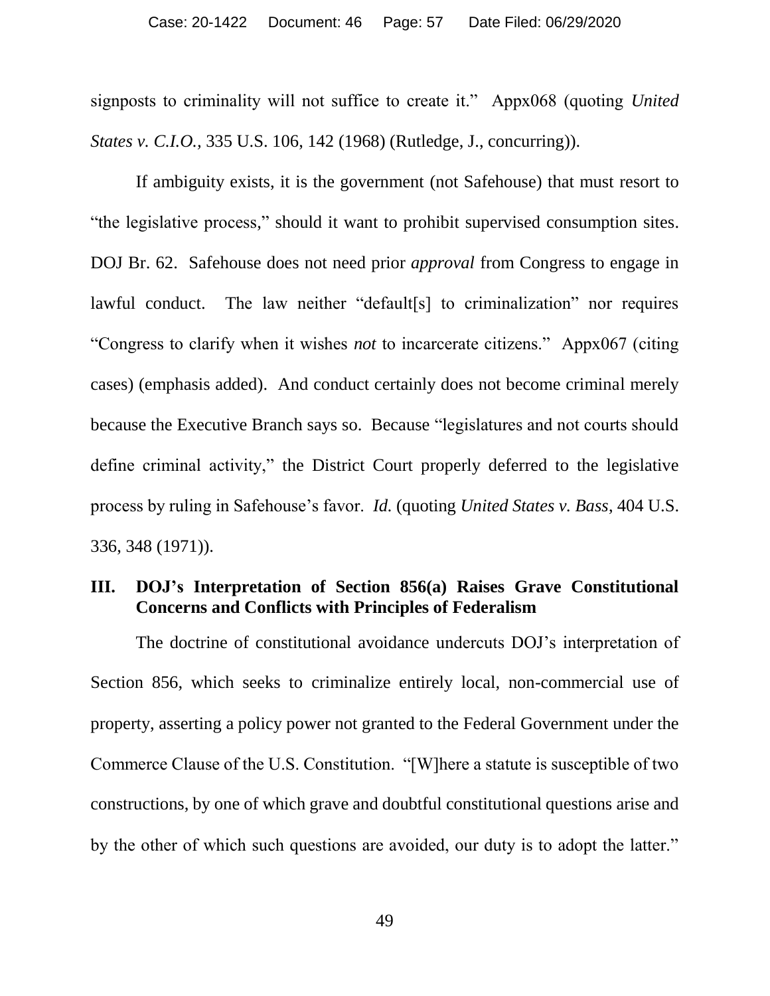signposts to criminality will not suffice to create it." Appx068 (quoting *United States v. C.I.O.,* 335 U.S. 106, 142 (1968) (Rutledge, J., concurring)).

If ambiguity exists, it is the government (not Safehouse) that must resort to "the legislative process," should it want to prohibit supervised consumption sites. DOJ Br. 62. Safehouse does not need prior *approval* from Congress to engage in lawful conduct. The law neither "default[s] to criminalization" nor requires "Congress to clarify when it wishes *not* to incarcerate citizens." Appx067 (citing cases) (emphasis added). And conduct certainly does not become criminal merely because the Executive Branch says so. Because "legislatures and not courts should define criminal activity," the District Court properly deferred to the legislative process by ruling in Safehouse's favor. *Id.* (quoting *United States v. Bass*, 404 U.S. 336, 348 (1971)).

# <span id="page-56-0"></span>**III. DOJ's Interpretation of Section 856(a) Raises Grave Constitutional Concerns and Conflicts with Principles of Federalism**

The doctrine of constitutional avoidance undercuts DOJ's interpretation of Section 856, which seeks to criminalize entirely local, non-commercial use of property, asserting a policy power not granted to the Federal Government under the Commerce Clause of the U.S. Constitution. "[W]here a statute is susceptible of two constructions, by one of which grave and doubtful constitutional questions arise and by the other of which such questions are avoided, our duty is to adopt the latter."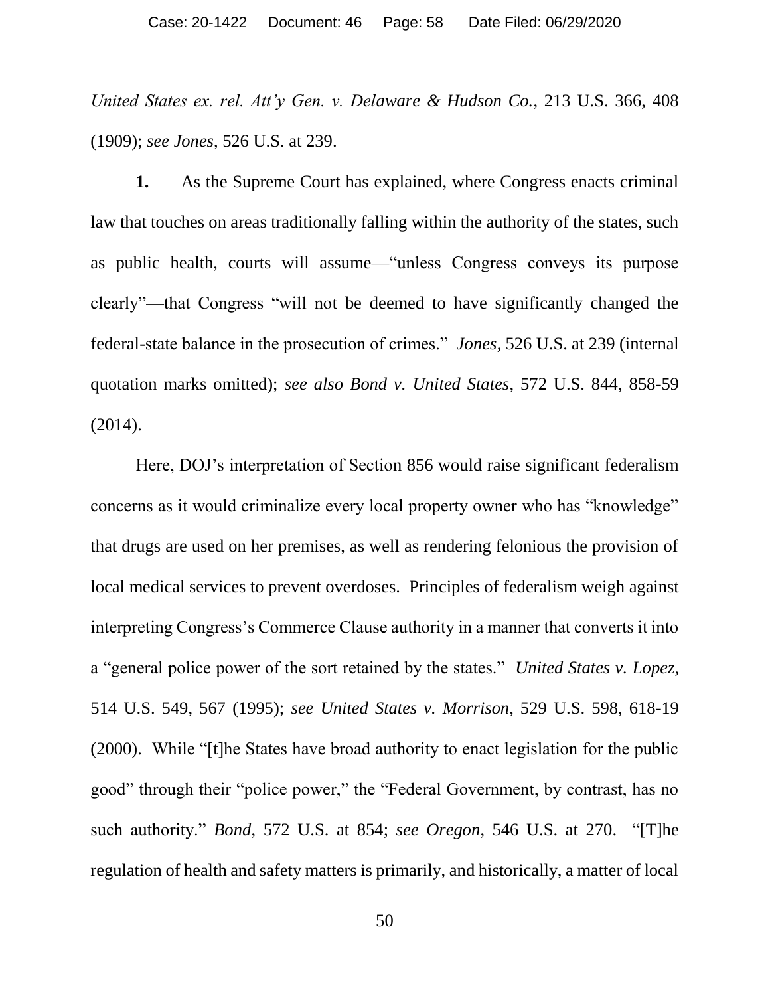*United States ex. rel. Att'y Gen. v. Delaware & Hudson Co.*, 213 U.S. 366, 408 (1909); *see Jones*, 526 U.S. at 239.

**1.** As the Supreme Court has explained, where Congress enacts criminal law that touches on areas traditionally falling within the authority of the states, such as public health, courts will assume—"unless Congress conveys its purpose clearly"—that Congress "will not be deemed to have significantly changed the federal-state balance in the prosecution of crimes." *Jones*, 526 U.S. at 239 (internal quotation marks omitted); *see also Bond v. United States*, 572 U.S. 844, 858-59 (2014).

Here, DOJ's interpretation of Section 856 would raise significant federalism concerns as it would criminalize every local property owner who has "knowledge" that drugs are used on her premises, as well as rendering felonious the provision of local medical services to prevent overdoses. Principles of federalism weigh against interpreting Congress's Commerce Clause authority in a manner that converts it into a "general police power of the sort retained by the states." *United States v. Lopez*, 514 U.S. 549, 567 (1995); *see United States v. Morrison*, 529 U.S. 598, 618-19 (2000). While "[t]he States have broad authority to enact legislation for the public good" through their "police power," the "Federal Government, by contrast, has no such authority." *Bond*, 572 U.S. at 854; *see Oregon*, 546 U.S. at 270. "[T]he regulation of health and safety matters is primarily, and historically, a matter of local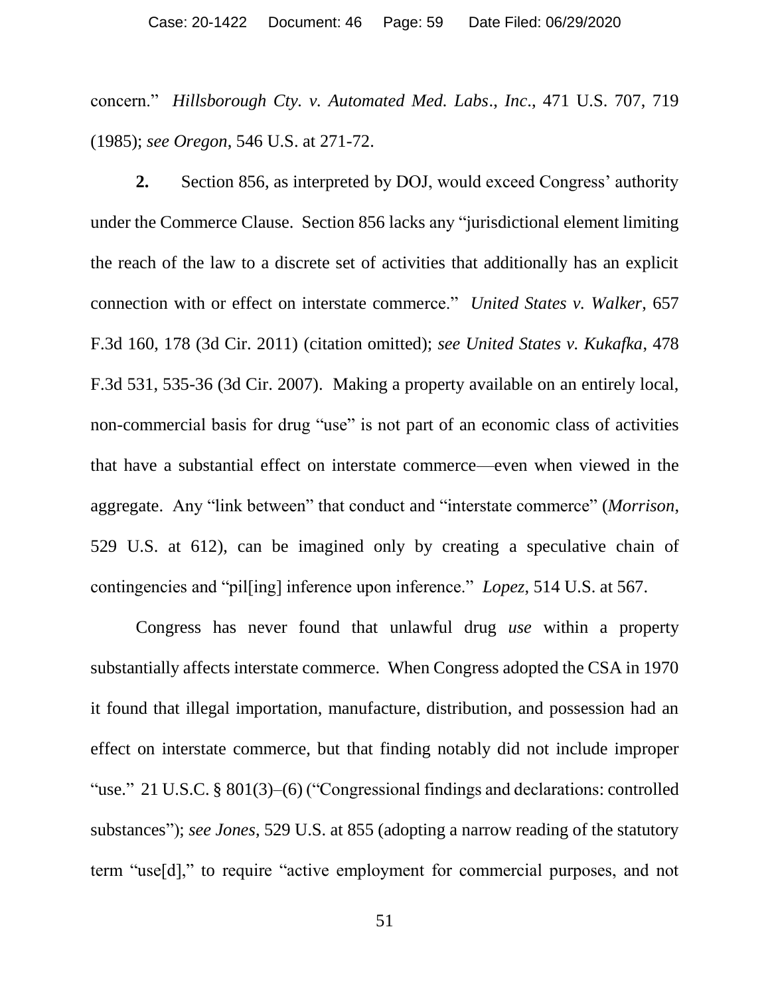concern." *Hillsborough Cty. v. Automated Med. Labs*., *Inc*., 471 U.S. 707, 719 (1985); *see Oregon*, 546 U.S. at 271-72.

**2.** Section 856, as interpreted by DOJ, would exceed Congress' authority under the Commerce Clause. Section 856 lacks any "jurisdictional element limiting the reach of the law to a discrete set of activities that additionally has an explicit connection with or effect on interstate commerce." *United States v. Walker*, 657 F.3d 160, 178 (3d Cir. 2011) (citation omitted); *see United States v. Kukafka*, 478 F.3d 531, 535-36 (3d Cir. 2007). Making a property available on an entirely local, non-commercial basis for drug "use" is not part of an economic class of activities that have a substantial effect on interstate commerce—even when viewed in the aggregate. Any "link between" that conduct and "interstate commerce" (*Morrison*, 529 U.S. at 612), can be imagined only by creating a speculative chain of contingencies and "pil[ing] inference upon inference." *Lopez*, 514 U.S. at 567.

Congress has never found that unlawful drug *use* within a property substantially affects interstate commerce. When Congress adopted the CSA in 1970 it found that illegal importation, manufacture, distribution, and possession had an effect on interstate commerce, but that finding notably did not include improper "use." 21 U.S.C. § 801(3)–(6) ("Congressional findings and declarations: controlled substances"); *see Jones*, 529 U.S. at 855 (adopting a narrow reading of the statutory term "use[d]," to require "active employment for commercial purposes, and not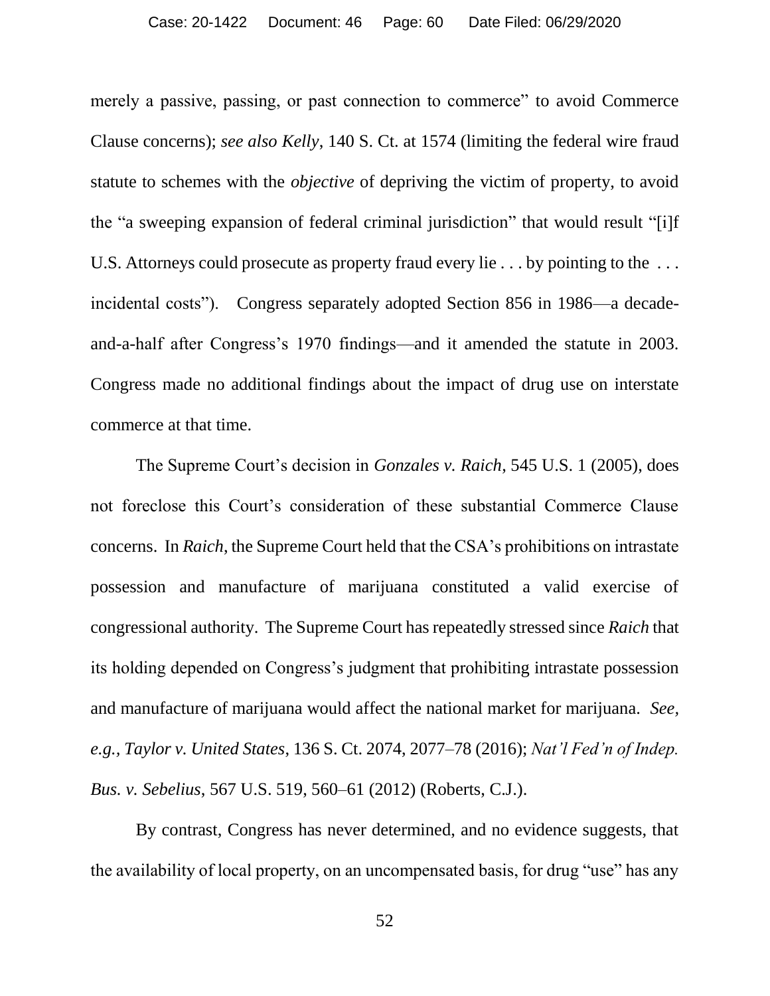merely a passive, passing, or past connection to commerce" to avoid Commerce Clause concerns); *see also Kelly*, 140 S. Ct. at 1574 (limiting the federal wire fraud statute to schemes with the *objective* of depriving the victim of property, to avoid the "a sweeping expansion of federal criminal jurisdiction" that would result "[i]f U.S. Attorneys could prosecute as property fraud every lie . . . by pointing to the ... incidental costs"). Congress separately adopted Section 856 in 1986—a decadeand-a-half after Congress's 1970 findings—and it amended the statute in 2003. Congress made no additional findings about the impact of drug use on interstate commerce at that time.

The Supreme Court's decision in *Gonzales v. Raich*, 545 U.S. 1 (2005), does not foreclose this Court's consideration of these substantial Commerce Clause concerns. In *Raich*, the Supreme Court held that the CSA's prohibitions on intrastate possession and manufacture of marijuana constituted a valid exercise of congressional authority. The Supreme Court has repeatedly stressed since *Raich* that its holding depended on Congress's judgment that prohibiting intrastate possession and manufacture of marijuana would affect the national market for marijuana. *See, e.g., Taylor v. United States*, 136 S. Ct. 2074, 2077–78 (2016); *Nat'l Fed'n of Indep. Bus. v. Sebelius*, 567 U.S. 519, 560–61 (2012) (Roberts, C.J.).

By contrast, Congress has never determined, and no evidence suggests, that the availability of local property, on an uncompensated basis, for drug "use" has any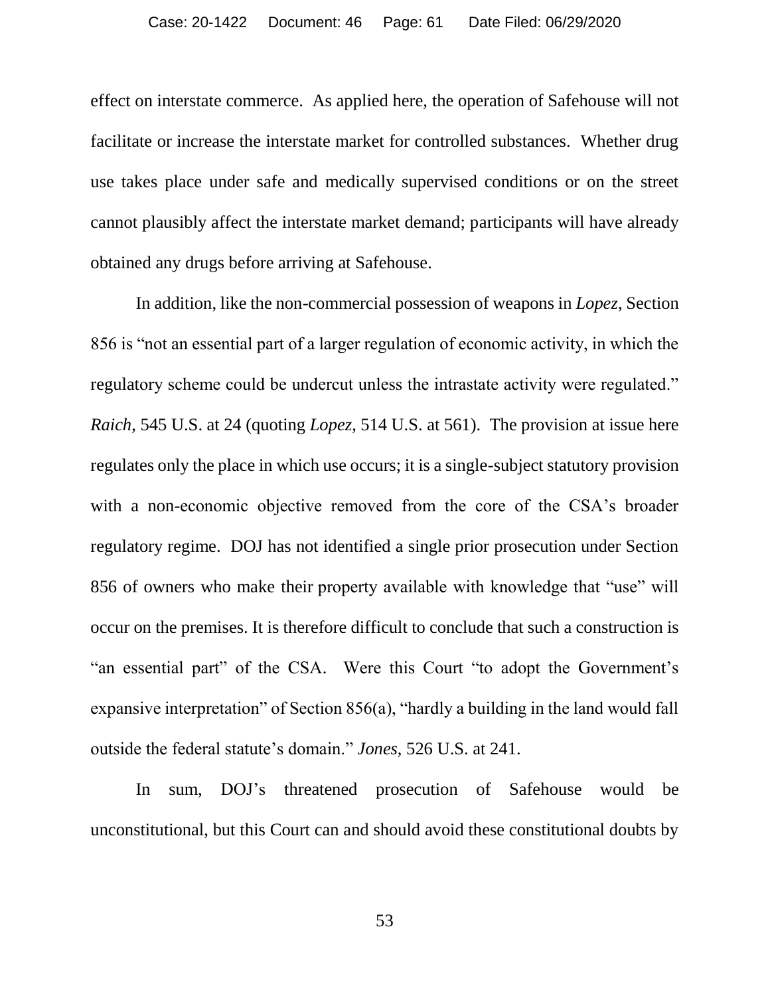effect on interstate commerce. As applied here, the operation of Safehouse will not facilitate or increase the interstate market for controlled substances. Whether drug use takes place under safe and medically supervised conditions or on the street cannot plausibly affect the interstate market demand; participants will have already obtained any drugs before arriving at Safehouse.

In addition, like the non-commercial possession of weapons in *Lopez*, Section 856 is "not an essential part of a larger regulation of economic activity, in which the regulatory scheme could be undercut unless the intrastate activity were regulated." *Raich*, 545 U.S. at 24 (quoting *Lopez*, 514 U.S. at 561). The provision at issue here regulates only the place in which use occurs; it is a single-subject statutory provision with a non-economic objective removed from the core of the CSA's broader regulatory regime. DOJ has not identified a single prior prosecution under Section 856 of owners who make their property available with knowledge that "use" will occur on the premises. It is therefore difficult to conclude that such a construction is "an essential part" of the CSA. Were this Court "to adopt the Government's expansive interpretation" of Section 856(a), "hardly a building in the land would fall outside the federal statute's domain." *Jones*, 526 U.S. at 241.

In sum, DOJ's threatened prosecution of Safehouse would be unconstitutional, but this Court can and should avoid these constitutional doubts by

53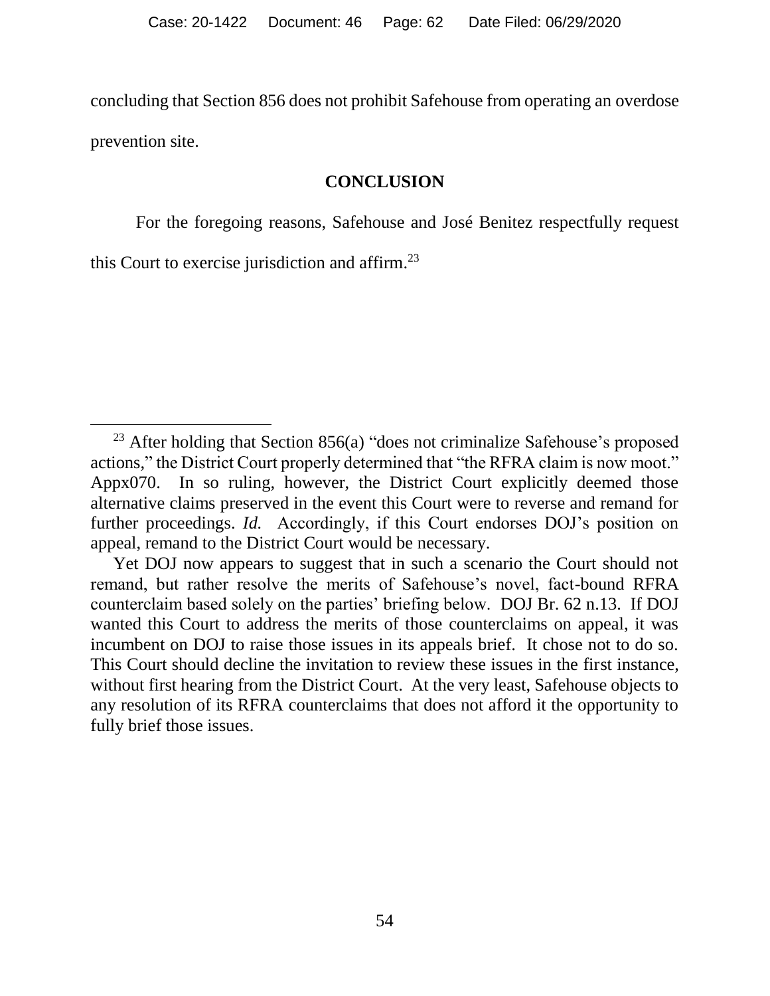concluding that Section 856 does not prohibit Safehouse from operating an overdose prevention site.

#### **CONCLUSION**

For the foregoing reasons, Safehouse and José Benitez respectfully request this Court to exercise jurisdiction and affirm.<sup>23</sup>

<sup>&</sup>lt;sup>23</sup> After holding that Section  $856(a)$  "does not criminalize Safehouse's proposed actions," the District Court properly determined that "the RFRA claim is now moot." Appx070. In so ruling, however, the District Court explicitly deemed those alternative claims preserved in the event this Court were to reverse and remand for further proceedings. *Id.* Accordingly, if this Court endorses DOJ's position on appeal, remand to the District Court would be necessary.

Yet DOJ now appears to suggest that in such a scenario the Court should not remand, but rather resolve the merits of Safehouse's novel, fact-bound RFRA counterclaim based solely on the parties' briefing below. DOJ Br. 62 n.13. If DOJ wanted this Court to address the merits of those counterclaims on appeal, it was incumbent on DOJ to raise those issues in its appeals brief. It chose not to do so. This Court should decline the invitation to review these issues in the first instance, without first hearing from the District Court. At the very least, Safehouse objects to any resolution of its RFRA counterclaims that does not afford it the opportunity to fully brief those issues.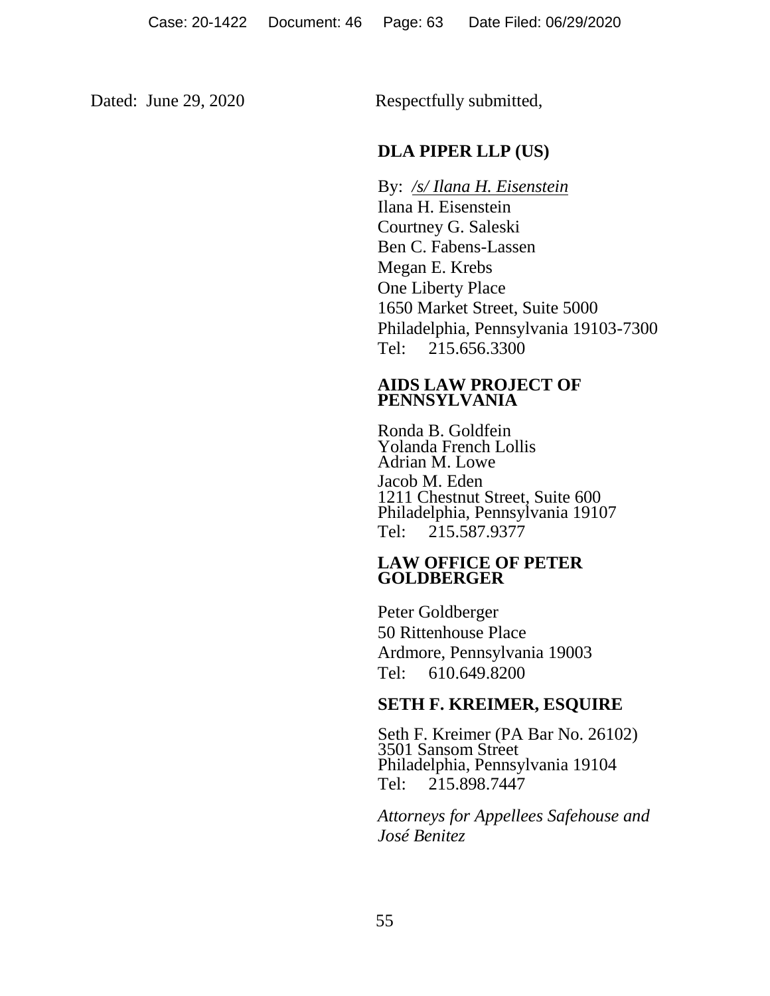Dated: June 29, 2020 Respectfully submitted,

# **DLA PIPER LLP (US)**

By: */s/ Ilana H. Eisenstein* Ilana H. Eisenstein Courtney G. Saleski Ben C. Fabens-Lassen Megan E. Krebs One Liberty Place 1650 Market Street, Suite 5000 Philadelphia, Pennsylvania 19103-7300 Tel: 215.656.3300

#### **AIDS LAW PROJECT OF PENNSYLVANIA**

Ronda B. Goldfein Yolanda French Lollis Adrian M. Lowe Jacob M. Eden 1211 Chestnut Street, Suite 600 Philadelphia, Pennsylvania 19107 Tel: 215.587.9377

#### **LAW OFFICE OF PETER GOLDBERGER**

Peter Goldberger 50 Rittenhouse Place Ardmore, Pennsylvania 19003 Tel: 610.649.8200

### **SETH F. KREIMER, ESQUIRE**

Seth F. Kreimer (PA Bar No. 26102) 3501 Sansom Street Philadelphia, Pennsylvania 19104 Tel: 215.898.7447

*Attorneys for Appellees Safehouse and José Benitez*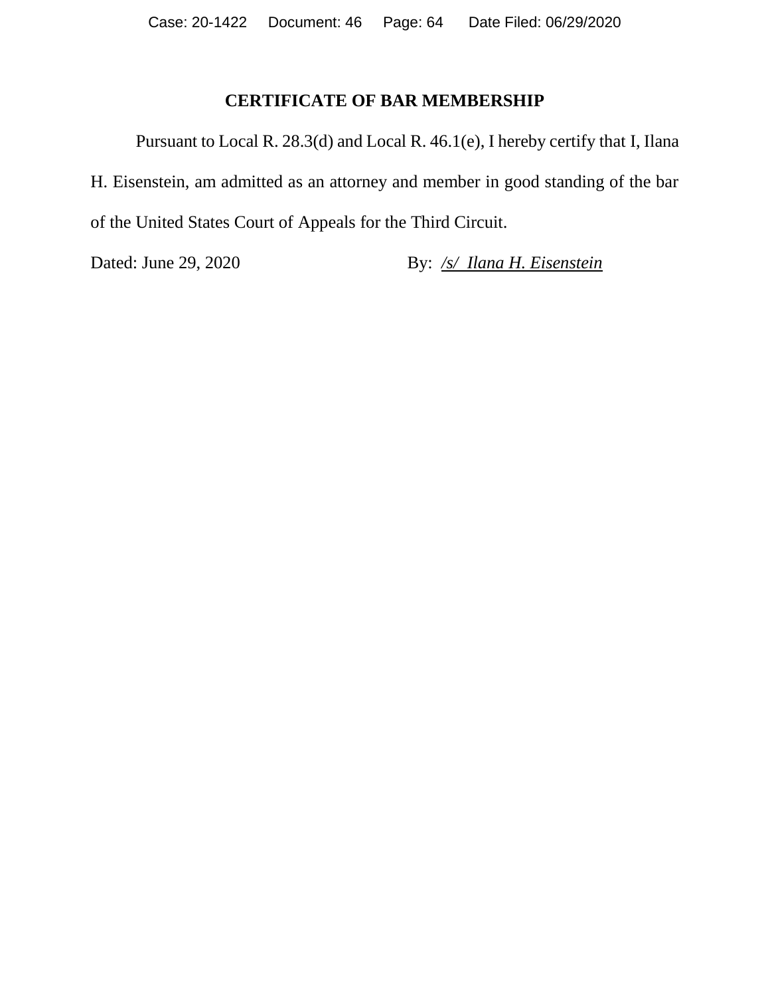# **CERTIFICATE OF BAR MEMBERSHIP**

Pursuant to Local R. 28.3(d) and Local R. 46.1(e), I hereby certify that I, Ilana H. Eisenstein, am admitted as an attorney and member in good standing of the bar of the United States Court of Appeals for the Third Circuit.

Dated: June 29, 2020 By: */s/ Ilana H. Eisenstein*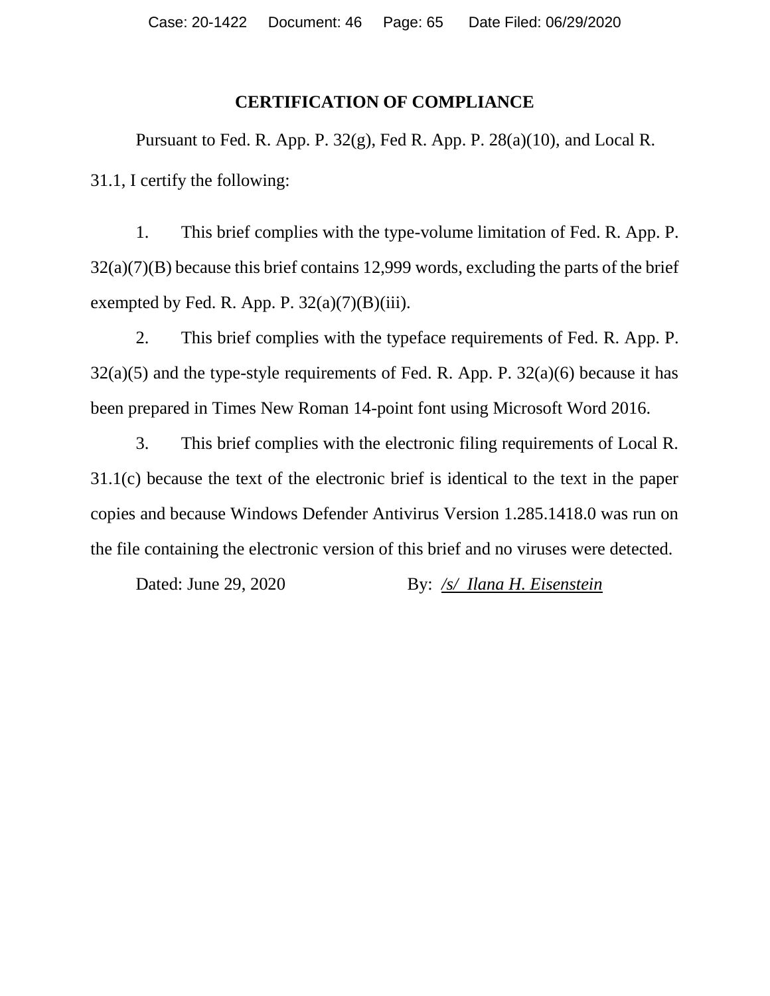# **CERTIFICATION OF COMPLIANCE**

<span id="page-64-0"></span>Pursuant to Fed. R. App. P.  $32(g)$ , Fed R. App. P.  $28(a)(10)$ , and Local R. 31.1, I certify the following:

1. This brief complies with the type-volume limitation of Fed. R. App. P. 32(a)(7)(B) because this brief contains 12,999 words, excluding the parts of the brief exempted by Fed. R. App. P.  $32(a)(7)(B)(iii)$ .

2. This brief complies with the typeface requirements of Fed. R. App. P.  $32(a)(5)$  and the type-style requirements of Fed. R. App. P.  $32(a)(6)$  because it has been prepared in Times New Roman 14-point font using Microsoft Word 2016.

3. This brief complies with the electronic filing requirements of Local R. 31.1(c) because the text of the electronic brief is identical to the text in the paper copies and because Windows Defender Antivirus Version 1.285.1418.0 was run on the file containing the electronic version of this brief and no viruses were detected.

Dated: June 29, 2020 By: */s/ Ilana H. Eisenstein*